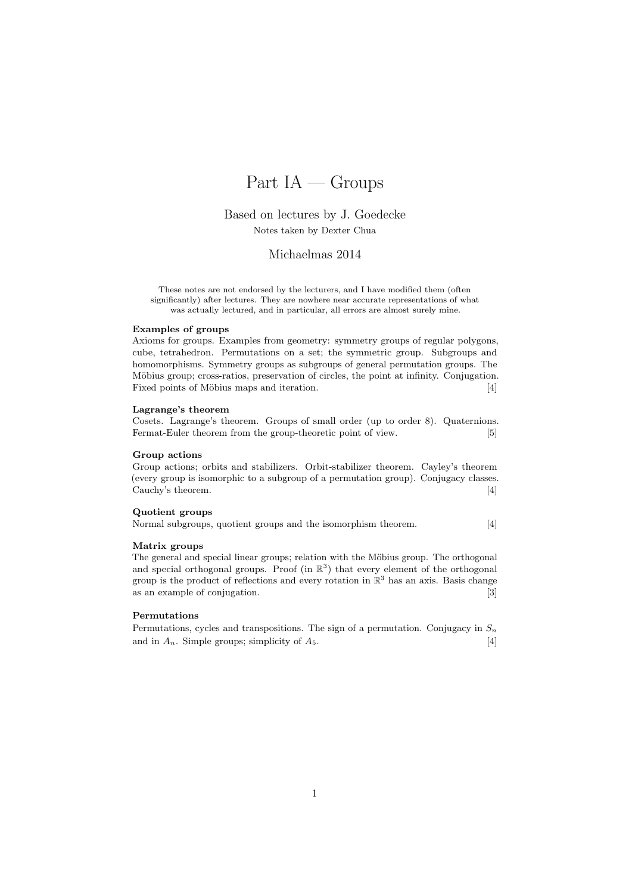# Part  $IA - Groups$

# Based on lectures by J. Goedecke Notes taken by Dexter Chua

### Michaelmas 2014

These notes are not endorsed by the lecturers, and I have modified them (often significantly) after lectures. They are nowhere near accurate representations of what was actually lectured, and in particular, all errors are almost surely mine.

#### Examples of groups

Axioms for groups. Examples from geometry: symmetry groups of regular polygons, cube, tetrahedron. Permutations on a set; the symmetric group. Subgroups and homomorphisms. Symmetry groups as subgroups of general permutation groups. The Möbius group; cross-ratios, preservation of circles, the point at infinity. Conjugation. Fixed points of Möbius maps and iteration. [4]

#### Lagrange's theorem

Cosets. Lagrange's theorem. Groups of small order (up to order 8). Quaternions. Fermat-Euler theorem from the group-theoretic point of view. [5]

#### Group actions

Group actions; orbits and stabilizers. Orbit-stabilizer theorem. Cayley's theorem (every group is isomorphic to a subgroup of a permutation group). Conjugacy classes. Cauchy's theorem. [4]

#### Quotient groups

Normal subgroups, quotient groups and the isomorphism theorem. [4]

#### Matrix groups

The general and special linear groups; relation with the Möbius group. The orthogonal and special orthogonal groups. Proof (in  $\mathbb{R}^3$ ) that every element of the orthogonal group is the product of reflections and every rotation in  $\mathbb{R}^3$  has an axis. Basis change as an example of conjugation. [3]

#### Permutations

Permutations, cycles and transpositions. The sign of a permutation. Conjugacy in  $S_n$ and in  $A_n$ . Simple groups; simplicity of  $A_5$ . [4]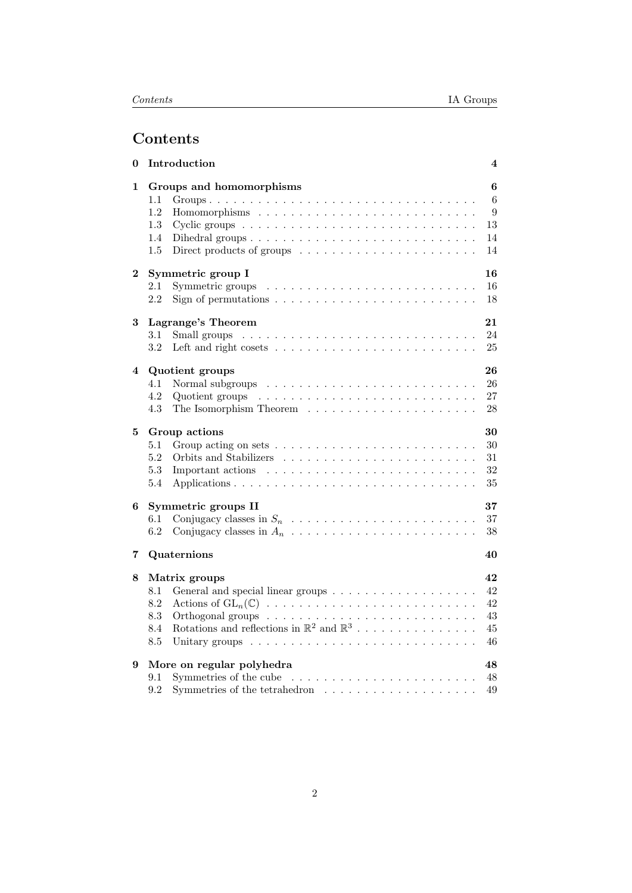# Contents

| 0        | Introduction                                                                          | 4      |  |  |  |  |  |  |  |
|----------|---------------------------------------------------------------------------------------|--------|--|--|--|--|--|--|--|
| 1        | Groups and homomorphisms<br>1.1                                                       | 6<br>6 |  |  |  |  |  |  |  |
|          | 1.2                                                                                   | 9      |  |  |  |  |  |  |  |
|          | 1.3                                                                                   | 13     |  |  |  |  |  |  |  |
|          | 1.4                                                                                   | 14     |  |  |  |  |  |  |  |
|          | 1.5<br>Direct products of groups $\dots \dots \dots \dots \dots \dots \dots \dots$    | 14     |  |  |  |  |  |  |  |
| $\bf{2}$ | Symmetric group I                                                                     | 16     |  |  |  |  |  |  |  |
|          | 2.1<br>Symmetric groups                                                               | 16     |  |  |  |  |  |  |  |
|          | 2.2<br>Sign of permutations $\ldots \ldots \ldots \ldots \ldots \ldots \ldots \ldots$ | 18     |  |  |  |  |  |  |  |
| 3        | Lagrange's Theorem                                                                    | 21     |  |  |  |  |  |  |  |
|          | 3.1                                                                                   | 24     |  |  |  |  |  |  |  |
|          | 3.2                                                                                   | 25     |  |  |  |  |  |  |  |
| 4        | Quotient groups                                                                       | 26     |  |  |  |  |  |  |  |
|          | 4.1                                                                                   | 26     |  |  |  |  |  |  |  |
|          | 4.2                                                                                   | 27     |  |  |  |  |  |  |  |
|          | 4.3                                                                                   | 28     |  |  |  |  |  |  |  |
| 5        | Group actions                                                                         | 30     |  |  |  |  |  |  |  |
|          | 5.1                                                                                   | 30     |  |  |  |  |  |  |  |
|          | 5.2<br>Orbits and Stabilizers                                                         | 31     |  |  |  |  |  |  |  |
|          | 5.3                                                                                   | 32     |  |  |  |  |  |  |  |
|          | 5.4                                                                                   | 35     |  |  |  |  |  |  |  |
| 6        | 37<br>Symmetric groups II                                                             |        |  |  |  |  |  |  |  |
|          | 6.1                                                                                   | 37     |  |  |  |  |  |  |  |
|          | 6.2                                                                                   | 38     |  |  |  |  |  |  |  |
| 7        | Quaternions                                                                           | 40     |  |  |  |  |  |  |  |
| 8        | Matrix groups                                                                         | 42     |  |  |  |  |  |  |  |
|          | 8.1                                                                                   | 42     |  |  |  |  |  |  |  |
|          | 8.2                                                                                   | 42     |  |  |  |  |  |  |  |
|          | 8.3                                                                                   | 43     |  |  |  |  |  |  |  |
|          | Rotations and reflections in $\mathbb{R}^2$ and $\mathbb{R}^3$<br>8.4                 | 45     |  |  |  |  |  |  |  |
|          | 8.5                                                                                   | 46     |  |  |  |  |  |  |  |
| 9        | More on regular polyhedra                                                             | 48     |  |  |  |  |  |  |  |
|          | 9.1                                                                                   | 48     |  |  |  |  |  |  |  |
|          | Symmetries of the tetrahedron $\dots \dots \dots \dots \dots \dots \dots$<br>9.2      | 49     |  |  |  |  |  |  |  |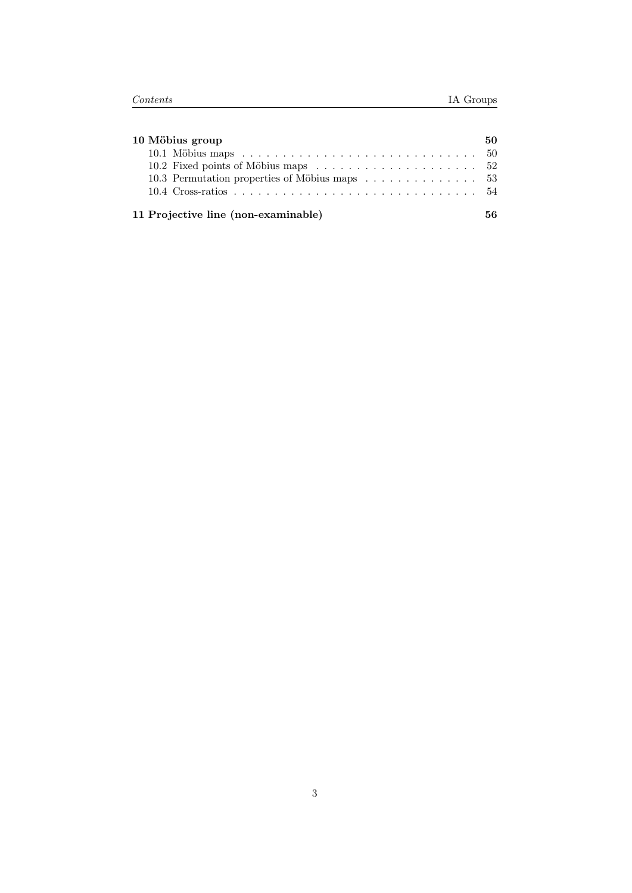| 10 Möbius group                               |  |  |  |  |  |  |  |
|-----------------------------------------------|--|--|--|--|--|--|--|
|                                               |  |  |  |  |  |  |  |
|                                               |  |  |  |  |  |  |  |
| 10.3 Permutation properties of Möbius maps 53 |  |  |  |  |  |  |  |
|                                               |  |  |  |  |  |  |  |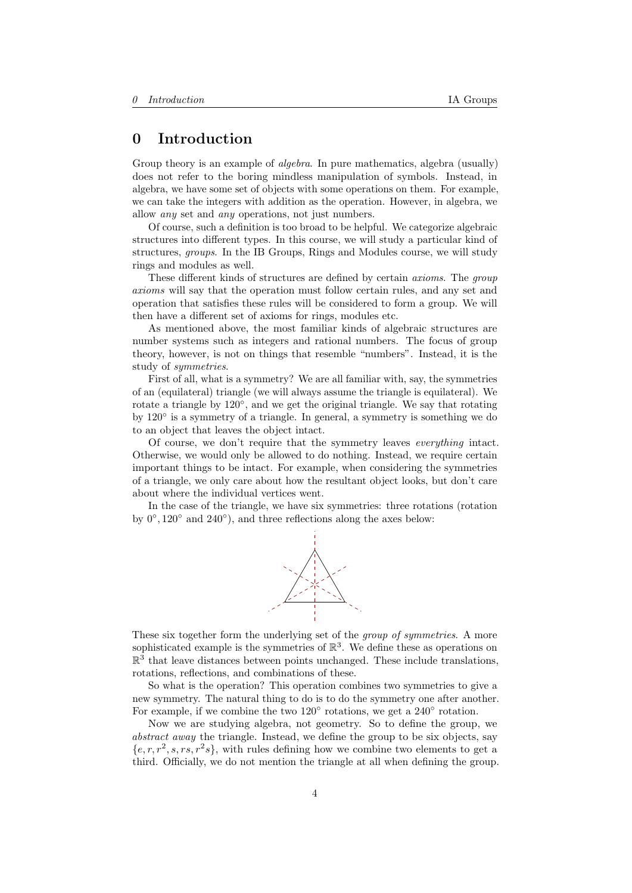# <span id="page-3-0"></span>0 Introduction

Group theory is an example of *algebra*. In pure mathematics, algebra (usually) does not refer to the boring mindless manipulation of symbols. Instead, in algebra, we have some set of objects with some operations on them. For example, we can take the integers with addition as the operation. However, in algebra, we allow any set and any operations, not just numbers.

Of course, such a definition is too broad to be helpful. We categorize algebraic structures into different types. In this course, we will study a particular kind of structures, groups. In the IB Groups, Rings and Modules course, we will study rings and modules as well.

These different kinds of structures are defined by certain axioms. The group axioms will say that the operation must follow certain rules, and any set and operation that satisfies these rules will be considered to form a group. We will then have a different set of axioms for rings, modules etc.

As mentioned above, the most familiar kinds of algebraic structures are number systems such as integers and rational numbers. The focus of group theory, however, is not on things that resemble "numbers". Instead, it is the study of symmetries.

First of all, what is a symmetry? We are all familiar with, say, the symmetries of an (equilateral) triangle (we will always assume the triangle is equilateral). We rotate a triangle by 120°, and we get the original triangle. We say that rotating by 120◦ is a symmetry of a triangle. In general, a symmetry is something we do to an object that leaves the object intact.

Of course, we don't require that the symmetry leaves everything intact. Otherwise, we would only be allowed to do nothing. Instead, we require certain important things to be intact. For example, when considering the symmetries of a triangle, we only care about how the resultant object looks, but don't care about where the individual vertices went.

In the case of the triangle, we have six symmetries: three rotations (rotation by  $0^\circ$ , 120 $^\circ$  and 240 $^\circ$ ), and three reflections along the axes below:



These six together form the underlying set of the group of symmetries. A more sophisticated example is the symmetries of  $\mathbb{R}^3$ . We define these as operations on  $\mathbb{R}^3$  that leave distances between points unchanged. These include translations, rotations, reflections, and combinations of these.

So what is the operation? This operation combines two symmetries to give a new symmetry. The natural thing to do is to do the symmetry one after another. For example, if we combine the two 120<sup>°</sup> rotations, we get a 240<sup>°</sup> rotation.

Now we are studying algebra, not geometry. So to define the group, we abstract away the triangle. Instead, we define the group to be six objects, say  ${e, r, r^2, s, rs, r^2s}$ , with rules defining how we combine two elements to get a third. Officially, we do not mention the triangle at all when defining the group.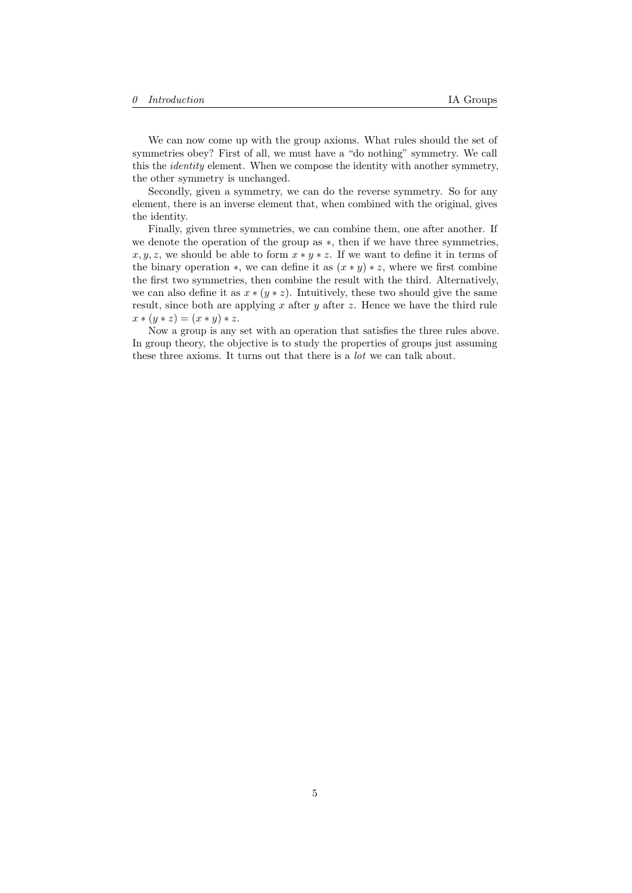We can now come up with the group axioms. What rules should the set of symmetries obey? First of all, we must have a "do nothing" symmetry. We call this the identity element. When we compose the identity with another symmetry, the other symmetry is unchanged.

Secondly, given a symmetry, we can do the reverse symmetry. So for any element, there is an inverse element that, when combined with the original, gives the identity.

Finally, given three symmetries, we can combine them, one after another. If we denote the operation of the group as ∗, then if we have three symmetries,  $x, y, z$ , we should be able to form  $x * y * z$ . If we want to define it in terms of the binary operation  $*$ , we can define it as  $(x * y) * z$ , where we first combine the first two symmetries, then combine the result with the third. Alternatively, we can also define it as  $x * (y * z)$ . Intuitively, these two should give the same result, since both are applying x after y after z. Hence we have the third rule  $x * (y * z) = (x * y) * z.$ 

Now a group is any set with an operation that satisfies the three rules above. In group theory, the objective is to study the properties of groups just assuming these three axioms. It turns out that there is a lot we can talk about.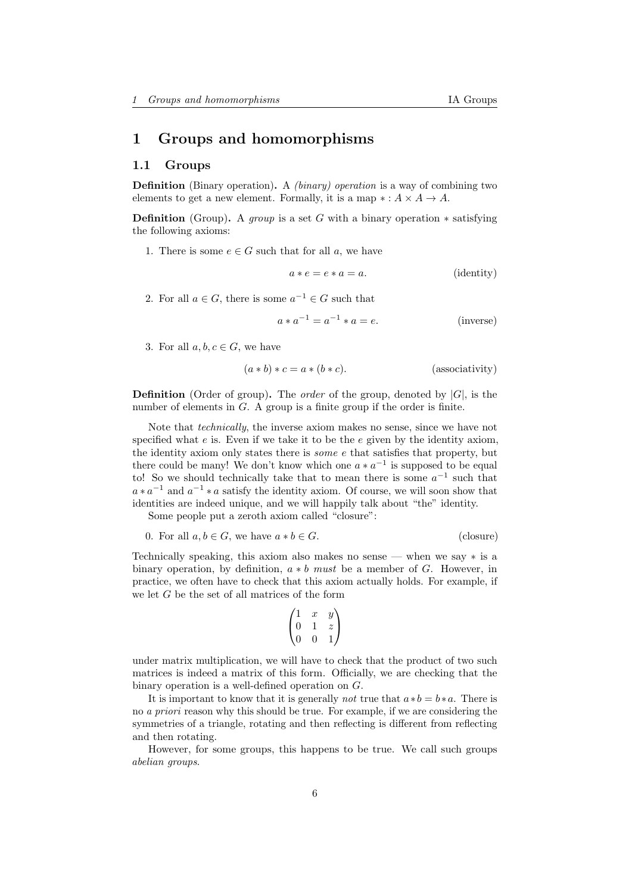# <span id="page-5-0"></span>1 Groups and homomorphisms

# <span id="page-5-1"></span>1.1 Groups

Definition (Binary operation). A (binary) operation is a way of combining two elements to get a new element. Formally, it is a map  $*: A \times A \rightarrow A$ .

**Definition** (Group). A *group* is a set G with a binary operation  $*$  satisfying the following axioms:

1. There is some  $e \in G$  such that for all a, we have

$$
a * e = e * a = a.
$$
 (identity)

2. For all  $a \in G$ , there is some  $a^{-1} \in G$  such that

$$
a * a^{-1} = a^{-1} * a = e.
$$
 (inverse)

3. For all  $a, b, c \in G$ , we have

$$
(a * b) * c = a * (b * c).
$$
 (associativity)

**Definition** (Order of group). The *order* of the group, denoted by  $|G|$ , is the number of elements in  $G$ . A group is a finite group if the order is finite.

Note that technically, the inverse axiom makes no sense, since we have not specified what  $e$  is. Even if we take it to be the  $e$  given by the identity axiom, the identity axiom only states there is some e that satisfies that property, but there could be many! We don't know which one  $a * a^{-1}$  is supposed to be equal to! So we should technically take that to mean there is some  $a^{-1}$  such that  $a * a^{-1}$  and  $a^{-1} * a$  satisfy the identity axiom. Of course, we will soon show that identities are indeed unique, and we will happily talk about "the" identity.

Some people put a zeroth axiom called "closure":

$$
0. For all  $a, b \in G$ , we have  $a * b \in G$ . (closure)
$$

Technically speaking, this axiom also makes no sense — when we say ∗ is a binary operation, by definition,  $a * b$  must be a member of G. However, in practice, we often have to check that this axiom actually holds. For example, if we let G be the set of all matrices of the form

$$
\begin{pmatrix} 1 & x & y \\ 0 & 1 & z \\ 0 & 0 & 1 \end{pmatrix}
$$

under matrix multiplication, we will have to check that the product of two such matrices is indeed a matrix of this form. Officially, we are checking that the binary operation is a well-defined operation on G.

It is important to know that it is generally *not* true that  $a * b = b * a$ . There is no a priori reason why this should be true. For example, if we are considering the symmetries of a triangle, rotating and then reflecting is different from reflecting and then rotating.

However, for some groups, this happens to be true. We call such groups abelian groups.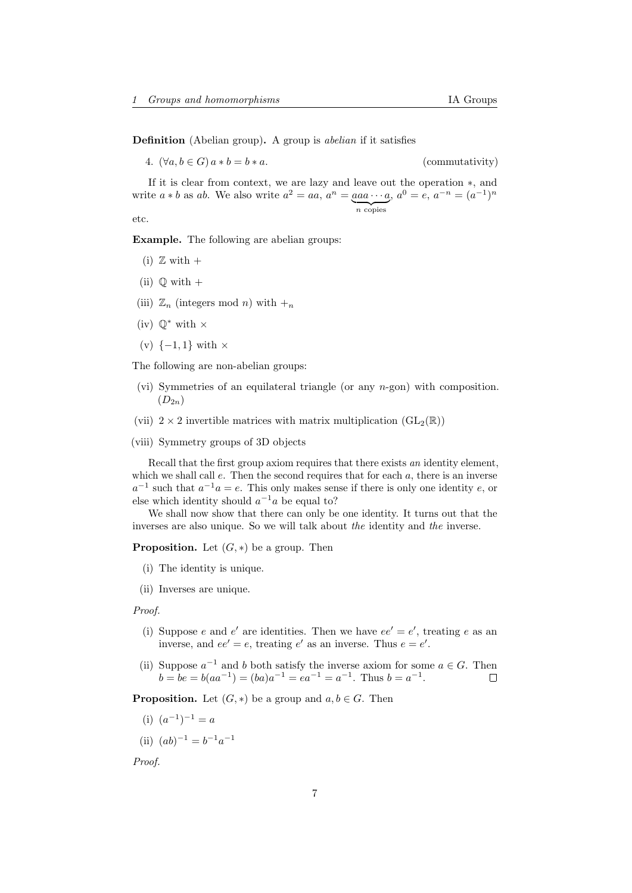Definition (Abelian group). A group is *abelian* if it satisfies

4. 
$$
(\forall a, b \in G) a * b = b * a.
$$

 $(commutativity)$ 

If it is clear from context, we are lazy and leave out the operation ∗, and write  $a * b$  as ab. We also write  $a^2 = aa, a^n = aaa \cdots a$  $\overline{n}$  copies  $a^0 = e, a^{-n} = (a^{-1})^n$ 

etc.

Example. The following are abelian groups:

- (i)  $\mathbb Z$  with  $+$
- (ii)  $\mathbb Q$  with  $+$
- (iii)  $\mathbb{Z}_n$  (integers mod n) with  $+_n$
- (iv)  $\mathbb{Q}^*$  with  $\times$
- (v)  $\{-1, 1\}$  with  $\times$

The following are non-abelian groups:

- (vi) Symmetries of an equilateral triangle (or any n-gon) with composition.  $(D_{2n})$
- (vii)  $2 \times 2$  invertible matrices with matrix multiplication  $(GL_2(\mathbb{R}))$
- (viii) Symmetry groups of 3D objects

Recall that the first group axiom requires that there exists an identity element, which we shall call  $e$ . Then the second requires that for each  $a$ , there is an inverse  $a^{-1}$  such that  $a^{-1}a = e$ . This only makes sense if there is only one identity e, or else which identity should  $a^{-1}a$  be equal to?

We shall now show that there can only be one identity. It turns out that the inverses are also unique. So we will talk about the identity and the inverse.

**Proposition.** Let  $(G, *)$  be a group. Then

- (i) The identity is unique.
- (ii) Inverses are unique.

Proof.

- (i) Suppose e and e' are identities. Then we have  $ee' = e'$ , treating e as an inverse, and  $ee' = e$ , treating  $e'$  as an inverse. Thus  $e = e'$ .
- (ii) Suppose  $a^{-1}$  and b both satisfy the inverse axiom for some  $a \in G$ . Then  $b = be = b(aa^{-1}) = (ba)a^{-1} = ea^{-1} = a^{-1}$ . Thus  $b = a^{-1}$ . □

**Proposition.** Let  $(G, *)$  be a group and  $a, b \in G$ . Then

- (i)  $(a^{-1})^{-1} = a$
- (ii)  $(ab)^{-1} = b^{-1}a^{-1}$

Proof.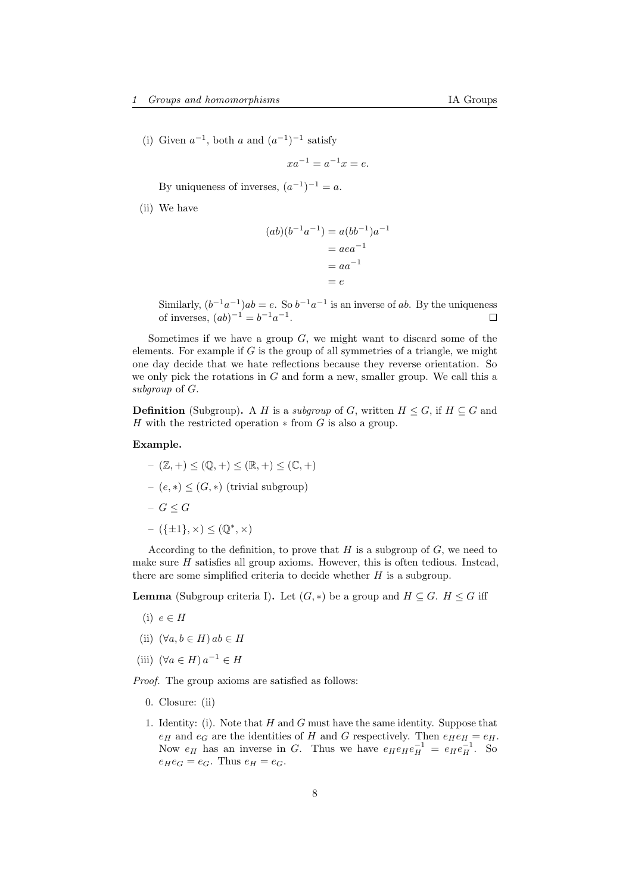(i) Given  $a^{-1}$ , both a and  $(a^{-1})^{-1}$  satisfy

$$
xa^{-1} = a^{-1}x = e.
$$

By uniqueness of inverses,  $(a^{-1})^{-1} = a$ .

(ii) We have

$$
(ab)(b^{-1}a^{-1}) = a(bb^{-1})a^{-1}
$$

$$
= aea^{-1}
$$

$$
= aa^{-1}
$$

$$
= e
$$

Similarly,  $(b^{-1}a^{-1})ab = e$ . So  $b^{-1}a^{-1}$  is an inverse of ab. By the uniqueness of inverses,  $(ab)^{-1} = b^{-1}a^{-1}$ .

Sometimes if we have a group  $G$ , we might want to discard some of the elements. For example if  $G$  is the group of all symmetries of a triangle, we might one day decide that we hate reflections because they reverse orientation. So we only pick the rotations in  $G$  and form a new, smaller group. We call this a subgroup of G.

**Definition** (Subgroup). A H is a subgroup of G, written  $H \leq G$ , if  $H \subseteq G$  and H with the restricted operation  $*$  from G is also a group.

### Example.

 $(\mathbb{Z}, +) \leq (\mathbb{Q}, +) \leq (\mathbb{R}, +) \leq (\mathbb{C}, +)$ – (e, ∗) ≤ (G, ∗) (trivial subgroup) – G ≤ G  $({\{\pm 1\}}, \times) \leq (\mathbb{Q}^*, \times)$ 

According to the definition, to prove that  $H$  is a subgroup of  $G$ , we need to make sure  $H$  satisfies all group axioms. However, this is often tedious. Instead, there are some simplified criteria to decide whether  $H$  is a subgroup.

**Lemma** (Subgroup criteria I). Let  $(G, *)$  be a group and  $H \subseteq G$ .  $H \leq G$  iff

- (i)  $e \in H$
- (ii)  $(\forall a, b \in H) ab \in H$
- (iii)  $(\forall a \in H) a^{-1} \in H$

Proof. The group axioms are satisfied as follows:

- 0. Closure: (ii)
- 1. Identity: (i). Note that  $H$  and  $G$  must have the same identity. Suppose that  $e_H$  and  $e_G$  are the identities of H and G respectively. Then  $e_He_H = e_H$ . Now  $e_H$  has an inverse in G. Thus we have  $e_H e_H e_H^{-1} = e_H e_H^{-1}$ . So  $e_He_G = e_G$ . Thus  $e_H = e_G$ .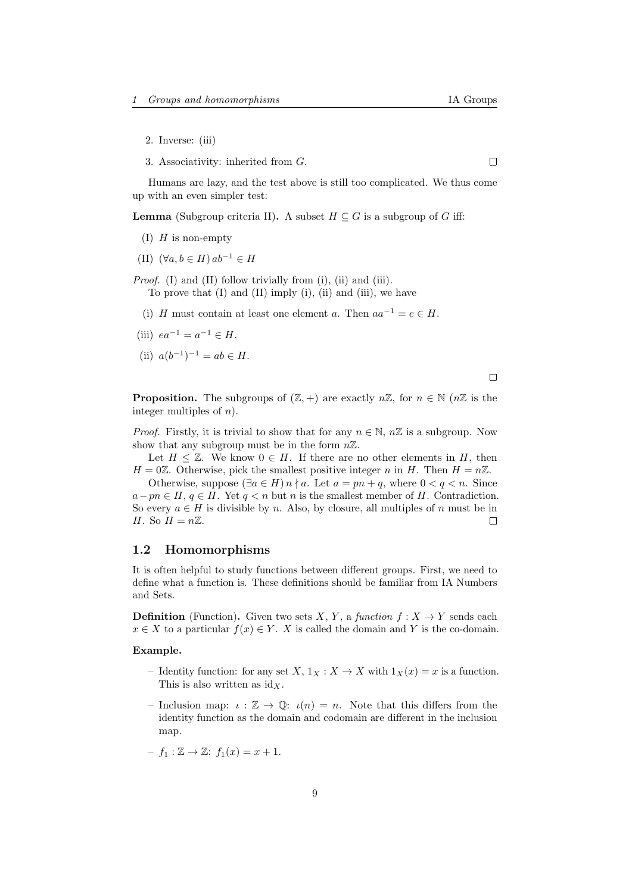$\Box$ 

- 2. Inverse: (iii)
- 3. Associativity: inherited from G.

Humans are lazy, and the test above is still too complicated. We thus come up with an even simpler test:

**Lemma** (Subgroup criteria II). A subset  $H \subseteq G$  is a subgroup of G iff:

- (I)  $H$  is non-empty
- (II)  $(\forall a, b \in H) ab^{-1} \in H$
- Proof. (I) and (II) follow trivially from (i), (ii) and (iii). To prove that  $(I)$  and  $(II)$  imply  $(i)$ ,  $(ii)$  and  $(iii)$ , we have
	- (i) H must contain at least one element a. Then  $aa^{-1} = e \in H$ .
- (iii)  $ea^{-1} = a^{-1} \in H$ .
- (ii)  $a(b^{-1})^{-1} = ab \in H$ .

$$
\Box
$$

**Proposition.** The subgroups of  $(\mathbb{Z}, +)$  are exactly  $n\mathbb{Z}$ , for  $n \in \mathbb{N}$  ( $n\mathbb{Z}$  is the integer multiples of  $n$ ).

*Proof.* Firstly, it is trivial to show that for any  $n \in \mathbb{N}$ ,  $n\mathbb{Z}$  is a subgroup. Now show that any subgroup must be in the form  $n\mathbb{Z}$ .

Let  $H \leq \mathbb{Z}$ . We know  $0 \in H$ . If there are no other elements in H, then  $H = 0\mathbb{Z}$ . Otherwise, pick the smallest positive integer n in H. Then  $H = n\mathbb{Z}$ .

Otherwise, suppose  $(\exists a \in H) n \nmid a$ . Let  $a = pn + q$ , where  $0 < q < n$ . Since  $a-pn \in H$ ,  $q \in H$ . Yet  $q < n$  but n is the smallest member of H. Contradiction. So every  $a \in H$  is divisible by n. Also, by closure, all multiples of n must be in H. So  $H = n\mathbb{Z}$ .  $\Box$ 

### <span id="page-8-0"></span>1.2 Homomorphisms

It is often helpful to study functions between different groups. First, we need to define what a function is. These definitions should be familiar from IA Numbers and Sets.

**Definition** (Function). Given two sets X, Y, a function  $f: X \to Y$  sends each  $x \in X$  to a particular  $f(x) \in Y$ . X is called the domain and Y is the co-domain.

### Example.

- Identity function: for any set  $X, 1_X : X \to X$  with  $1_X(x) = x$  is a function. This is also written as  $\mathrm{id}_X$ .
- Inclusion map:  $\iota : \mathbb{Z} \to \mathbb{Q}$ :  $\iota(n) = n$ . Note that this differs from the identity function as the domain and codomain are different in the inclusion map.
- $-f_1 : \mathbb{Z} \to \mathbb{Z}: f_1(x) = x + 1.$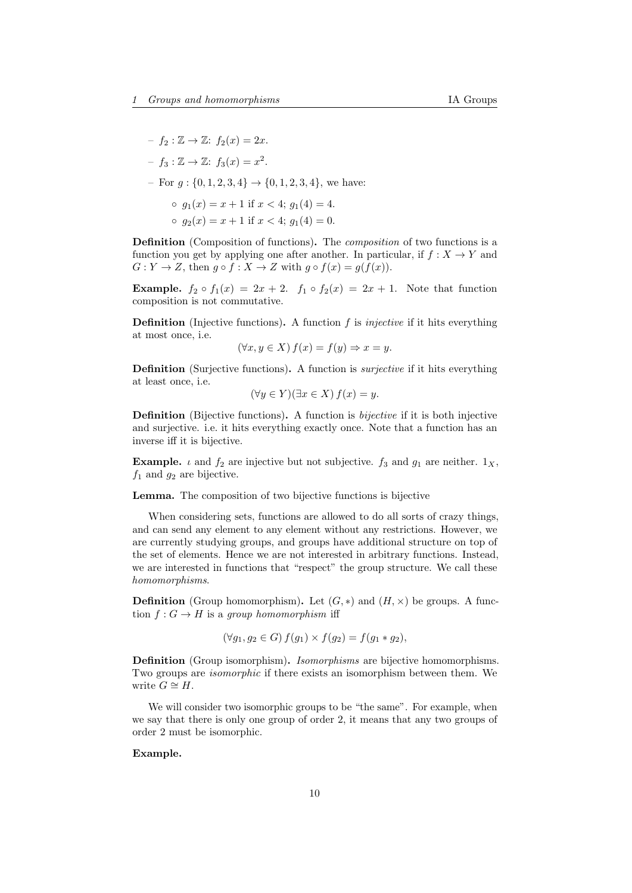$- f_2 : \mathbb{Z} \to \mathbb{Z}$ :  $f_2(x) = 2x$ .  $-f_3: \mathbb{Z} \to \mathbb{Z}: f_3(x) = x^2.$ – For  $q: \{0, 1, 2, 3, 4\} \rightarrow \{0, 1, 2, 3, 4\}$ , we have:  $\circ$   $q_1(x) = x + 1$  if  $x < 4$ ;  $q_1(4) = 4$ .  $q_2(x) = x + 1$  if  $x < 4$ ;  $q_1(4) = 0$ .

Definition (Composition of functions). The composition of two functions is a function you get by applying one after another. In particular, if  $f: X \to Y$  and  $G: Y \to Z$ , then  $g \circ f: X \to Z$  with  $g \circ f(x) = g(f(x))$ .

**Example.**  $f_2 \circ f_1(x) = 2x + 2$ .  $f_1 \circ f_2(x) = 2x + 1$ . Note that function composition is not commutative.

**Definition** (Injective functions). A function  $f$  is *injective* if it hits everything at most once, i.e.

$$
(\forall x, y \in X) f(x) = f(y) \Rightarrow x = y.
$$

Definition (Surjective functions). A function is surjective if it hits everything at least once, i.e.

$$
(\forall y \in Y)(\exists x \in X) f(x) = y.
$$

Definition (Bijective functions). A function is bijective if it is both injective and surjective. i.e. it hits everything exactly once. Note that a function has an inverse iff it is bijective.

**Example.** *i* and  $f_2$  are injective but not subjective.  $f_3$  and  $g_1$  are neither.  $1_X$ ,  $f_1$  and  $g_2$  are bijective.

Lemma. The composition of two bijective functions is bijective

When considering sets, functions are allowed to do all sorts of crazy things, and can send any element to any element without any restrictions. However, we are currently studying groups, and groups have additional structure on top of the set of elements. Hence we are not interested in arbitrary functions. Instead, we are interested in functions that "respect" the group structure. We call these homomorphisms.

**Definition** (Group homomorphism). Let  $(G, *)$  and  $(H, x)$  be groups. A function  $f: G \to H$  is a group homomorphism iff

$$
(\forall g_1, g_2 \in G) f(g_1) \times f(g_2) = f(g_1 * g_2),
$$

Definition (Group isomorphism). Isomorphisms are bijective homomorphisms. Two groups are isomorphic if there exists an isomorphism between them. We write  $G \cong H$ .

We will consider two isomorphic groups to be "the same". For example, when we say that there is only one group of order 2, it means that any two groups of order 2 must be isomorphic.

### Example.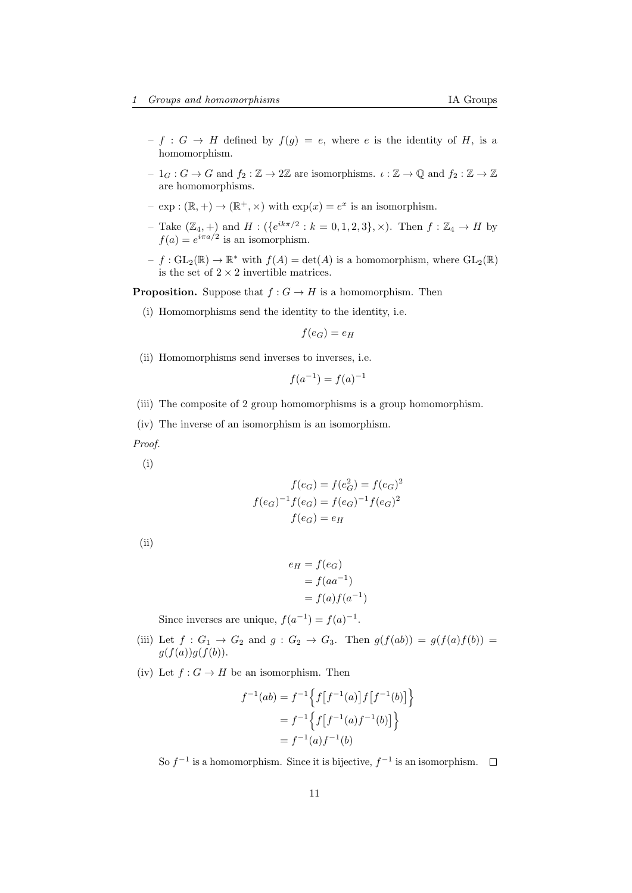- $-f: G \to H$  defined by  $f(g) = e$ , where e is the identity of H, is a homomorphism.
- $-1_G: G \to G$  and  $f_2: \mathbb{Z} \to 2\mathbb{Z}$  are isomorphisms.  $\iota: \mathbb{Z} \to \mathbb{Q}$  and  $f_2: \mathbb{Z} \to \mathbb{Z}$ are homomorphisms.
- $\exp : (\mathbb{R}, +) \to (\mathbb{R}^+, \times)$  with  $\exp(x) = e^x$  is an isomorphism.
- Take  $(\mathbb{Z}_4, +)$  and  $H : (\{e^{ik\pi/2} : k = 0, 1, 2, 3\}, \times)$ . Then  $f : \mathbb{Z}_4 \to H$  by  $f(a) = e^{i\pi a/2}$  is an isomorphism.
- $-f: GL_2(\mathbb{R}) \to \mathbb{R}^*$  with  $f(A) = det(A)$  is a homomorphism, where  $GL_2(\mathbb{R})$ is the set of  $2 \times 2$  invertible matrices.

**Proposition.** Suppose that  $f : G \to H$  is a homomorphism. Then

(i) Homomorphisms send the identity to the identity, i.e.

$$
f(e_G) = e_H
$$

(ii) Homomorphisms send inverses to inverses, i.e.

$$
f(a^{-1}) = f(a)^{-1}
$$

- (iii) The composite of 2 group homomorphisms is a group homomorphism.
- (iv) The inverse of an isomorphism is an isomorphism.

Proof.

(i)

$$
f(e_G) = f(e_G^2) = f(e_G)^2
$$

$$
f(e_G)^{-1}f(e_G) = f(e_G)^{-1}f(e_G)^2
$$

$$
f(e_G) = e_H
$$

(ii)

$$
e_H = f(e_G)
$$
  
=  $f(aa^{-1})$   
=  $f(a)f(a^{-1})$ 

Since inverses are unique,  $f(a^{-1}) = f(a)^{-1}$ .

- (iii) Let  $f: G_1 \rightarrow G_2$  and  $g: G_2 \rightarrow G_3$ . Then  $g(f(ab)) = g(f(a)f(b)) = g(f(a))$  $g(f(a))g(f(b)).$
- (iv) Let  $f: G \to H$  be an isomorphism. Then

$$
f^{-1}(ab) = f^{-1}\left\{f[f^{-1}(a)]f[f^{-1}(b)]\right\}
$$

$$
= f^{-1}\left\{f[f^{-1}(a)f^{-1}(b)]\right\}
$$

$$
= f^{-1}(a)f^{-1}(b)
$$

So  $f^{-1}$  is a homomorphism. Since it is bijective,  $f^{-1}$  is an isomorphism.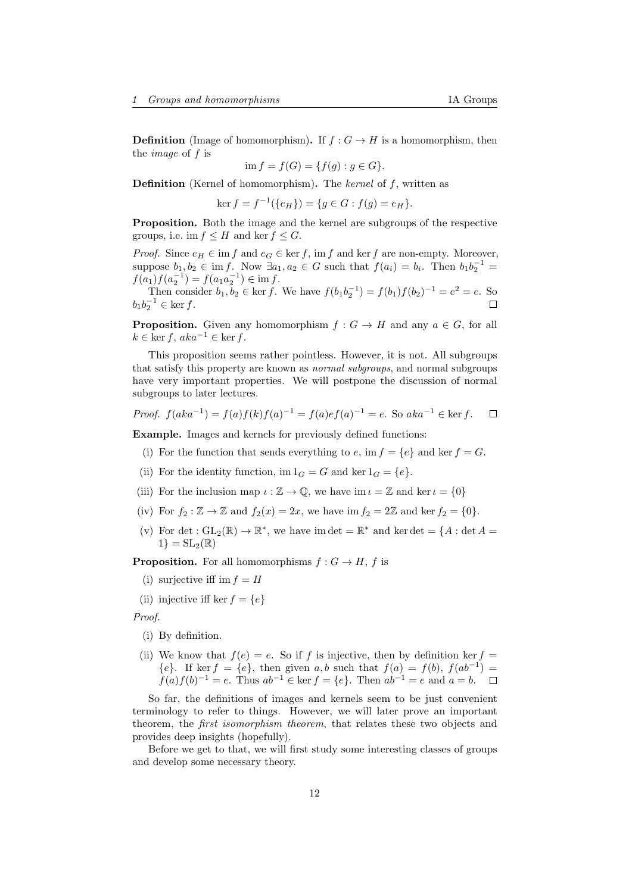**Definition** (Image of homomorphism). If  $f : G \to H$  is a homomorphism, then the image of f is

$$
\text{im } f = f(G) = \{ f(g) : g \in G \}.
$$

Definition (Kernel of homomorphism). The kernel of f, written as

 $\ker f = f^{-1}(\{e_H\}) = \{g \in G : f(g) = e_H\}.$ 

Proposition. Both the image and the kernel are subgroups of the respective groups, i.e. im  $f \leq H$  and ker  $f \leq G$ .

*Proof.* Since  $e_H \in \text{im } f$  and  $e_G \in \text{ker } f$ , im f and ker f are non-empty. Moreover, suppose  $b_1, b_2 \in \text{im } f$ . Now  $\exists a_1, a_2 \in G$  such that  $f(a_i) = b_i$ . Then  $b_1b_2^{-1} =$  $f(a_1)f(a_2^{-1}) = f(a_1a_2^{-1}) \in \text{im } f.$ 

Then consider  $b_1, b_2 \in \ker f$ . We have  $f(b_1b_2^{-1}) = f(b_1)f(b_2)^{-1} = e^2 = e$ . So  $b_1 b_2^{-1} \in \ker f.$ 

**Proposition.** Given any homomorphism  $f : G \to H$  and any  $a \in G$ , for all  $k \in \text{ker } f, aka^{-1} \in \text{ker } f.$ 

This proposition seems rather pointless. However, it is not. All subgroups that satisfy this property are known as *normal subgroups*, and normal subgroups have very important properties. We will postpone the discussion of normal subgroups to later lectures.

*Proof.* 
$$
f(aka^{-1}) = f(a)f(k)f(a)^{-1} = f(a)ef(a)^{-1} = e
$$
. So  $aka^{-1} \in \text{ker } f$ .  $\square$ 

Example. Images and kernels for previously defined functions:

- (i) For the function that sends everything to e, im  $f = \{e\}$  and ker  $f = G$ .
- (ii) For the identity function,  $\text{im } 1_G = G$  and  $\text{ker } 1_G = \{e\}.$
- (iii) For the inclusion map  $\iota : \mathbb{Z} \to \mathbb{Q}$ , we have im  $\iota = \mathbb{Z}$  and ker  $\iota = \{0\}$
- (iv) For  $f_2 : \mathbb{Z} \to \mathbb{Z}$  and  $f_2(x) = 2x$ , we have  $\text{im } f_2 = 2\mathbb{Z}$  and  $\text{ker } f_2 = \{0\}.$
- (v) For det :  $GL_2(\mathbb{R}) \to \mathbb{R}^*$ , we have im det =  $\mathbb{R}^*$  and ker det = {A : det A =  $1$ } =  $SL_2(\mathbb{R})$

**Proposition.** For all homomorphisms  $f : G \to H$ , f is

- (i) surjective iff im  $f = H$
- (ii) injective iff ker  $f = \{e\}$

Proof.

- (i) By definition.
- (ii) We know that  $f(e) = e$ . So if f is injective, then by definition ker  $f =$  ${e}$ . If ker  $f = {e}$ , then given a,b such that  $f(a) = f(b)$ ,  $f(ab^{-1}) =$  $f(a)f(b)^{-1} = e$ . Thus  $ab^{-1} \in \text{ker } f = \{e\}$ . Then  $ab^{-1} = e$  and  $a = b$ .

So far, the definitions of images and kernels seem to be just convenient terminology to refer to things. However, we will later prove an important theorem, the first isomorphism theorem, that relates these two objects and provides deep insights (hopefully).

Before we get to that, we will first study some interesting classes of groups and develop some necessary theory.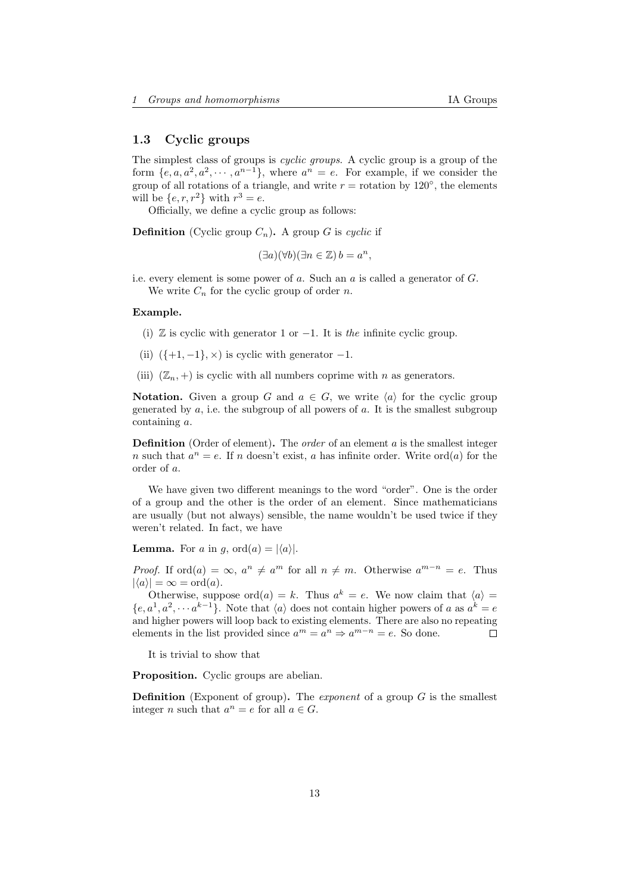# <span id="page-12-0"></span>1.3 Cyclic groups

The simplest class of groups is cyclic groups. A cyclic group is a group of the form  $\{e, a, a^2, a^2, \cdots, a^{n-1}\}$ , where  $a^n = e$ . For example, if we consider the group of all rotations of a triangle, and write  $r =$  rotation by 120 $\degree$ , the elements will be  $\{e, r, r^2\}$  with  $r^3 = e$ .

Officially, we define a cyclic group as follows:

**Definition** (Cyclic group  $C_n$ ). A group G is cyclic if

 $(\exists a)(\forall b)(\exists n \in \mathbb{Z})$   $b = a^n$ ,

i.e. every element is some power of a. Such an a is called a generator of G. We write  $C_n$  for the cyclic group of order n.

### Example.

- (i)  $\mathbb Z$  is cyclic with generator 1 or  $-1$ . It is the infinite cyclic group.
- (ii)  $({+1}, -1)$ ,  $\times$ ) is cyclic with generator  $-1$ .
- (iii)  $(\mathbb{Z}_n, +)$  is cyclic with all numbers coprime with n as generators.

**Notation.** Given a group G and  $a \in G$ , we write  $\langle a \rangle$  for the cyclic group generated by  $a$ , i.e. the subgroup of all powers of  $a$ . It is the smallest subgroup containing a.

**Definition** (Order of element). The *order* of an element  $a$  is the smallest integer *n* such that  $a^n = e$ . If *n* doesn't exist, *a* has infinite order. Write ord(*a*) for the order of a.

We have given two different meanings to the word "order". One is the order of a group and the other is the order of an element. Since mathematicians are usually (but not always) sensible, the name wouldn't be used twice if they weren't related. In fact, we have

**Lemma.** For a in g, ord $(a) = |\langle a \rangle|$ .

*Proof.* If ord $(a) = \infty$ ,  $a^n \neq a^m$  for all  $n \neq m$ . Otherwise  $a^{m-n} = e$ . Thus  $|\langle a \rangle| = \infty = \text{ord}(a).$ 

Otherwise, suppose ord $(a) = k$ . Thus  $a^k = e$ . We now claim that  $\langle a \rangle =$  $\{e, a^1, a^2, \cdots a^{k-1}\}.$  Note that  $\langle a \rangle$  does not contain higher powers of a as  $a^k = e$ and higher powers will loop back to existing elements. There are also no repeating elements in the list provided since  $a^m = a^n \Rightarrow a^{m-n} = e$ . So done. П

It is trivial to show that

Proposition. Cyclic groups are abelian.

**Definition** (Exponent of group). The *exponent* of a group  $G$  is the smallest integer *n* such that  $a^n = e$  for all  $a \in G$ .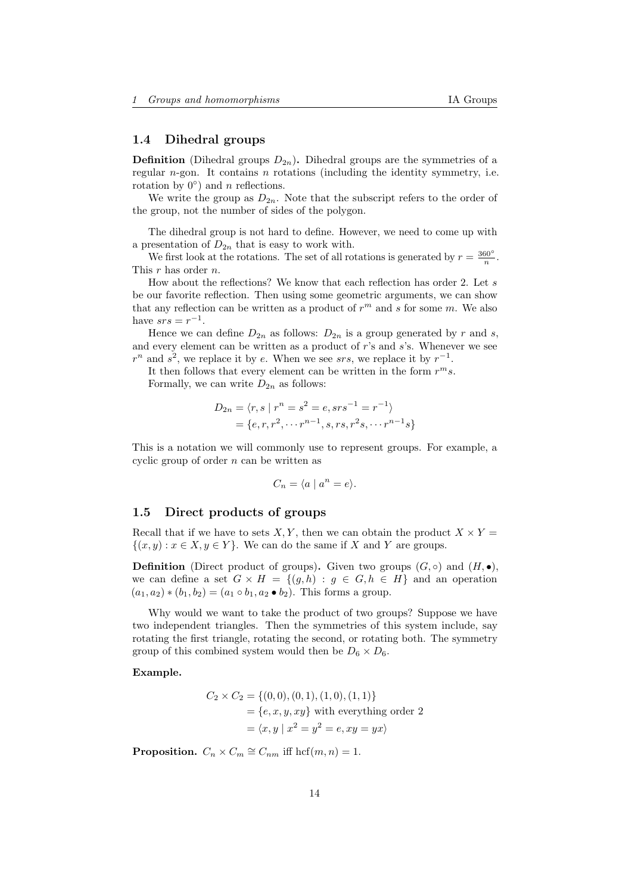# <span id="page-13-0"></span>1.4 Dihedral groups

**Definition** (Dihedral groups  $D_{2n}$ ). Dihedral groups are the symmetries of a regular  $n$ -gon. It contains  $n$  rotations (including the identity symmetry, i.e. rotation by  $0^{\circ}$ ) and *n* reflections.

We write the group as  $D_{2n}$ . Note that the subscript refers to the order of the group, not the number of sides of the polygon.

The dihedral group is not hard to define. However, we need to come up with a presentation of  $D_{2n}$  that is easy to work with.

We first look at the rotations. The set of all rotations is generated by  $r = \frac{360^{\circ}}{n}$ . This r has order n.

How about the reflections? We know that each reflection has order 2. Let s be our favorite reflection. Then using some geometric arguments, we can show that any reflection can be written as a product of  $r^m$  and s for some m. We also have  $srs = r^{-1}$ .

Hence we can define  $D_{2n}$  as follows:  $D_{2n}$  is a group generated by r and s, and every element can be written as a product of r's and s's. Whenever we see  $r^n$  and  $s^2$ , we replace it by e. When we see srs, we replace it by  $r^{-1}$ .

It then follows that every element can be written in the form  $r^m s$ . Formally, we can write  $D_{2n}$  as follows:

$$
D_{2n} = \langle r, s \mid r^n = s^2 = e, srs^{-1} = r^{-1} \rangle
$$
  
=  $\{e, r, r^2, \dots r^{n-1}, s, rs, r^2s, \dots r^{n-1}s\}$ 

This is a notation we will commonly use to represent groups. For example, a cyclic group of order  $n$  can be written as

$$
C_n = \langle a \mid a^n = e \rangle.
$$

### <span id="page-13-1"></span>1.5 Direct products of groups

Recall that if we have to sets X, Y, then we can obtain the product  $X \times Y =$  $\{(x, y) : x \in X, y \in Y\}$ . We can do the same if X and Y are groups.

**Definition** (Direct product of groups). Given two groups  $(G, \circ)$  and  $(H, \bullet)$ , we can define a set  $G \times H = \{(q, h) : q \in G, h \in H\}$  and an operation  $(a_1, a_2) * (b_1, b_2) = (a_1 \circ b_1, a_2 \bullet b_2)$ . This forms a group.

Why would we want to take the product of two groups? Suppose we have two independent triangles. Then the symmetries of this system include, say rotating the first triangle, rotating the second, or rotating both. The symmetry group of this combined system would then be  $D_6 \times D_6$ .

Example.

$$
C_2 \times C_2 = \{ (0, 0), (0, 1), (1, 0), (1, 1) \}
$$
  
=  $\{e, x, y, xy\}$  with everything order 2  
=  $\langle x, y | x^2 = y^2 = e, xy = yx \rangle$ 

**Proposition.**  $C_n \times C_m \cong C_{nm}$  iff hcf $(m, n) = 1$ .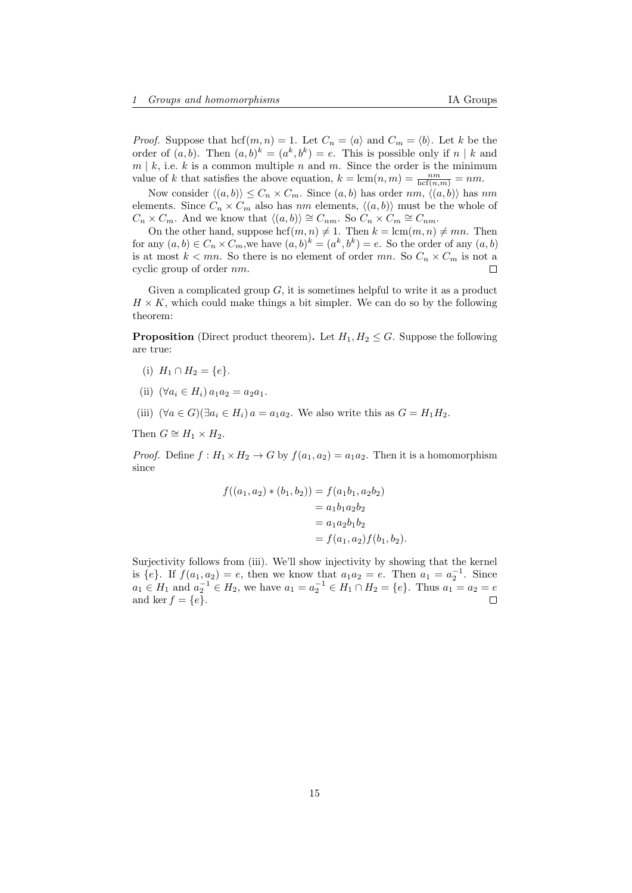*Proof.* Suppose that  $\text{hcf}(m, n) = 1$ . Let  $C_n = \langle a \rangle$  and  $C_m = \langle b \rangle$ . Let k be the order of  $(a, b)$ . Then  $(a, b)^k = (a^k, b^k) = e$ . This is possible only if  $n \mid k$  and  $m \mid k$ , i.e. k is a common multiple n and m. Since the order is the minimum value of k that satisfies the above equation,  $k = \text{lcm}(n, m) = \frac{nm}{\text{hcf}(n,m)} = nm$ .

Now consider  $\langle (a, b) \rangle \leq C_n \times C_m$ . Since  $(a, b)$  has order  $nm$ ,  $\langle (a, b) \rangle$  has  $nm$ elements. Since  $C_n \times C_m$  also has nm elements,  $\langle (a, b) \rangle$  must be the whole of  $C_n \times C_m$ . And we know that  $\langle (a, b) \rangle \cong C_{nm}$ . So  $C_n \times C_m \cong C_{nm}$ .

On the other hand, suppose hcf $(m, n) \neq 1$ . Then  $k = \text{lcm}(m, n) \neq mn$ . Then for any  $(a, b) \in C_n \times C_m$ , we have  $(a, b)^k = (a^k, b^k) = e$ . So the order of any  $(a, b)$ is at most  $k < mn$ . So there is no element of order mn. So  $C_n \times C_m$  is not a cyclic group of order nm.  $\Box$ 

Given a complicated group  $G$ , it is sometimes helpful to write it as a product  $H \times K$ , which could make things a bit simpler. We can do so by the following theorem:

**Proposition** (Direct product theorem). Let  $H_1, H_2 \leq G$ . Suppose the following are true:

- (i)  $H_1 \cap H_2 = \{e\}.$
- (ii)  $(\forall a_i \in H_i) a_1 a_2 = a_2 a_1$ .
- (iii)  $(\forall a \in G)(\exists a_i \in H_i)$  a = a<sub>1</sub>a<sub>2</sub>. We also write this as  $G = H_1 H_2$ .

Then  $G \cong H_1 \times H_2$ .

*Proof.* Define  $f : H_1 \times H_2 \to G$  by  $f(a_1, a_2) = a_1 a_2$ . Then it is a homomorphism since

$$
f((a_1, a_2) * (b_1, b_2)) = f(a_1b_1, a_2b_2)
$$
  
=  $a_1b_1a_2b_2$   
=  $a_1a_2b_1b_2$   
=  $f(a_1, a_2)f(b_1, b_2)$ .

Surjectivity follows from (iii). We'll show injectivity by showing that the kernel is {e}. If  $f(a_1, a_2) = e$ , then we know that  $a_1 a_2 = e$ . Then  $a_1 = a_2^{-1}$ . Since  $a_1 \in H_1$  and  $a_2^{-1} \in H_2$ , we have  $a_1 = a_2^{-1} \in H_1 \cap H_2 = \{e\}$ . Thus  $a_1 = a_2 = e$ and ker  $f = \{e\}.$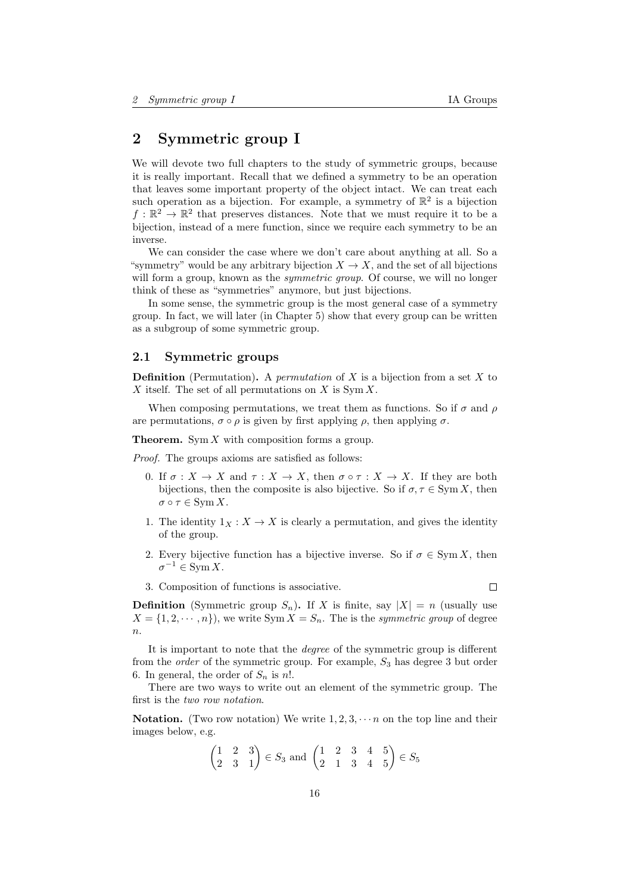# <span id="page-15-0"></span>2 Symmetric group I

We will devote two full chapters to the study of symmetric groups, because it is really important. Recall that we defined a symmetry to be an operation that leaves some important property of the object intact. We can treat each such operation as a bijection. For example, a symmetry of  $\mathbb{R}^2$  is a bijection  $f: \mathbb{R}^2 \to \mathbb{R}^2$  that preserves distances. Note that we must require it to be a bijection, instead of a mere function, since we require each symmetry to be an inverse.

We can consider the case where we don't care about anything at all. So a "symmetry" would be any arbitrary bijection  $X \to X$ , and the set of all bijections will form a group, known as the *symmetric group*. Of course, we will no longer think of these as "symmetries" anymore, but just bijections.

In some sense, the symmetric group is the most general case of a symmetry group. In fact, we will later (in Chapter [5\)](#page-29-0) show that every group can be written as a subgroup of some symmetric group.

### <span id="page-15-1"></span>2.1 Symmetric groups

**Definition** (Permutation). A *permutation* of X is a bijection from a set X to X itself. The set of all permutations on  $X$  is  $\text{Sym } X$ .

When composing permutations, we treat them as functions. So if  $\sigma$  and  $\rho$ are permutations,  $\sigma \circ \rho$  is given by first applying  $\rho$ , then applying  $\sigma$ .

**Theorem.** Sym  $X$  with composition forms a group.

Proof. The groups axioms are satisfied as follows:

- 0. If  $\sigma: X \to X$  and  $\tau: X \to X$ , then  $\sigma \circ \tau: X \to X$ . If they are both bijections, then the composite is also bijective. So if  $\sigma, \tau \in \text{Sym } X$ , then  $\sigma \circ \tau \in \text{Sym } X$ .
- 1. The identity  $1_X : X \to X$  is clearly a permutation, and gives the identity of the group.
- 2. Every bijective function has a bijective inverse. So if  $\sigma \in \text{Sym } X$ , then  $\sigma^{-1} \in \text{Sym } X.$
- 3. Composition of functions is associative.

**Definition** (Symmetric group  $S_n$ ). If X is finite, say  $|X| = n$  (usually use  $X = \{1, 2, \dots, n\}$ , we write Sym  $X = S_n$ . The is the *symmetric group* of degree  $n$ .

It is important to note that the degree of the symmetric group is different from the *order* of the symmetric group. For example,  $S_3$  has degree 3 but order 6. In general, the order of  $S_n$  is n!.

There are two ways to write out an element of the symmetric group. The first is the two row notation.

**Notation.** (Two row notation) We write  $1, 2, 3, \cdots n$  on the top line and their images below, e.g.

$$
\begin{pmatrix} 1 & 2 & 3 \ 2 & 3 & 1 \end{pmatrix} \in S_3 \text{ and } \begin{pmatrix} 1 & 2 & 3 & 4 & 5 \ 2 & 1 & 3 & 4 & 5 \end{pmatrix} \in S_5
$$

 $\Box$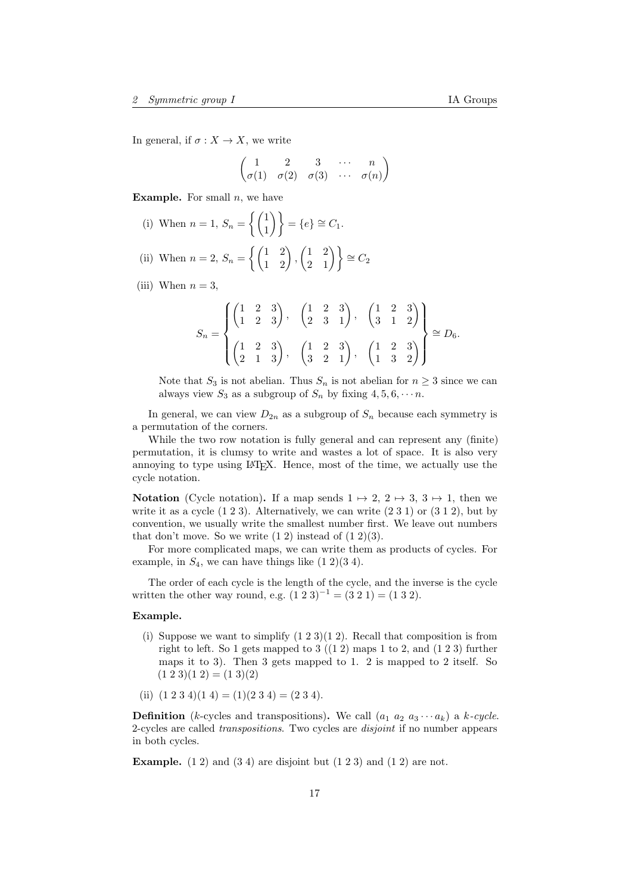$$
\begin{pmatrix}\n1 & 2 & 3 & \cdots & n \\
\sigma(1) & \sigma(2) & \sigma(3) & \cdots & \sigma(n)\n\end{pmatrix}
$$

**Example.** For small  $n$ , we have

(i) When 
$$
n = 1
$$
,  $S_n = \left\{ \begin{pmatrix} 1 \\ 1 \end{pmatrix} \right\} = \{e\} \cong C_1$ .

(ii) When  $n = 2$ ,  $S_n = \left\{ \begin{pmatrix} 1 & 2 \\ 1 & 2 \end{pmatrix}, \begin{pmatrix} 1 & 2 \\ 2 & 1 \end{pmatrix} \right\} \cong C_2$ 

(iii) When  $n = 3$ ,

$$
S_n = \begin{Bmatrix} \begin{pmatrix} 1 & 2 & 3 \\ 1 & 2 & 3 \end{pmatrix}, & \begin{pmatrix} 1 & 2 & 3 \\ 2 & 3 & 1 \end{pmatrix}, & \begin{pmatrix} 1 & 2 & 3 \\ 3 & 1 & 2 \end{pmatrix} \\ \begin{pmatrix} 1 & 2 & 3 \\ 2 & 1 & 3 \end{pmatrix}, & \begin{pmatrix} 1 & 2 & 3 \\ 3 & 2 & 1 \end{pmatrix}, & \begin{pmatrix} 1 & 2 & 3 \\ 1 & 3 & 2 \end{pmatrix} \end{Bmatrix} \cong D_6.
$$

Note that  $S_3$  is not abelian. Thus  $S_n$  is not abelian for  $n \geq 3$  since we can always view  $S_3$  as a subgroup of  $S_n$  by fixing  $4, 5, 6, \cdots n$ .

In general, we can view  $D_{2n}$  as a subgroup of  $S_n$  because each symmetry is a permutation of the corners.

While the two row notation is fully general and can represent any (finite) permutation, it is clumsy to write and wastes a lot of space. It is also very annoying to type using LATEX. Hence, most of the time, we actually use the cycle notation.

**Notation** (Cycle notation). If a map sends  $1 \mapsto 2$ ,  $2 \mapsto 3$ ,  $3 \mapsto 1$ , then we write it as a cycle  $(1\ 2\ 3)$ . Alternatively, we can write  $(2\ 3\ 1)$  or  $(3\ 1\ 2)$ , but by convention, we usually write the smallest number first. We leave out numbers that don't move. So we write  $(1\ 2)$  instead of  $(1\ 2)(3)$ .

For more complicated maps, we can write them as products of cycles. For example, in  $S_4$ , we can have things like  $(1\ 2)(3\ 4)$ .

The order of each cycle is the length of the cycle, and the inverse is the cycle written the other way round, e.g.  $(1\ 2\ 3)^{-1} = (3\ 2\ 1) = (1\ 3\ 2).$ 

### Example.

- (i) Suppose we want to simplify  $(1\ 2\ 3)(1\ 2)$ . Recall that composition is from right to left. So 1 gets mapped to  $3$  ((1 2) maps 1 to 2, and (1 2 3) further maps it to 3). Then 3 gets mapped to 1. 2 is mapped to 2 itself. So  $(1\ 2\ 3)(1\ 2) = (1\ 3)(2)$
- (ii)  $(1\ 2\ 3\ 4)(1\ 4) = (1)(2\ 3\ 4) = (2\ 3\ 4).$

**Definition** (k-cycles and transpositions). We call  $(a_1 \ a_2 \ a_3 \cdots a_k)$  a k-cycle. 2-cycles are called transpositions. Two cycles are disjoint if no number appears in both cycles.

**Example.** (1 2) and (3 4) are disjoint but  $(1\ 2\ 3)$  and  $(1\ 2)$  are not.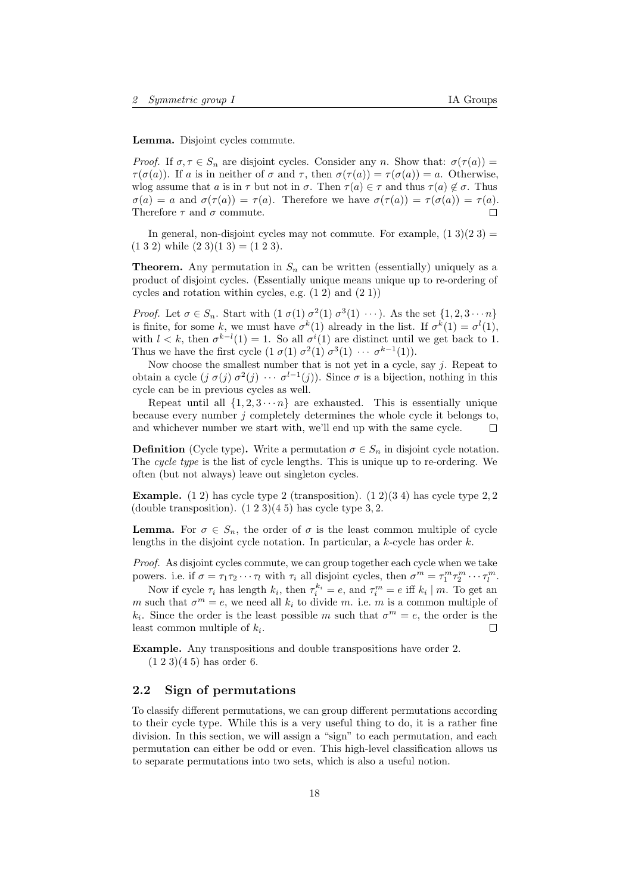Lemma. Disjoint cycles commute.

Proof. If  $\sigma, \tau \in S_n$  are disjoint cycles. Consider any n. Show that:  $\sigma(\tau(a)) =$  $\tau(\sigma(a))$ . If a is in neither of  $\sigma$  and  $\tau$ , then  $\sigma(\tau(a)) = \tau(\sigma(a)) = a$ . Otherwise, wlog assume that a is in  $\tau$  but not in  $\sigma$ . Then  $\tau(a) \in \tau$  and thus  $\tau(a) \notin \sigma$ . Thus  $\sigma(a) = a$  and  $\sigma(\tau(a)) = \tau(a)$ . Therefore we have  $\sigma(\tau(a)) = \tau(\sigma(a)) = \tau(a)$ . Therefore  $\tau$  and  $\sigma$  commute.  $\Box$ 

In general, non-disjoint cycles may not commute. For example,  $(1\ 3)(2\ 3)$  =  $(1 3 2)$  while  $(2 3)(1 3) = (1 2 3).$ 

**Theorem.** Any permutation in  $S_n$  can be written (essentially) uniquely as a product of disjoint cycles. (Essentially unique means unique up to re-ordering of cycles and rotation within cycles, e.g.  $(1\ 2)$  and  $(2\ 1)$ )

*Proof.* Let  $\sigma \in S_n$ . Start with  $(1 \sigma(1) \sigma^2(1) \sigma^3(1) \cdots)$ . As the set  $\{1, 2, 3 \cdots n\}$ is finite, for some k, we must have  $\sigma^k(1)$  already in the list. If  $\sigma^k(1) = \sigma^l(1)$ , with  $l < k$ , then  $\sigma^{k-l}(1) = 1$ . So all  $\sigma^{i}(1)$  are distinct until we get back to 1. Thus we have the first cycle  $(1 \sigma(1) \sigma^2(1) \sigma^3(1) \cdots \sigma^{k-1}(1)).$ 

Now choose the smallest number that is not yet in a cycle, say  $j$ . Repeat to obtain a cycle  $(j \sigma(j) \sigma^2(j) \cdots \sigma^{l-1}(j))$ . Since  $\sigma$  is a bijection, nothing in this cycle can be in previous cycles as well.

Repeat until all  $\{1, 2, 3 \cdots n\}$  are exhausted. This is essentially unique because every number j completely determines the whole cycle it belongs to, and whichever number we start with, we'll end up with the same cycle. П

**Definition** (Cycle type). Write a permutation  $\sigma \in S_n$  in disjoint cycle notation. The cycle type is the list of cycle lengths. This is unique up to re-ordering. We often (but not always) leave out singleton cycles.

**Example.** (1 2) has cycle type 2 (transposition). (1 2)(3 4) has cycle type 2, 2 (double transposition).  $(1\ 2\ 3)(4\ 5)$  has cycle type 3, 2.

**Lemma.** For  $\sigma \in S_n$ , the order of  $\sigma$  is the least common multiple of cycle lengths in the disjoint cycle notation. In particular, a  $k$ -cycle has order  $k$ .

Proof. As disjoint cycles commute, we can group together each cycle when we take powers. i.e. if  $\sigma = \tau_1 \tau_2 \cdots \tau_l$  with  $\tau_i$  all disjoint cycles, then  $\sigma^m = \tau_1^m \tau_2^m \cdots \tau_l^m$ .

Now if cycle  $\tau_i$  has length  $k_i$ , then  $\tau_i^{k_i} = e$ , and  $\tau_i^m = e$  iff  $k_i \mid m$ . To get an m such that  $\sigma^m = e$ , we need all  $k_i$  to divide m. i.e. m is a common multiple of  $k_i$ . Since the order is the least possible m such that  $\sigma^m = e$ , the order is the least common multiple of  $k_i$ .  $\Box$ 

Example. Any transpositions and double transpositions have order 2.

 $(1 2 3)(4 5)$  has order 6.

# <span id="page-17-0"></span>2.2 Sign of permutations

To classify different permutations, we can group different permutations according to their cycle type. While this is a very useful thing to do, it is a rather fine division. In this section, we will assign a "sign" to each permutation, and each permutation can either be odd or even. This high-level classification allows us to separate permutations into two sets, which is also a useful notion.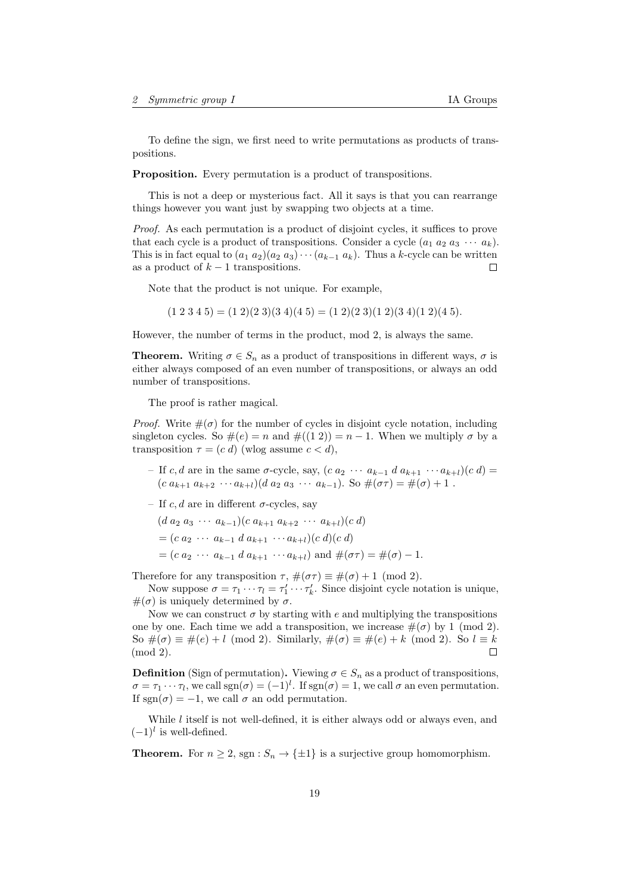To define the sign, we first need to write permutations as products of transpositions.

Proposition. Every permutation is a product of transpositions.

This is not a deep or mysterious fact. All it says is that you can rearrange things however you want just by swapping two objects at a time.

Proof. As each permutation is a product of disjoint cycles, it suffices to prove that each cycle is a product of transpositions. Consider a cycle  $(a_1 \ a_2 \ a_3 \ \cdots \ a_k)$ . This is in fact equal to  $(a_1 a_2)(a_2 a_3) \cdots (a_{k-1} a_k)$ . Thus a k-cycle can be written as a product of  $k-1$  transpositions. П

Note that the product is not unique. For example,

 $(1\ 2\ 3\ 4\ 5) = (1\ 2)(2\ 3)(3\ 4)(4\ 5) = (1\ 2)(2\ 3)(1\ 2)(3\ 4)(1\ 2)(4\ 5).$ 

However, the number of terms in the product, mod 2, is always the same.

**Theorem.** Writing  $\sigma \in S_n$  as a product of transpositions in different ways,  $\sigma$  is either always composed of an even number of transpositions, or always an odd number of transpositions.

The proof is rather magical.

*Proof.* Write  $\#(\sigma)$  for the number of cycles in disjoint cycle notation, including singleton cycles. So  $\#(e) = n$  and  $\#((1\ 2)) = n - 1$ . When we multiply  $\sigma$  by a transposition  $\tau = (c \, d)$  (wlog assume  $c < d$ ),

- If c, d are in the same  $\sigma$ -cycle, say,  $(c \, a_2 \cdots a_{k-1} \, d \, a_{k+1} \cdots a_{k+l})(c \, d)$  $(c a_{k+1} a_{k+2} \cdots a_{k+l}) (d a_2 a_3 \cdots a_{k-1})$ . So  $\#(\sigma \tau) = \#(\sigma) + 1$ .
- If c, d are in different  $\sigma$ -cycles, say
	- $(d\ a_2\ a_3\ \cdots\ a_{k-1})(c\ a_{k+1}\ a_{k+2}\ \cdots\ a_{k+l})(c\ d)$
	- $=(c \ a_2 \ \cdots \ a_{k-1} \ d \ a_{k+1} \ \cdots \ a_{k+l})(c \ d)(c \ d)$
	- $=(c \ a_2 \ \cdots \ a_{k-1} \ d \ a_{k+1} \ \cdots \ a_{k+l})$  and  $\#(\sigma \tau) = \#(\sigma) 1$ .

Therefore for any transposition  $\tau$ ,  $\#(\sigma\tau) \equiv \#(\sigma) + 1 \pmod{2}$ .

Now suppose  $\sigma = \tau_1 \cdots \tau_l = \tau'_1 \cdots \tau'_k$ . Since disjoint cycle notation is unique,  $\#(\sigma)$  is uniquely determined by  $\sigma$ .

Now we can construct  $\sigma$  by starting with e and multiplying the transpositions one by one. Each time we add a transposition, we increase  $\#(\sigma)$  by 1 (mod 2). So  $\#(\sigma) \equiv \#(e) + l \pmod{2}$ . Similarly,  $\#(\sigma) \equiv \#(e) + k \pmod{2}$ . So  $l \equiv k$ (mod 2).  $\Box$ 

**Definition** (Sign of permutation). Viewing  $\sigma \in S_n$  as a product of transpositions,  $\sigma = \tau_1 \cdots \tau_l$ , we call  $sgn(\sigma) = (-1)^l$ . If  $sgn(\sigma) = 1$ , we call  $\sigma$  an even permutation. If sgn( $\sigma$ ) = -1, we call  $\sigma$  an odd permutation.

While  $l$  itself is not well-defined, it is either always odd or always even, and  $(-1)^{l}$  is well-defined.

**Theorem.** For  $n \geq 2$ , sgn :  $S_n \to {\pm 1}$  is a surjective group homomorphism.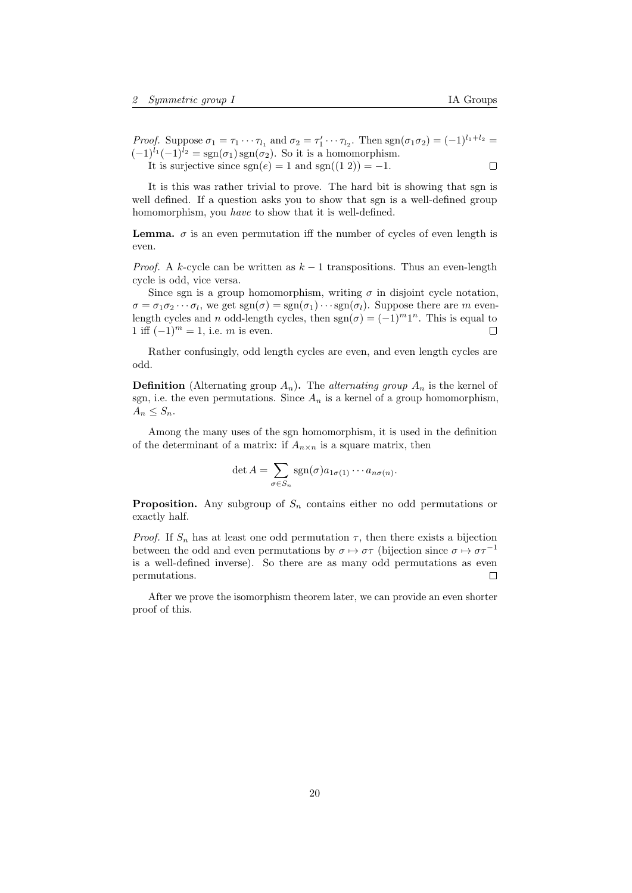*Proof.* Suppose  $\sigma_1 = \tau_1 \cdots \tau_{l_1}$  and  $\sigma_2 = \tau'_1 \cdots \tau_{l_2}$ . Then  $sgn(\sigma_1 \sigma_2) = (-1)^{l_1 + l_2}$  $(-1)^{l_1}(-1)^{l_2} = \text{sgn}(\sigma_1)\text{sgn}(\sigma_2)$ . So it is a homomorphism.  $\Box$ It is surjective since  $sgn(e) = 1$  and  $sgn((1\ 2)) = -1$ .

It is this was rather trivial to prove. The hard bit is showing that sgn is well defined. If a question asks you to show that sgn is a well-defined group homomorphism, you *have* to show that it is well-defined.

**Lemma.**  $\sigma$  is an even permutation iff the number of cycles of even length is even.

*Proof.* A k-cycle can be written as  $k-1$  transpositions. Thus an even-length cycle is odd, vice versa.

Since sgn is a group homomorphism, writing  $\sigma$  in disjoint cycle notation,  $\sigma = \sigma_1 \sigma_2 \cdots \sigma_l$ , we get  $sgn(\sigma) = sgn(\sigma_1) \cdots sgn(\sigma_l)$ . Suppose there are m evenlength cycles and n odd-length cycles, then  $sgn(\sigma) = (-1)^m 1^n$ . This is equal to 1 iff  $(-1)^m = 1$ , i.e. m is even.  $\Box$ 

Rather confusingly, odd length cycles are even, and even length cycles are odd.

**Definition** (Alternating group  $A_n$ ). The *alternating group*  $A_n$  is the kernel of sgn, i.e. the even permutations. Since  $A_n$  is a kernel of a group homomorphism,  $A_n \leq S_n$ .

Among the many uses of the sgn homomorphism, it is used in the definition of the determinant of a matrix: if  $A_{n \times n}$  is a square matrix, then

$$
\det A = \sum_{\sigma \in S_n} \text{sgn}(\sigma) a_{1\sigma(1)} \cdots a_{n\sigma(n)}.
$$

**Proposition.** Any subgroup of  $S_n$  contains either no odd permutations or exactly half.

*Proof.* If  $S_n$  has at least one odd permutation  $\tau$ , then there exists a bijection between the odd and even permutations by  $\sigma \mapsto \sigma \tau$  (bijection since  $\sigma \mapsto \sigma \tau^{-1}$ is a well-defined inverse). So there are as many odd permutations as even permutations.  $\Box$ 

After we prove the isomorphism theorem later, we can provide an even shorter proof of this.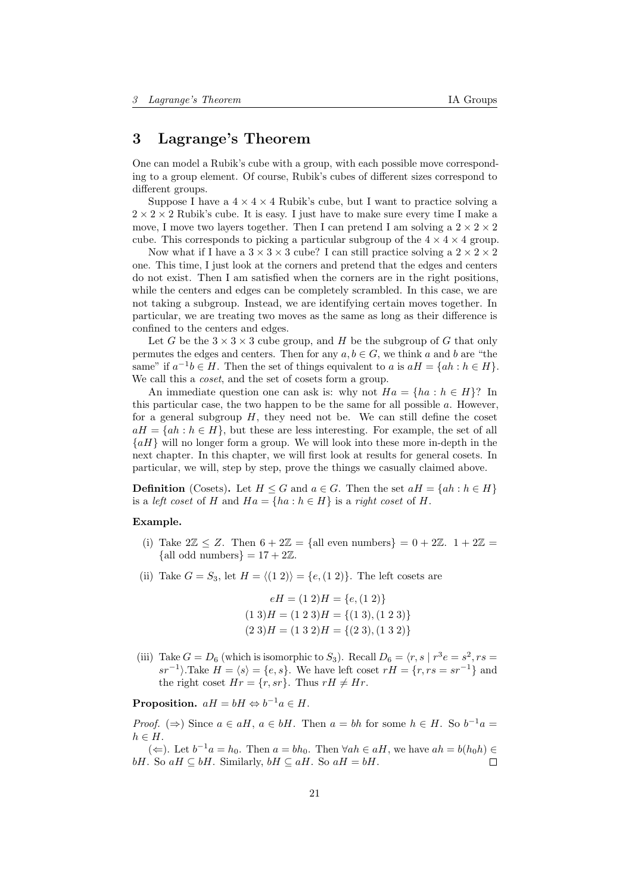# <span id="page-20-0"></span>3 Lagrange's Theorem

One can model a Rubik's cube with a group, with each possible move corresponding to a group element. Of course, Rubik's cubes of different sizes correspond to different groups.

Suppose I have a  $4 \times 4 \times 4$  Rubik's cube, but I want to practice solving a  $2 \times 2 \times 2$  Rubik's cube. It is easy. I just have to make sure every time I make a move, I move two layers together. Then I can pretend I am solving a  $2 \times 2 \times 2$ cube. This corresponds to picking a particular subgroup of the  $4 \times 4 \times 4$  group.

Now what if I have a  $3 \times 3 \times 3$  cube? I can still practice solving a  $2 \times 2 \times 2$ one. This time, I just look at the corners and pretend that the edges and centers do not exist. Then I am satisfied when the corners are in the right positions, while the centers and edges can be completely scrambled. In this case, we are not taking a subgroup. Instead, we are identifying certain moves together. In particular, we are treating two moves as the same as long as their difference is confined to the centers and edges.

Let G be the  $3 \times 3 \times 3$  cube group, and H be the subgroup of G that only permutes the edges and centers. Then for any  $a, b \in G$ , we think a and b are "the same" if  $a^{-1}b \in H$ . Then the set of things equivalent to a is  $aH = \{ah : h \in H\}$ . We call this a *coset*, and the set of cosets form a group.

An immediate question one can ask is: why not  $Ha = \{ha : h \in H\}$ ? In this particular case, the two happen to be the same for all possible  $a$ . However, for a general subgroup  $H$ , they need not be. We can still define the coset  $aH = \{ah : h \in H\}$ , but these are less interesting. For example, the set of all  ${aH}$  will no longer form a group. We will look into these more in-depth in the next chapter. In this chapter, we will first look at results for general cosets. In particular, we will, step by step, prove the things we casually claimed above.

**Definition** (Cosets). Let  $H \leq G$  and  $a \in G$ . Then the set  $aH = \{ah : h \in H\}$ is a *left coset* of H and  $Ha = \{ha : h \in H\}$  is a *right coset* of H.

#### Example.

- (i) Take  $2\mathbb{Z} \leq Z$ . Then  $6 + 2\mathbb{Z} = \{$ all even numbers $\} = 0 + 2\mathbb{Z}$ .  $1 + 2\mathbb{Z} =$ {all odd numbers} =  $17 + 2\mathbb{Z}$ .
- (ii) Take  $G = S_3$ , let  $H = \langle (1 2) \rangle = \{e,(1 2)\}\.$  The left cosets are

$$
eH = (1\ 2)H = \{e, (1\ 2)\}\
$$

$$
(1\ 3)H = (1\ 2\ 3)H = \{(1\ 3), (1\ 2\ 3)\}\
$$

$$
(2\ 3)H = (1\ 3\ 2)H = \{(2\ 3), (1\ 3\ 2)\}\
$$

(iii) Take  $G = D_6$  (which is isomorphic to  $S_3$ ). Recall  $D_6 = \langle r, s | r^3 e = s^2, rs =$  $sr^{-1}$ .Take  $H = \langle s \rangle = \{e, s\}$ . We have left coset  $rH = \{r, rs = sr^{-1}\}$  and the right coset  $Hr = \{r, sr\}$ . Thus  $rH \neq Hr$ .

Proposition.  $aH = bH \Leftrightarrow b^{-1}a \in H$ .

*Proof.*  $(\Rightarrow)$  Since  $a \in aH$ ,  $a \in bH$ . Then  $a = bh$  for some  $h \in H$ . So  $b^{-1}a =$  $h \in H$ .

(←). Let  $b^{-1}a = h_0$ . Then  $a = bh_0$ . Then  $\forall ah \in aH$ , we have  $ah = b(h_0h)$  ∈ bH. So aH  $\subseteq$  bH. Similarly, bH  $\subseteq$  aH. So aH = bH.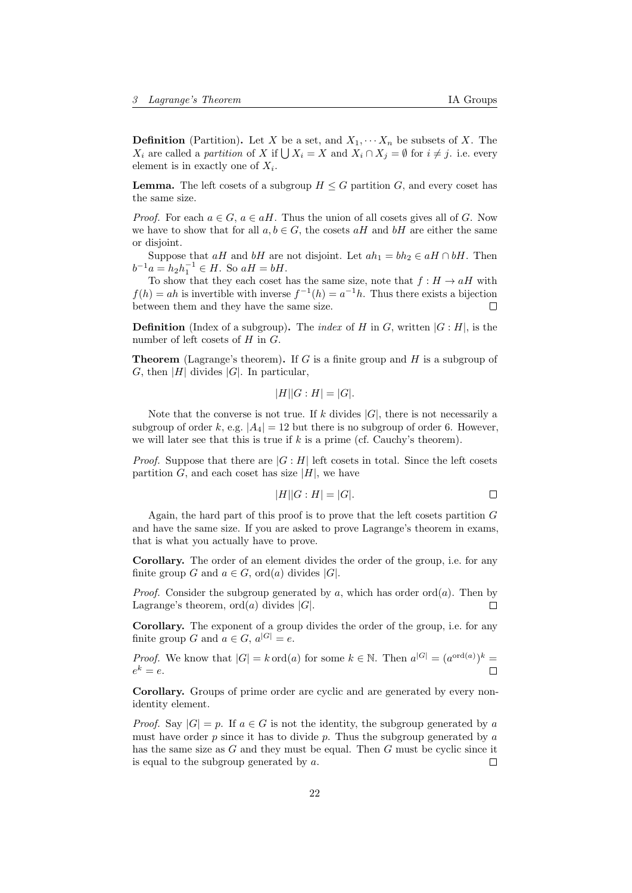**Definition** (Partition). Let X be a set, and  $X_1, \cdots, X_n$  be subsets of X. The  $X_i$  are called a partition of X if  $\bigcup X_i = X$  and  $X_i \cap X_j = \emptyset$  for  $i \neq j$ . i.e. every element is in exactly one of  $X_i$ .

**Lemma.** The left cosets of a subgroup  $H \leq G$  partition G, and every coset has the same size.

*Proof.* For each  $a \in G$ ,  $a \in aH$ . Thus the union of all cosets gives all of G. Now we have to show that for all  $a, b \in G$ , the cosets  $aH$  and  $bH$  are either the same or disjoint.

Suppose that aH and bH are not disjoint. Let  $ah_1 = bh_2 \in aH \cap bH$ . Then  $b^{-1}a = h_2h_1^{-1} \in H$ . So  $aH = bH$ .

To show that they each coset has the same size, note that  $f : H \to aH$  with  $f(h) = ah$  is invertible with inverse  $f^{-1}(h) = a^{-1}h$ . Thus there exists a bijection between them and they have the same size.  $\Box$ 

**Definition** (Index of a subgroup). The *index* of H in G, written  $|G : H|$ , is the number of left cosets of  $H$  in  $G$ .

**Theorem** (Lagrange's theorem). If G is a finite group and H is a subgroup of G, then |H| divides |G|. In particular,

$$
|H||G:H| = |G|.
$$

Note that the converse is not true. If k divides  $|G|$ , there is not necessarily a subgroup of order k, e.g.  $|A_4| = 12$  but there is no subgroup of order 6. However, we will later see that this is true if  $k$  is a prime (cf. Cauchy's theorem).

*Proof.* Suppose that there are  $|G : H|$  left cosets in total. Since the left cosets partition G, and each coset has size  $|H|$ , we have

$$
|H||G:H| = |G|.\tag{}
$$

Again, the hard part of this proof is to prove that the left cosets partition  $G$ and have the same size. If you are asked to prove Lagrange's theorem in exams, that is what you actually have to prove.

Corollary. The order of an element divides the order of the group, i.e. for any finite group G and  $a \in G$ , ord(a) divides |G|.

*Proof.* Consider the subgroup generated by a, which has order ord(a). Then by Lagrange's theorem,  $\text{ord}(a)$  divides |G|. П

Corollary. The exponent of a group divides the order of the group, i.e. for any finite group G and  $a \in G$ ,  $a^{|G|} = e$ .

*Proof.* We know that  $|G| = k \text{ ord}(a)$  for some  $k \in \mathbb{N}$ . Then  $a^{|G|} = (a^{\text{ord}(a)})^k =$  $e^k = e.$  $\Box$ 

Corollary. Groups of prime order are cyclic and are generated by every nonidentity element.

*Proof.* Say  $|G| = p$ . If  $a \in G$  is not the identity, the subgroup generated by a must have order  $p$  since it has to divide  $p$ . Thus the subgroup generated by  $a$ has the same size as G and they must be equal. Then G must be cyclic since it is equal to the subgroup generated by  $a$ .  $\Box$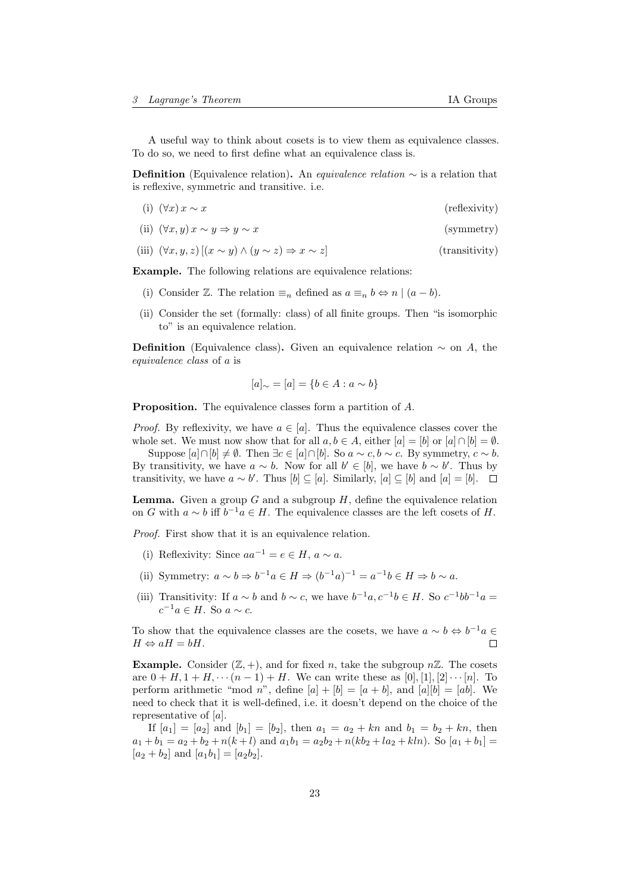A useful way to think about cosets is to view them as equivalence classes. To do so, we need to first define what an equivalence class is.

**Definition** (Equivalence relation). An *equivalence relation*  $\sim$  is a relation that is reflexive, symmetric and transitive. i.e.

- (i)  $(\forall x) x \sim x$  (reflexivity)
- (ii)  $(\forall x, y) \ x \sim y \Rightarrow y \sim x$  (symmetry)
- (iii)  $(\forall x, y, z)$   $[(x \sim y) \land (y \sim z) \Rightarrow x \sim z]$  (transitivity)

Example. The following relations are equivalence relations:

- (i) Consider Z. The relation  $\equiv_n$  defined as  $a \equiv_n b \Leftrightarrow n \mid (a b)$ .
- (ii) Consider the set (formally: class) of all finite groups. Then "is isomorphic to" is an equivalence relation.

**Definition** (Equivalence class). Given an equivalence relation  $\sim$  on A, the equivalence class of a is

$$
[a]_{\sim} = [a] = \{b \in A : a \sim b\}
$$

Proposition. The equivalence classes form a partition of A.

*Proof.* By reflexivity, we have  $a \in [a]$ . Thus the equivalence classes cover the whole set. We must now show that for all  $a, b \in A$ , either  $[a] = [b]$  or  $[a] \cap [b] = \emptyset$ .

Suppose  $[a] \cap [b] \neq \emptyset$ . Then  $\exists c \in [a] \cap [b]$ . So  $a \sim c, b \sim c$ . By symmetry,  $c \sim b$ . By transitivity, we have  $a \sim b$ . Now for all  $b' \in [b]$ , we have  $b \sim b'$ . Thus by transitivity, we have  $a \sim b'$ . Thus  $[b] \subseteq [a]$ . Similarly,  $[a] \subseteq [b]$  and  $[a] = [b]$ .

**Lemma.** Given a group G and a subgroup  $H$ , define the equivalence relation on G with  $a \sim b$  iff  $b^{-1}a \in H$ . The equivalence classes are the left cosets of H.

Proof. First show that it is an equivalence relation.

- (i) Reflexivity: Since  $aa^{-1} = e \in H$ ,  $a \sim a$ .
- (ii) Symmetry:  $a \sim b \Rightarrow b^{-1}a \in H \Rightarrow (b^{-1}a)^{-1} = a^{-1}b \in H \Rightarrow b \sim a$ .
- (iii) Transitivity: If  $a \sim b$  and  $b \sim c$ , we have  $b^{-1}a, c^{-1}b \in H$ . So  $c^{-1}bb^{-1}a =$  $c^{-1}a \in H$ . So  $a \sim c$ .

To show that the equivalence classes are the cosets, we have  $a \sim b \Leftrightarrow b^{-1}a \in$  $H \Leftrightarrow aH = bH.$  $\Box$ 

**Example.** Consider  $(\mathbb{Z}, +)$ , and for fixed *n*, take the subgroup  $n\mathbb{Z}$ . The cosets are  $0 + H, 1 + H, \cdots (n - 1) + H$ . We can write these as [0], [1], [2]  $\cdots$  [n]. To perform arithmetic "mod n", define  $[a] + [b] = [a + b]$ , and  $[a][b] = [ab]$ . We need to check that it is well-defined, i.e. it doesn't depend on the choice of the representative of [a].

If  $[a_1] = [a_2]$  and  $[b_1] = [b_2]$ , then  $a_1 = a_2 + kn$  and  $b_1 = b_2 + kn$ , then  $a_1 + b_1 = a_2 + b_2 + n(k+l)$  and  $a_1b_1 = a_2b_2 + n(kb_2 + la_2 + kh)$ . So  $[a_1 + b_1] =$  $[a_2 + b_2]$  and  $[a_1b_1] = [a_2b_2]$ .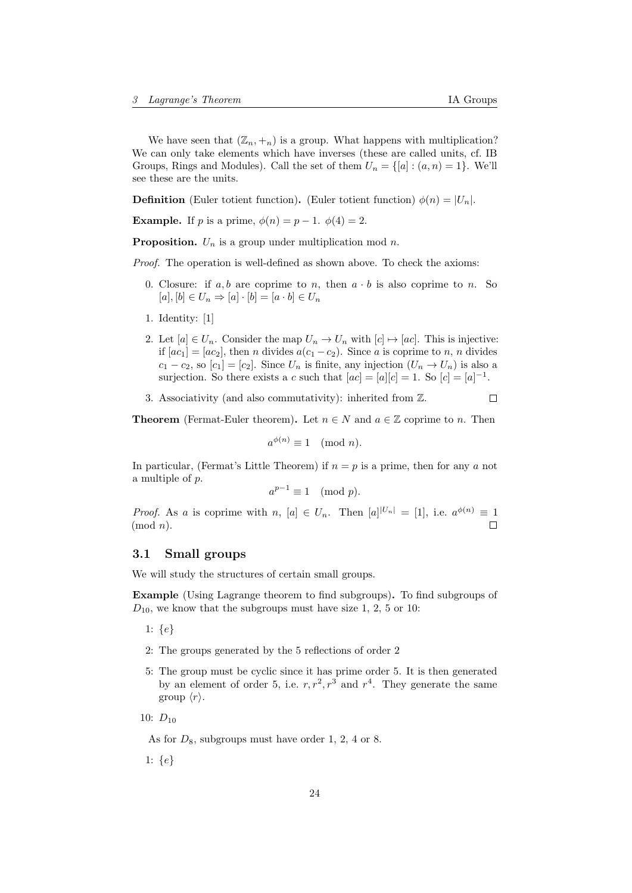We have seen that  $(\mathbb{Z}_n, +_n)$  is a group. What happens with multiplication? We can only take elements which have inverses (these are called units, cf. IB Groups, Rings and Modules). Call the set of them  $U_n = \{ [a] : (a, n) = 1 \}$ . We'll see these are the units.

**Definition** (Euler totient function). (Euler totient function)  $\phi(n) = |U_n|$ .

**Example.** If p is a prime,  $\phi(n) = p - 1$ .  $\phi(4) = 2$ .

**Proposition.**  $U_n$  is a group under multiplication mod n.

Proof. The operation is well-defined as shown above. To check the axioms:

- 0. Closure: if  $a, b$  are coprime to n, then  $a \cdot b$  is also coprime to n. So  $[a], [b] \in U_n \Rightarrow [a] \cdot [b] = [a \cdot b] \in U_n$
- 1. Identity: [1]
- 2. Let  $[a] \in U_n$ . Consider the map  $U_n \to U_n$  with  $[c] \mapsto [ac]$ . This is injective: if  $[ac_1] = [ac_2]$ , then *n* divides  $a(c_1 - c_2)$ . Since *a* is coprime to *n*, *n* divides  $c_1 - c_2$ , so  $[c_1] = [c_2]$ . Since  $U_n$  is finite, any injection  $(U_n \to U_n)$  is also a surjection. So there exists a c such that  $[ac] = [a][c] = 1$ . So  $[c] = [a]^{-1}$ .
- 3. Associativity (and also commutativity): inherited from Z.  $\Box$

**Theorem** (Fermat-Euler theorem). Let  $n \in N$  and  $a \in \mathbb{Z}$  coprime to n. Then

$$
a^{\phi(n)} \equiv 1 \pmod{n}.
$$

In particular, (Fermat's Little Theorem) if  $n = p$  is a prime, then for any a not a multiple of p.

$$
a^{p-1} \equiv 1 \pmod{p}.
$$

*Proof.* As a is coprime with n,  $[a] \in U_n$ . Then  $[a]^{U_n|} = [1]$ , i.e.  $a^{\phi(n)} \equiv 1$  $(mod n).$  $\Box$ 

### <span id="page-23-0"></span>3.1 Small groups

We will study the structures of certain small groups.

Example (Using Lagrange theorem to find subgroups). To find subgroups of  $D_{10}$ , we know that the subgroups must have size 1, 2, 5 or 10:

- 1: {e}
- 2: The groups generated by the 5 reflections of order 2
- 5: The group must be cyclic since it has prime order 5. It is then generated by an element of order 5, i.e.  $r, r^2, r^3$  and  $r^4$ . They generate the same group  $\langle r \rangle$ .
- 10:  $D_{10}$

As for  $D_8$ , subgroups must have order 1, 2, 4 or 8.

1: {e}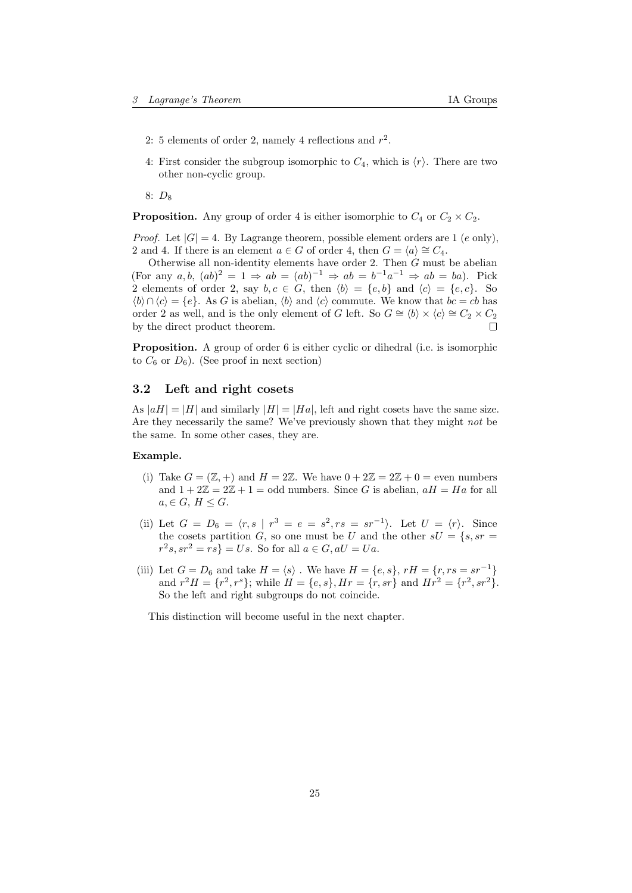- 2: 5 elements of order 2, namely 4 reflections and  $r^2$ .
- 4: First consider the subgroup isomorphic to  $C_4$ , which is  $\langle r \rangle$ . There are two other non-cyclic group.

8:  $D_8$ 

**Proposition.** Any group of order 4 is either isomorphic to  $C_4$  or  $C_2 \times C_2$ .

*Proof.* Let  $|G| = 4$ . By Lagrange theorem, possible element orders are 1 (e only), 2 and 4. If there is an element  $a \in G$  of order 4, then  $G = \langle a \rangle \cong C_4$ .

Otherwise all non-identity elements have order  $2$ . Then  $G$  must be abelian (For any  $a, b, (ab)^2 = 1 \Rightarrow ab = (ab)^{-1} \Rightarrow ab = b^{-1}a^{-1} \Rightarrow ab = ba$ ). Pick 2 elements of order 2, say  $b, c \in G$ , then  $\langle b \rangle = \{e, b\}$  and  $\langle c \rangle = \{e, c\}$ . So  $\langle b \rangle \cap \langle c \rangle = \{e\}.$  As G is abelian,  $\langle b \rangle$  and  $\langle c \rangle$  commute. We know that  $bc = cb$  has order 2 as well, and is the only element of G left. So  $G \cong \langle b \rangle \times \langle c \rangle \cong C_2 \times C_2$ by the direct product theorem. П

Proposition. A group of order 6 is either cyclic or dihedral (i.e. is isomorphic to  $C_6$  or  $D_6$ ). (See proof in next section)

### <span id="page-24-0"></span>3.2 Left and right cosets

As  $|aH| = |H|$  and similarly  $|H| = |Ha|$ , left and right cosets have the same size. Are they necessarily the same? We've previously shown that they might not be the same. In some other cases, they are.

### Example.

- (i) Take  $G = (\mathbb{Z}, +)$  and  $H = 2\mathbb{Z}$ . We have  $0 + 2\mathbb{Z} = 2\mathbb{Z} + 0 =$  even numbers and  $1 + 2\mathbb{Z} = 2\mathbb{Z} + 1 =$  odd numbers. Since G is abelian,  $aH = Ha$  for all  $a, \in G, H \leq G.$
- (ii) Let  $G = D_6 = \langle r, s \mid r^3 = e = s^2, rs = sr^{-1} \rangle$ . Let  $U = \langle r \rangle$ . Since the cosets partition G, so one must be U and the other  $sU = \{s, sr =$  $r^2s, sr^2 = rs$  = Us. So for all  $a \in G, aU = Ua$ .
- (iii) Let  $G = D_6$  and take  $H = \langle s \rangle$ . We have  $H = \{e, s\}, rH = \{r, rs = sr^{-1}\}\$ and  $r^2H = \{r^2, r^3\}$ ; while  $H = \{e, s\}$ ,  $Hr = \{r, sr\}$  and  $Hr^2 = \{r^2, sr^2\}$ . So the left and right subgroups do not coincide.

This distinction will become useful in the next chapter.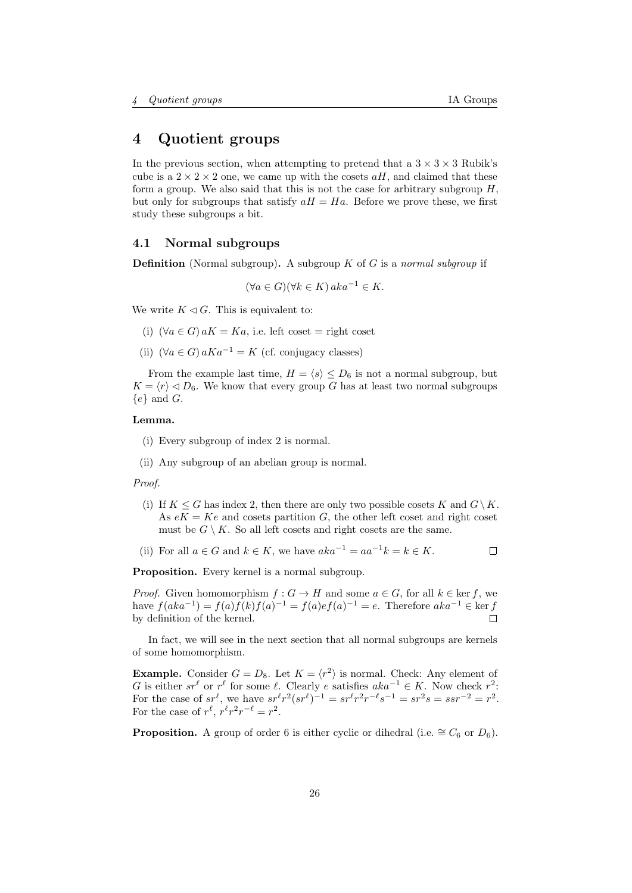# <span id="page-25-0"></span>4 Quotient groups

In the previous section, when attempting to pretend that a  $3 \times 3 \times 3$  Rubik's cube is a  $2 \times 2 \times 2$  one, we came up with the cosets  $aH$ , and claimed that these form a group. We also said that this is not the case for arbitrary subgroup  $H$ , but only for subgroups that satisfy  $aH = Ha$ . Before we prove these, we first study these subgroups a bit.

### <span id="page-25-1"></span>4.1 Normal subgroups

**Definition** (Normal subgroup). A subgroup  $K$  of  $G$  is a normal subgroup if

$$
(\forall a \in G)(\forall k \in K) \, aka^{-1} \in K.
$$

We write  $K \triangleleft G$ . This is equivalent to:

- (i)  $(\forall a \in G) aK = Ka$ , i.e. left coset = right coset
- (ii)  $(\forall a \in G) aKa^{-1} = K$  (cf. conjugacy classes)

From the example last time,  $H = \langle s \rangle \leq D_6$  is not a normal subgroup, but  $K = \langle r \rangle \langle D_6$ . We know that every group G has at least two normal subgroups  ${e}$  and G.

### Lemma.

- (i) Every subgroup of index 2 is normal.
- (ii) Any subgroup of an abelian group is normal.

Proof.

- (i) If  $K \leq G$  has index 2, then there are only two possible cosets K and  $G \setminus K$ . As  $eK = Ke$  and cosets partition G, the other left coset and right coset must be  $G \setminus K$ . So all left cosets and right cosets are the same.
- (ii) For all  $a \in G$  and  $k \in K$ , we have  $aka^{-1} = aa^{-1}k = k \in K$ .  $\Box$

Proposition. Every kernel is a normal subgroup.

*Proof.* Given homomorphism  $f : G \to H$  and some  $a \in G$ , for all  $k \in \text{ker } f$ , we have  $f(aka^{-1}) = f(a)f(k)f(a)^{-1} = f(a)e f(a)^{-1} = e$ . Therefore  $aka^{-1} \in \text{ker } f$ by definition of the kernel.  $\Box$ 

In fact, we will see in the next section that all normal subgroups are kernels of some homomorphism.

**Example.** Consider  $G = D_8$ . Let  $K = \langle r^2 \rangle$  is normal. Check: Any element of G is either  $sr^\ell$  or  $r^\ell$  for some  $\ell$ . Clearly e satisfies  $aka^{-1} \in K$ . Now check  $r^2$ : For the case of  $sr^{\ell}$ , we have  $sr^{\ell}r^{2}(sr^{\ell})^{-1} = sr^{\ell}r^{2}r^{-\ell}s^{-1} = sr^{2}s = ssr^{-2} = r^{2}$ . For the case of  $r^{\ell}$ ,  $r^{\ell}r^2r^{-\ell} = r^2$ .

**Proposition.** A group of order 6 is either cyclic or dihedral (i.e.  $\cong C_6$  or  $D_6$ ).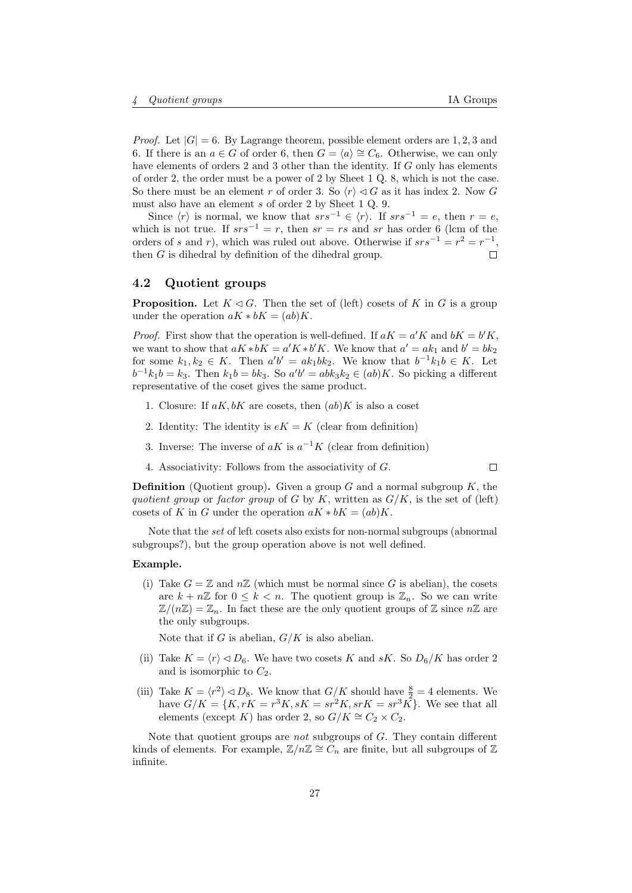$\Box$ 

*Proof.* Let  $|G| = 6$ . By Lagrange theorem, possible element orders are 1, 2, 3 and 6. If there is an  $a \in G$  of order 6, then  $G = \langle a \rangle \cong C_6$ . Otherwise, we can only have elements of orders 2 and 3 other than the identity. If G only has elements of order 2, the order must be a power of 2 by Sheet 1 Q. 8, which is not the case. So there must be an element r of order 3. So  $\langle r \rangle \langle G \rangle$  as it has index 2. Now G must also have an element s of order 2 by Sheet 1 Q. 9.

Since  $\langle r \rangle$  is normal, we know that  $srs^{-1} \in \langle r \rangle$ . If  $srs^{-1} = e$ , then  $r = e$ , which is not true. If  $srs^{-1} = r$ , then  $sr = rs$  and sr has order 6 (lcm of the orders of s and r), which was ruled out above. Otherwise if  $srs^{-1} = r^2 = r^{-1}$ ,  $\Box$ then G is dihedral by definition of the dihedral group.

### <span id="page-26-0"></span>4.2 Quotient groups

**Proposition.** Let  $K \triangleleft G$ . Then the set of (left) cosets of K in G is a group under the operation  $aK * bK = (ab)K$ .

*Proof.* First show that the operation is well-defined. If  $aK = a'K$  and  $bK = b'K$ , we want to show that  $aK * bK = a'K * b'K$ . We know that  $a' = ak_1$  and  $b' = bk_2$ for some  $k_1, k_2 \in K$ . Then  $a'b' = ak_1bk_2$ . We know that  $b^{-1}k_1b \in K$ . Let  $b^{-1}k_1b = k_3$ . Then  $k_1b = bk_3$ . So  $a'b' = abk_3k_2 \in (ab)K$ . So picking a different representative of the coset gives the same product.

- 1. Closure: If  $aK, bK$  are cosets, then  $(ab)K$  is also a coset
- 2. Identity: The identity is  $eK = K$  (clear from definition)
- 3. Inverse: The inverse of  $aK$  is  $a^{-1}K$  (clear from definition)
- 4. Associativity: Follows from the associativity of G.

**Definition** (Quotient group). Given a group G and a normal subgroup  $K$ , the quotient group or factor group of G by K, written as  $G/K$ , is the set of (left) cosets of K in G under the operation  $aK * bK = (ab)K$ .

Note that the set of left cosets also exists for non-normal subgroups (abnormal subgroups?), but the group operation above is not well defined.

#### Example.

(i) Take  $G = \mathbb{Z}$  and  $n\mathbb{Z}$  (which must be normal since G is abelian), the cosets are  $k + n\mathbb{Z}$  for  $0 \leq k < n$ . The quotient group is  $\mathbb{Z}_n$ . So we can write  $\mathbb{Z}/(n\mathbb{Z}) = \mathbb{Z}_n$ . In fact these are the only quotient groups of  $\mathbb Z$  since  $n\mathbb Z$  are the only subgroups.

Note that if G is abelian,  $G/K$  is also abelian.

- (ii) Take  $K = \langle r \rangle \triangleleft D_6$ . We have two cosets K and sK. So  $D_6/K$  has order 2 and is isomorphic to  $C_2$ .
- (iii) Take  $K = \langle r^2 \rangle \triangleleft D_8$ . We know that  $G/K$  should have  $\frac{8}{2} = 4$  elements. We have  $G/K = \{K, rK = r^3K, sK = sr^2K, srK = sr^3K\}$ . We see that all elements (except K) has order 2, so  $G/K \cong C_2 \times C_2$ .

Note that quotient groups are not subgroups of G. They contain different kinds of elements. For example,  $\mathbb{Z}/n\mathbb{Z} \cong C_n$  are finite, but all subgroups of  $\mathbb{Z}$ infinite.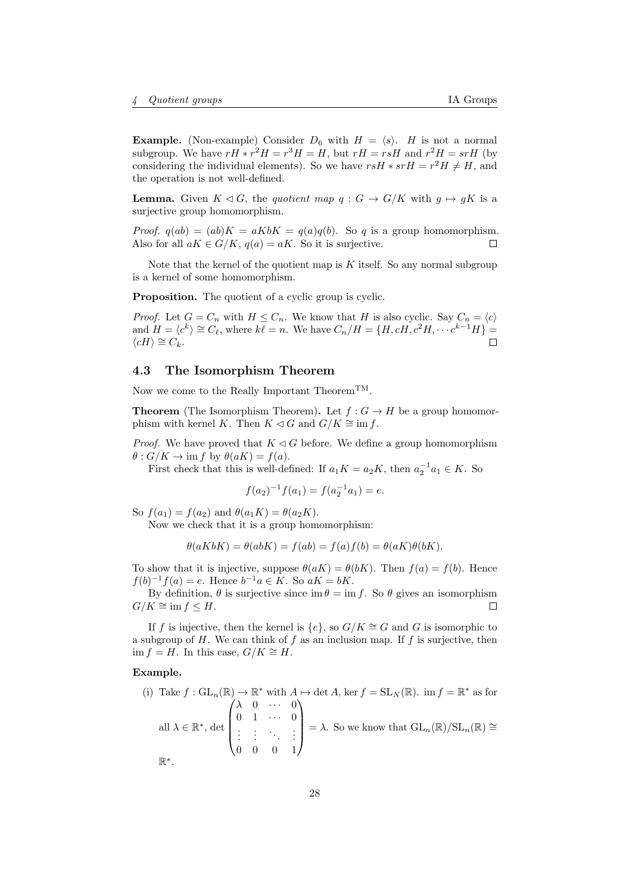**Example.** (Non-example) Consider  $D_6$  with  $H = \langle s \rangle$ . H is not a normal subgroup. We have  $rH$   $\ast$   $r^2H$  =  $r^3H$  = H, but  $rH = rsH$  and  $r^2H = srH$  (by considering the individual elements). So we have  $rsH \cdot srH = r^2H \neq H$ , and the operation is not well-defined.

**Lemma.** Given  $K \triangleleft G$ , the quotient map  $q : G \rightarrow G/K$  with  $q \mapsto qK$  is a surjective group homomorphism.

*Proof.*  $q(ab) = (ab)K = aKbK = q(a)q(b)$ . So q is a group homomorphism. Also for all  $aK \in G/K$ ,  $q(a) = aK$ . So it is surjective.  $\Box$ 

Note that the kernel of the quotient map is  $K$  itself. So any normal subgroup is a kernel of some homomorphism.

**Proposition.** The quotient of a cyclic group is cyclic.

*Proof.* Let  $G = C_n$  with  $H \leq C_n$ . We know that H is also cyclic. Say  $C_n = \langle c \rangle$ and  $H = \langle c^k \rangle \cong C_{\ell}$ , where  $k \overline{\ell} = n$ . We have  $C_n/H = \{H, cH, c^2H, \cdots c^{k-1}H\} =$  $\langle cH \rangle \cong C_k$ .

# <span id="page-27-0"></span>4.3 The Isomorphism Theorem

Now we come to the Really Important Theorem<sup>TM</sup>.

**Theorem** (The Isomorphism Theorem). Let  $f: G \to H$  be a group homomorphism with kernel K. Then  $K \triangleleft G$  and  $G/K \cong \text{im } f$ .

*Proof.* We have proved that  $K \triangleleft G$  before. We define a group homomorphism  $\theta$ :  $G/K \to \text{im } f$  by  $\theta(aK) = f(a)$ .

First check that this is well-defined: If  $a_1K = a_2K$ , then  $a_2^{-1}a_1 \in K$ . So

$$
f(a_2)^{-1}f(a_1) = f(a_2^{-1}a_1) = e.
$$

So  $f(a_1) = f(a_2)$  and  $\theta(a_1K) = \theta(a_2K)$ .

Now we check that it is a group homomorphism:

$$
\theta(aKbK) = \theta(abK) = f(ab) = f(a)f(b) = \theta(aK)\theta(bK).
$$

To show that it is injective, suppose  $\theta(aK) = \theta(bK)$ . Then  $f(a) = f(b)$ . Hence  $f(b)^{-1}f(a) = e$ . Hence  $b^{-1}a \in K$ . So  $aK = bK$ .

By definition,  $\theta$  is surjective since  $\text{im}\,\theta = \text{im}\,f$ . So  $\theta$  gives an isomorphism  $G/K \cong \text{im } f \leq H$ . П

If f is injective, then the kernel is  $\{e\}$ , so  $G/K \cong G$  and G is isomorphic to a subgroup of  $H$ . We can think of  $f$  as an inclusion map. If  $f$  is surjective, then im  $f = H$ . In this case,  $G/K \cong H$ .

### Example.

(i) Take 
$$
f : GL_n(\mathbb{R}) \to \mathbb{R}^*
$$
 with  $A \mapsto \det A$ , ker  $f = SL_N(\mathbb{R})$ . im  $f = \mathbb{R}^*$  as for  
all  $\lambda \in \mathbb{R}^*$ , det  $\begin{pmatrix} \lambda & 0 & \cdots & 0 \\ 0 & 1 & \cdots & 0 \\ \vdots & \vdots & \ddots & \vdots \\ 0 & 0 & 0 & 1 \end{pmatrix} = \lambda$ . So we know that  $GL_n(\mathbb{R})/SL_n(\mathbb{R}) \cong \mathbb{R}^*$ .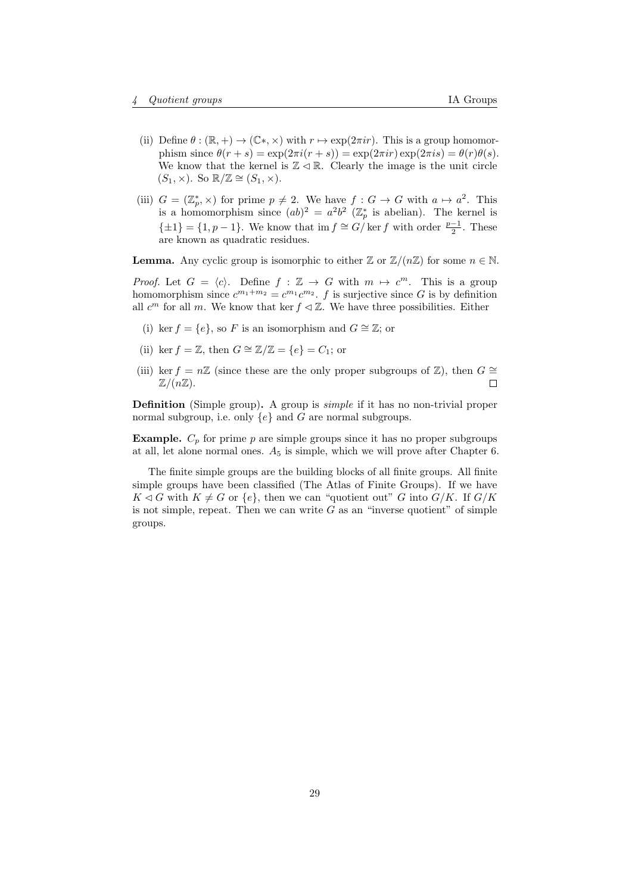- (ii) Define  $\theta : (\mathbb{R}, +) \to (\mathbb{C}^*, \times)$  with  $r \mapsto \exp(2\pi i r)$ . This is a group homomorphism since  $\theta(r+s) = \exp(2\pi i (r+s)) = \exp(2\pi ir) \exp(2\pi is) = \theta(r)\theta(s)$ . We know that the kernel is  $\mathbb{Z} \triangleleft \mathbb{R}$ . Clearly the image is the unit circle  $(S_1, \times)$ . So  $\mathbb{R}/\mathbb{Z} \cong (S_1, \times)$ .
- (iii)  $G = (\mathbb{Z}_p^*, \times)$  for prime  $p \neq 2$ . We have  $f : G \to G$  with  $a \mapsto a^2$ . This is a homomorphism since  $(ab)^2 = a^2b^2$  ( $\mathbb{Z}_p^*$  is abelian). The kernel is  $\{\pm 1\} = \{1, p-1\}$ . We know that im  $f \cong G/\ker f$  with order  $\frac{p-1}{2}$ . These are known as quadratic residues.

**Lemma.** Any cyclic group is isomorphic to either  $\mathbb{Z}$  or  $\mathbb{Z}/(n\mathbb{Z})$  for some  $n \in \mathbb{N}$ .

*Proof.* Let  $G = \langle c \rangle$ . Define  $f : \mathbb{Z} \to G$  with  $m \mapsto c^m$ . This is a group homomorphism since  $c^{m_1+m_2} = c^{m_1}c^{m_2}$ . f is surjective since G is by definition all  $c^m$  for all m. We know that ker  $f \leq \mathbb{Z}$ . We have three possibilities. Either

- (i) ker  $f = \{e\}$ , so F is an isomorphism and  $G \cong \mathbb{Z}$ ; or
- (ii) ker  $f = \mathbb{Z}$ , then  $G \cong \mathbb{Z}/\mathbb{Z} = \{e\} = C_1$ ; or
- (iii) ker f = n $\mathbb Z$  (since these are the only proper subgroups of  $\mathbb Z$ ), then  $G \cong$  $\mathbb{Z}/(n\mathbb{Z})$ .  $\Box$

**Definition** (Simple group). A group is *simple* if it has no non-trivial proper normal subgroup, i.e. only  $\{e\}$  and  $G$  are normal subgroups.

**Example.**  $C_p$  for prime p are simple groups since it has no proper subgroups at all, let alone normal ones.  $A_5$  is simple, which we will prove after Chapter [6.](#page-36-0)

The finite simple groups are the building blocks of all finite groups. All finite simple groups have been classified (The Atlas of Finite Groups). If we have  $K \triangleleft G$  with  $K \neq G$  or  $\{e\}$ , then we can "quotient out" G into  $G/K$ . If  $G/K$ is not simple, repeat. Then we can write  $G$  as an "inverse quotient" of simple groups.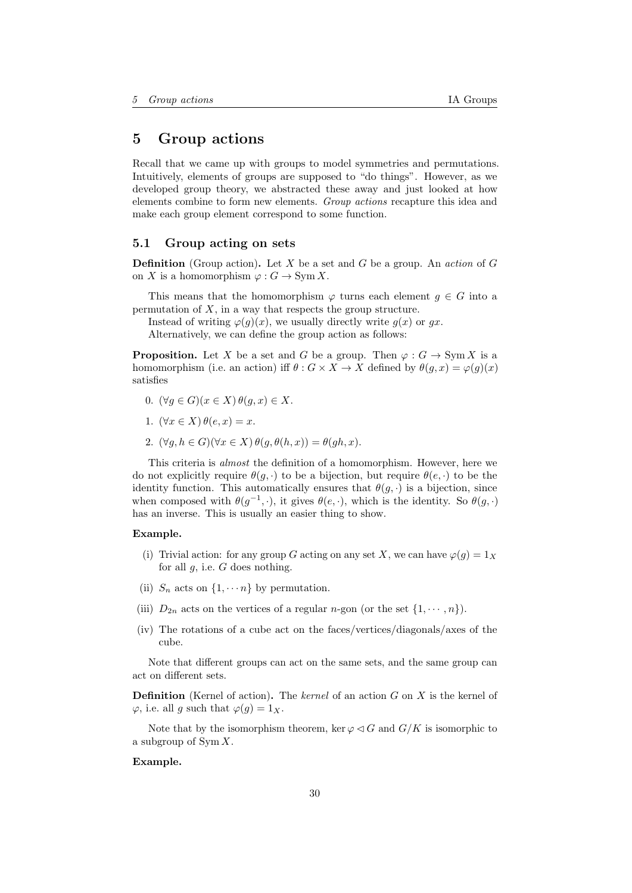# <span id="page-29-0"></span>5 Group actions

Recall that we came up with groups to model symmetries and permutations. Intuitively, elements of groups are supposed to "do things". However, as we developed group theory, we abstracted these away and just looked at how elements combine to form new elements. Group actions recapture this idea and make each group element correspond to some function.

### <span id="page-29-1"></span>5.1 Group acting on sets

**Definition** (Group action). Let X be a set and G be a group. An *action* of G on X is a homomorphism  $\varphi: G \to \text{Sym } X$ .

This means that the homomorphism  $\varphi$  turns each element  $g \in G$  into a permutation of  $X$ , in a way that respects the group structure.

Instead of writing  $\varphi(g)(x)$ , we usually directly write  $g(x)$  or  $gx$ .

Alternatively, we can define the group action as follows:

**Proposition.** Let X be a set and G be a group. Then  $\varphi : G \to \text{Sym } X$  is a homomorphism (i.e. an action) iff  $\theta$  :  $G \times X \to X$  defined by  $\theta(g, x) = \varphi(g)(x)$ satisfies

- 0.  $(\forall q \in G)(x \in X) \theta(q, x) \in X$ .
- 1.  $(\forall x \in X) \theta(e, x) = x$ .
- 2.  $(\forall g, h \in G)(\forall x \in X) \theta(g, \theta(h, x)) = \theta(gh, x).$

This criteria is almost the definition of a homomorphism. However, here we do not explicitly require  $\theta(q, \cdot)$  to be a bijection, but require  $\theta(e, \cdot)$  to be the identity function. This automatically ensures that  $\theta(q, \cdot)$  is a bijection, since when composed with  $\theta(g^{-1},\cdot)$ , it gives  $\theta(e,\cdot)$ , which is the identity. So  $\theta(g,\cdot)$ has an inverse. This is usually an easier thing to show.

#### Example.

- (i) Trivial action: for any group G acting on any set X, we can have  $\varphi(g) = 1_X$ for all  $q$ , i.e.  $G$  does nothing.
- (ii)  $S_n$  acts on  $\{1, \dots n\}$  by permutation.
- (iii)  $D_{2n}$  acts on the vertices of a regular *n*-gon (or the set  $\{1, \dots, n\}$ ).
- (iv) The rotations of a cube act on the faces/vertices/diagonals/axes of the cube.

Note that different groups can act on the same sets, and the same group can act on different sets.

**Definition** (Kernel of action). The kernel of an action  $G$  on  $X$  is the kernel of  $\varphi$ , i.e. all g such that  $\varphi(g) = 1_X$ .

Note that by the isomorphism theorem, ker  $\varphi \triangleleft G$  and  $G/K$  is isomorphic to a subgroup of Sym X.

### Example.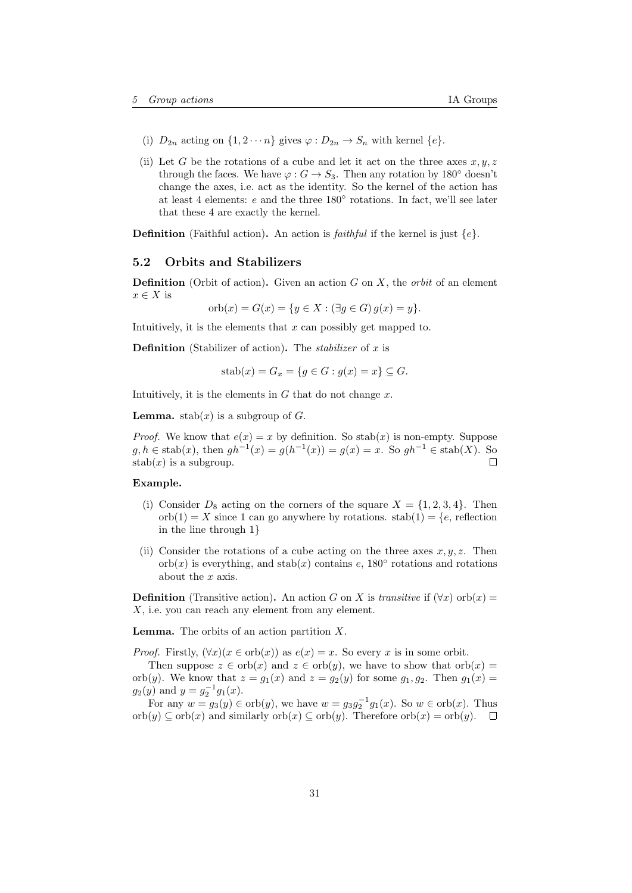- (i)  $D_{2n}$  acting on  $\{1, 2 \cdots n\}$  gives  $\varphi : D_{2n} \to S_n$  with kernel  $\{e\}.$
- (ii) Let G be the rotations of a cube and let it act on the three axes  $x, y, z$ through the faces. We have  $\varphi : G \to S_3$ . Then any rotation by 180° doesn't change the axes, i.e. act as the identity. So the kernel of the action has at least 4 elements:  $e$  and the three 180 $^{\circ}$  rotations. In fact, we'll see later that these 4 are exactly the kernel.

**Definition** (Faithful action). An action is *faithful* if the kernel is just  $\{e\}$ .

### <span id="page-30-0"></span>5.2 Orbits and Stabilizers

**Definition** (Orbit of action). Given an action G on X, the *orbit* of an element  $x \in X$  is

orb $(x) = G(x) = \{y \in X : (\exists q \in G) \ q(x) = y\}.$ 

Intuitively, it is the elements that  $x$  can possibly get mapped to.

**Definition** (Stabilizer of action). The *stabilizer* of x is

$$
stab(x) = G_x = \{ g \in G : g(x) = x \} \subseteq G.
$$

Intuitively, it is the elements in  $G$  that do not change  $x$ .

**Lemma.** stab(x) is a subgroup of  $G$ .

*Proof.* We know that  $e(x) = x$  by definition. So stab(x) is non-empty. Suppose  $g, h \in \text{stab}(x)$ , then  $gh^{-1}(x) = g(h^{-1}(x)) = g(x) = x$ . So  $gh^{-1} \in \text{stab}(X)$ . So  $\Box$  $stab(x)$  is a subgroup.

# Example.

- (i) Consider  $D_8$  acting on the corners of the square  $X = \{1, 2, 3, 4\}$ . Then  $orb(1) = X$  since 1 can go anywhere by rotations.  $stab(1) = \{e,$  reflection in the line through 1}
- (ii) Consider the rotations of a cube acting on the three axes  $x, y, z$ . Then orb $(x)$  is everything, and stab $(x)$  contains e, 180 $\degree$  rotations and rotations about the x axis.

**Definition** (Transitive action). An action G on X is transitive if  $(\forall x)$  orb $(x)$  =  $X$ , i.e. you can reach any element from any element.

**Lemma.** The orbits of an action partition  $X$ .

*Proof.* Firstly,  $(\forall x)(x \in \text{orb}(x))$  as  $e(x) = x$ . So every x is in some orbit.

Then suppose  $z \in \text{orb}(x)$  and  $z \in \text{orb}(y)$ , we have to show that  $\text{orb}(x) =$ orb(y). We know that  $z = g_1(x)$  and  $z = g_2(y)$  for some  $g_1, g_2$ . Then  $g_1(x) =$  $g_2(y)$  and  $y = g_2^{-1}g_1(x)$ .

For any  $w = g_3(y) \in \text{orb}(y)$ , we have  $w = g_3 g_2^{-1} g_1(x)$ . So  $w \in \text{orb}(x)$ . Thus  $\operatorname{orb}(y) \subseteq \operatorname{orb}(x)$  and similarly  $\operatorname{orb}(x) \subseteq \operatorname{orb}(y)$ . Therefore  $\operatorname{orb}(x) = \operatorname{orb}(y)$ .  $\Box$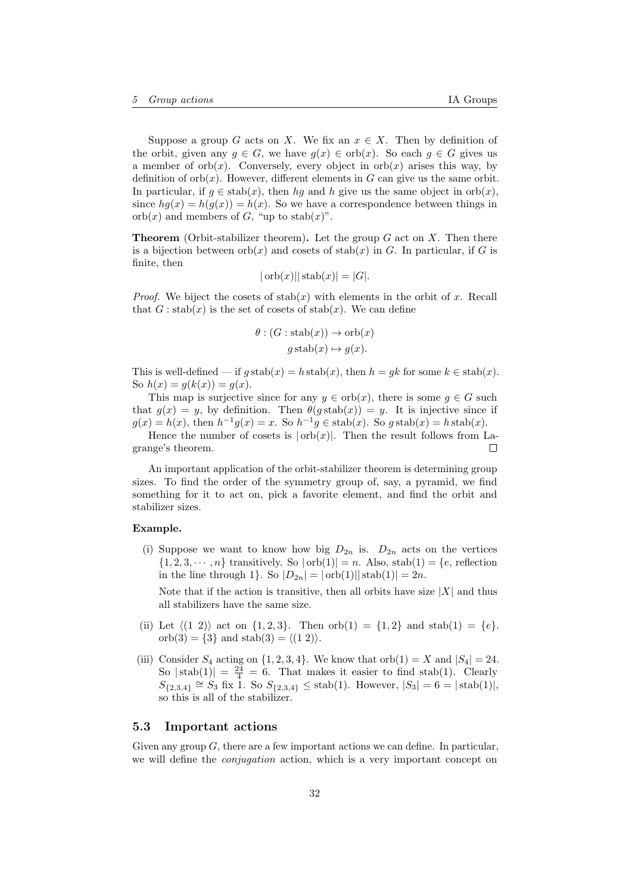Suppose a group G acts on X. We fix an  $x \in X$ . Then by definition of the orbit, given any  $g \in G$ , we have  $g(x) \in \text{orb}(x)$ . So each  $g \in G$  gives us a member of orb $(x)$ . Conversely, every object in orb $(x)$  arises this way, by definition of  $orb(x)$ . However, different elements in G can give us the same orbit. In particular, if  $g \in \text{stab}(x)$ , then hg and h give us the same object in orb $(x)$ , since  $hq(x) = h(q(x)) = h(x)$ . So we have a correspondence between things in orb $(x)$  and members of G, "up to stab $(x)$ ".

**Theorem** (Orbit-stabilizer theorem). Let the group  $G$  act on  $X$ . Then there is a bijection between  $\text{orb}(x)$  and cosets of stab(x) in G. In particular, if G is finite, then

$$
|\operatorname{orb}(x)||\operatorname{stab}(x)| = |G|.
$$

*Proof.* We biject the cosets of  $stab(x)$  with elements in the orbit of x. Recall that  $G: \text{stab}(x)$  is the set of cosets of stab(x). We can define

$$
\theta : (G : \operatorname{stab}(x)) \to \operatorname{orb}(x)
$$

$$
g \operatorname{stab}(x) \mapsto g(x).
$$

This is well-defined — if  $g \operatorname{stab}(x) = h \operatorname{stab}(x)$ , then  $h = gk$  for some  $k \in \operatorname{stab}(x)$ . So  $h(x) = g(k(x)) = g(x)$ .

This map is surjective since for any  $y \in \text{orb}(x)$ , there is some  $g \in G$  such that  $g(x) = y$ , by definition. Then  $\theta(g \, \text{stab}(x)) = y$ . It is injective since if  $g(x) = h(x)$ , then  $h^{-1}g(x) = x$ . So  $h^{-1}g \in \text{stab}(x)$ . So  $g \text{stab}(x) = h \text{stab}(x)$ .

Hence the number of cosets is  $|orb(x)|$ . Then the result follows from Lagrange's theorem.  $\Box$ 

An important application of the orbit-stabilizer theorem is determining group sizes. To find the order of the symmetry group of, say, a pyramid, we find something for it to act on, pick a favorite element, and find the orbit and stabilizer sizes.

#### Example.

(i) Suppose we want to know how big  $D_{2n}$  is.  $D_{2n}$  acts on the vertices  $\{1, 2, 3, \cdots, n\}$  transitively. So  $|\text{orb}(1)| = n$ . Also, stab $(1) = \{e,$  reflection in the line through 1}. So  $|D_{2n}| = |\text{orb}(1)||\text{stab}(1)| = 2n$ .

Note that if the action is transitive, then all orbits have size  $|X|$  and thus all stabilizers have the same size.

- (ii) Let  $\langle (1 2) \rangle$  act on  $\{1, 2, 3\}$ . Then orb $(1) = \{1, 2\}$  and stab $(1) = \{e\}.$ orb $(3) = \{3\}$  and stab $(3) = \langle (1 2) \rangle$ .
- (iii) Consider  $S_4$  acting on  $\{1, 2, 3, 4\}$ . We know that orb $(1) = X$  and  $|S_4| = 24$ . So  $|\text{stab}(1)| = \frac{24}{4} = 6$ . That makes it easier to find stab(1). Clearly  $S_{\{2,3,4\}} \cong S_3$  fix 1. So  $S_{\{2,3,4\}} \leq$  stab(1). However,  $|S_3| = 6 = |\text{stab}(1)|$ , so this is all of the stabilizer.

### <span id="page-31-0"></span>5.3 Important actions

Given any group  $G$ , there are a few important actions we can define. In particular, we will define the *conjugation* action, which is a very important concept on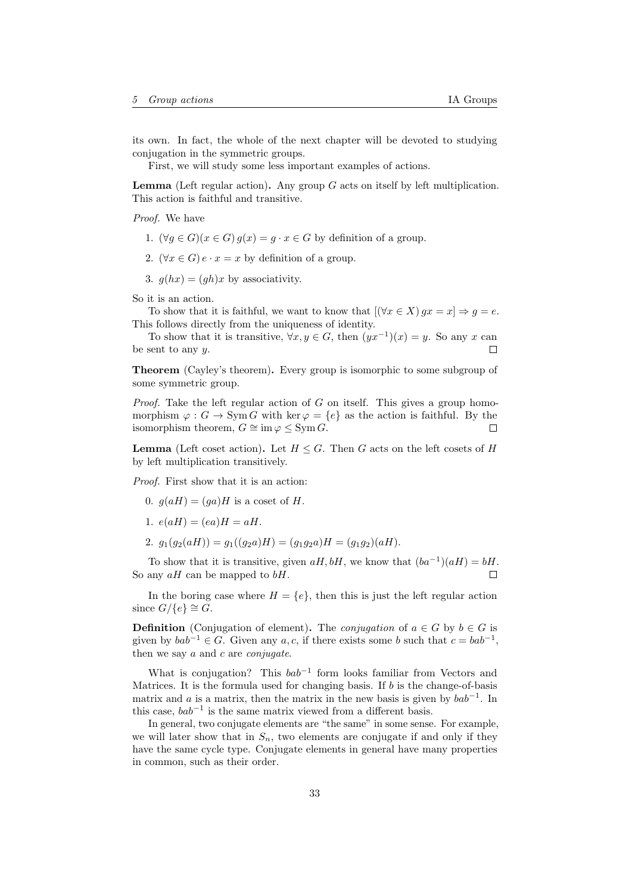its own. In fact, the whole of the next chapter will be devoted to studying conjugation in the symmetric groups.

First, we will study some less important examples of actions.

**Lemma** (Left regular action). Any group  $G$  acts on itself by left multiplication. This action is faithful and transitive.

Proof. We have

- 1.  $(\forall g \in G)(x \in G) g(x) = g \cdot x \in G$  by definition of a group.
- 2.  $(\forall x \in G) e \cdot x = x$  by definition of a group.
- 3.  $g(hx) = (gh)x$  by associativity.

So it is an action.

To show that it is faithful, we want to know that  $[(\forall x \in X)$   $gx = x] \Rightarrow g = e$ . This follows directly from the uniqueness of identity.

To show that it is transitive,  $\forall x, y \in G$ , then  $(yx^{-1})(x) = y$ . So any x can be sent to any  $y$ .  $\Box$ 

Theorem (Cayley's theorem). Every group is isomorphic to some subgroup of some symmetric group.

*Proof.* Take the left regular action of  $G$  on itself. This gives a group homomorphism  $\varphi : G \to \text{Sym } G$  with ker  $\varphi = \{e\}$  as the action is faithful. By the isomorphism theorem,  $G \cong \text{im } \varphi \leq \text{Sym } G$ . П

**Lemma** (Left coset action). Let  $H \leq G$ . Then G acts on the left cosets of H by left multiplication transitively.

Proof. First show that it is an action:

- 0.  $g(aH) = (ga)H$  is a coset of H.
- 1.  $e(aH) = (ea)H = aH$ .
- 2.  $g_1(g_2(aH)) = g_1((g_2a)H) = (g_1g_2a)H = (g_1g_2)(aH).$

To show that it is transitive, given  $aH, bH$ , we know that  $(ba^{-1})(aH) = bH$ . So any  $aH$  can be mapped to  $bH$ .  $\Box$ 

In the boring case where  $H = \{e\}$ , then this is just the left regular action since  $G/\{e\} \cong G$ .

**Definition** (Conjugation of element). The *conjugation* of  $a \in G$  by  $b \in G$  is given by  $bab^{-1} \in G$ . Given any a, c, if there exists some b such that  $c = bab^{-1}$ , then we say  $a$  and  $c$  are *conjugate*.

What is conjugation? This  $bab^{-1}$  form looks familiar from Vectors and Matrices. It is the formula used for changing basis. If  $b$  is the change-of-basis matrix and a is a matrix, then the matrix in the new basis is given by  $bab^{-1}$ . In this case,  $bab^{-1}$  is the same matrix viewed from a different basis.

In general, two conjugate elements are "the same" in some sense. For example, we will later show that in  $S_n$ , two elements are conjugate if and only if they have the same cycle type. Conjugate elements in general have many properties in common, such as their order.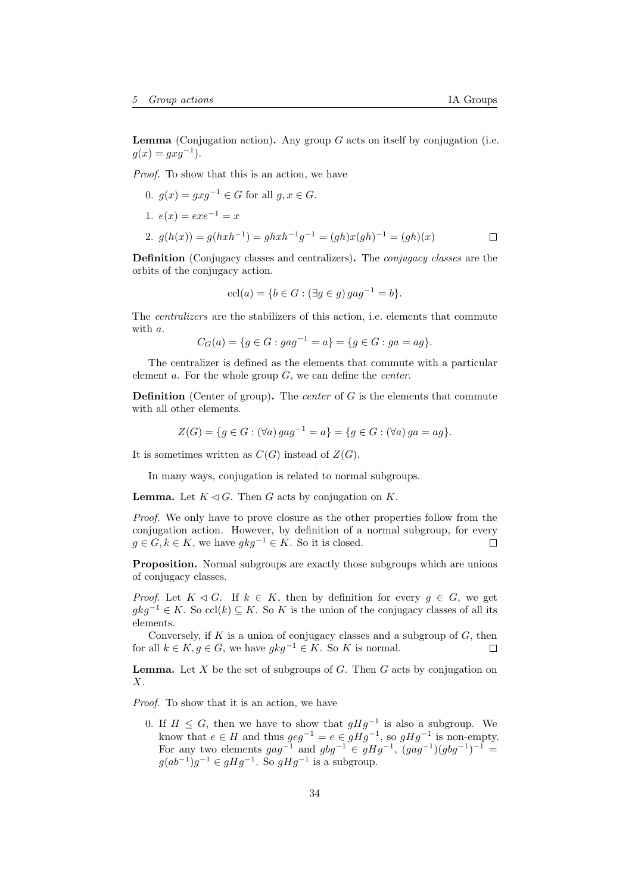**Lemma** (Conjugation action). Any group  $G$  acts on itself by conjugation (i.e.  $g(x) = gxg^{-1}$ ).

Proof. To show that this is an action, we have

0.  $q(x) = qxq^{-1} \in G$  for all  $q, x \in G$ . 1.  $e(x) = exe^{-1} = x$ 2.  $g(h(x)) = g(hxh^{-1}) = ghxh^{-1}g^{-1} = (gh)x(gh)^{-1} = (gh)(x)$  $\Box$ 

Definition (Conjugacy classes and centralizers). The conjugacy classes are the orbits of the conjugacy action.

$$
ccl(a) = \{ b \in G : (\exists g \in g) \, gag^{-1} = b \}.
$$

The centralizers are the stabilizers of this action, i.e. elements that commute with a.

 $C_G(a) = \{g \in G : gag^{-1} = a\} = \{g \in G : ga = ag\}.$ 

The centralizer is defined as the elements that commute with a particular element  $a$ . For the whole group  $G$ , we can define the *center*.

**Definition** (Center of group). The *center* of  $G$  is the elements that commute with all other elements.

$$
Z(G) = \{ g \in G : (\forall a) \, gag^{-1} = a \} = \{ g \in G : (\forall a) \, ga = ag \}.
$$

It is sometimes written as  $C(G)$  instead of  $Z(G)$ .

In many ways, conjugation is related to normal subgroups.

**Lemma.** Let  $K \triangleleft G$ . Then G acts by conjugation on K.

Proof. We only have to prove closure as the other properties follow from the conjugation action. However, by definition of a normal subgroup, for every  $g \in G, k \in K$ , we have  $gkg^{-1} \in K$ . So it is closed. П

Proposition. Normal subgroups are exactly those subgroups which are unions of conjugacy classes.

*Proof.* Let  $K \triangleleft G$ . If  $k \in K$ , then by definition for every  $g \in G$ , we get  $gkg^{-1} \in K$ . So ccl(k)  $\subseteq K$ . So K is the union of the conjugacy classes of all its elements.

Conversely, if  $K$  is a union of conjugacy classes and a subgroup of  $G$ , then for all  $k \in K$ ,  $g \in G$ , we have  $gkg^{-1} \in K$ . So K is normal. П

**Lemma.** Let X be the set of subgroups of G. Then  $G$  acts by conjugation on  $X<sub>1</sub>$ 

Proof. To show that it is an action, we have

0. If  $H \leq G$ , then we have to show that  $gHg^{-1}$  is also a subgroup. We know that  $e \in H$  and thus  $geq^{-1} = e \in gHg^{-1}$ , so  $gHg^{-1}$  is non-empty. For any two elements  $gag^{-1}$  and  $gbg^{-1} \in gHg^{-1}$ ,  $(gag^{-1})(gbg^{-1})^{-1}$  $g(ab^{-1})g^{-1} \in gHg^{-1}$ . So  $gHg^{-1}$  is a subgroup.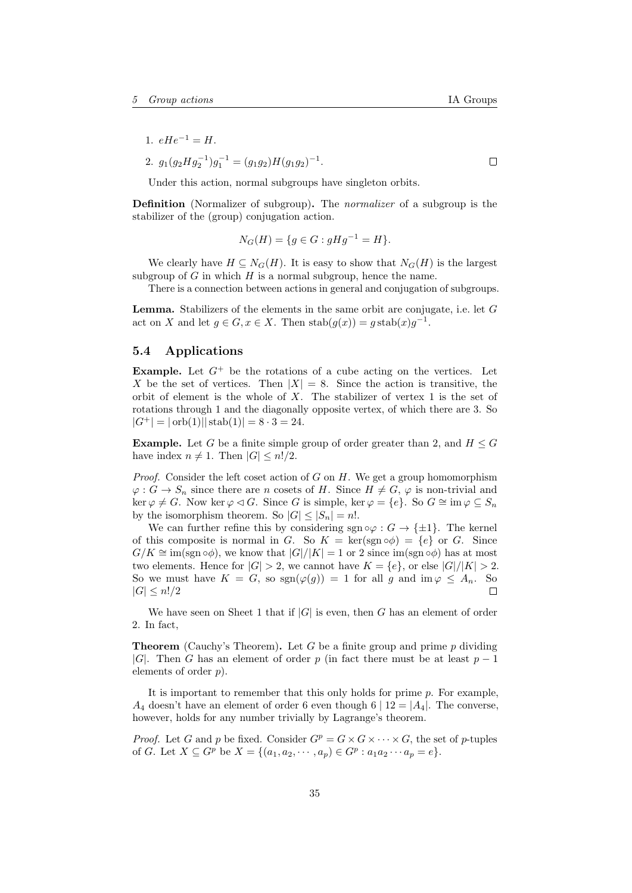1.  $eHe^{-1} = H$ .

2. 
$$
g_1(g_2 H g_2^{-1}) g_1^{-1} = (g_1 g_2) H (g_1 g_2)^{-1}
$$
.

Under this action, normal subgroups have singleton orbits.

Definition (Normalizer of subgroup). The normalizer of a subgroup is the stabilizer of the (group) conjugation action.

$$
N_G(H) = \{ g \in G : gHg^{-1} = H \}.
$$

We clearly have  $H \subseteq N_G(H)$ . It is easy to show that  $N_G(H)$  is the largest subgroup of  $G$  in which  $H$  is a normal subgroup, hence the name.

There is a connection between actions in general and conjugation of subgroups.

Lemma. Stabilizers of the elements in the same orbit are conjugate, i.e. let G act on X and let  $g \in G$ ,  $x \in X$ . Then  $\mathrm{stab}(g(x)) = g \mathrm{stab}(x)g^{-1}$ .

### <span id="page-34-0"></span>5.4 Applications

**Example.** Let  $G^+$  be the rotations of a cube acting on the vertices. Let X be the set of vertices. Then  $|X| = 8$ . Since the action is transitive, the orbit of element is the whole of  $X$ . The stabilizer of vertex 1 is the set of rotations through 1 and the diagonally opposite vertex, of which there are 3. So  $|G^+| = |\text{orb}(1)|| \text{stab}(1)| = 8 \cdot 3 = 24.$ 

**Example.** Let G be a finite simple group of order greater than 2, and  $H \leq G$ have index  $n \neq 1$ . Then  $|G| \leq n!/2$ .

*Proof.* Consider the left coset action of  $G$  on  $H$ . We get a group homomorphism  $\varphi: G \to S_n$  since there are n cosets of H. Since  $H \neq G$ ,  $\varphi$  is non-trivial and  $\ker \varphi \neq G$ . Now  $\ker \varphi \lhd G$ . Since G is simple,  $\ker \varphi = \{e\}$ . So  $G \cong \operatorname{im} \varphi \subseteq S_n$ by the isomorphism theorem. So  $|G| \leq |S_n| = n!$ .

We can further refine this by considering sgn  $\circ \varphi : G \to \{\pm 1\}$ . The kernel of this composite is normal in G. So  $K = \text{ker}(\text{sgn } \circ \phi) = \{e\}$  or G. Since  $G/K \cong \text{im}(\text{sgn}\circ\phi)$ , we know that  $|G|/|K| = 1$  or 2 since  $\text{im}(\text{sgn}\circ\phi)$  has at most two elements. Hence for  $|G| > 2$ , we cannot have  $K = \{e\}$ , or else  $|G|/|K| > 2$ . So we must have  $K = G$ , so  $sgn(\varphi(g)) = 1$  for all g and  $\text{im}\varphi \leq A_n$ . So  $|G| \leq n!/2$  $\Box$ 

We have seen on Sheet 1 that if  $|G|$  is even, then G has an element of order 2. In fact,

**Theorem** (Cauchy's Theorem). Let G be a finite group and prime p dividing |G|. Then G has an element of order p (in fact there must be at least  $p-1$ elements of order  $p$ ).

It is important to remember that this only holds for prime  $p$ . For example,  $A_4$  doesn't have an element of order 6 even though  $6 \mid 12 = |A_4|$ . The converse, however, holds for any number trivially by Lagrange's theorem.

*Proof.* Let G and p be fixed. Consider  $G^p = G \times G \times \cdots \times G$ , the set of p-tuples of G. Let  $X \subseteq G^p$  be  $X = \{(a_1, a_2, \dots, a_p) \in G^p : a_1 a_2 \dots a_p = e\}.$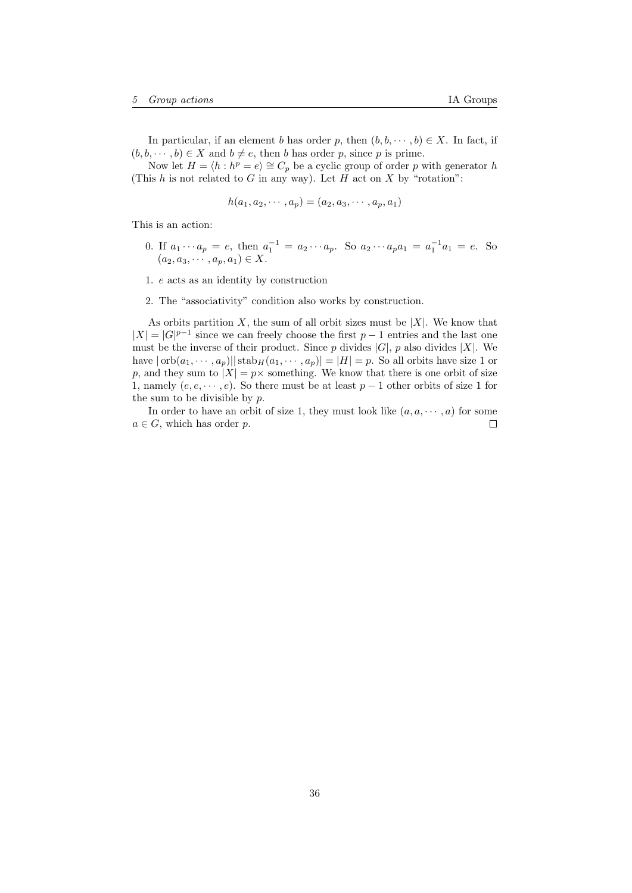In particular, if an element b has order p, then  $(b, b, \dots, b) \in X$ . In fact, if  $(b, b, \dots, b) \in X$  and  $b \neq e$ , then b has order p, since p is prime.

Now let  $H = \langle h : h^p = e \rangle \cong C_p$  be a cyclic group of order p with generator h (This  $h$  is not related to  $G$  in any way). Let  $H$  act on  $X$  by "rotation":

$$
h(a_1, a_2, \cdots, a_p) = (a_2, a_3, \cdots, a_p, a_1)
$$

This is an action:

- 0. If  $a_1 \cdots a_p = e$ , then  $a_1^{-1} = a_2 \cdots a_p$ . So  $a_2 \cdots a_p a_1 = a_1^{-1} a_1 = e$ . So  $(a_2, a_3, \cdots, a_p, a_1) \in X.$
- 1. e acts as an identity by construction
- 2. The "associativity" condition also works by construction.

As orbits partition  $X$ , the sum of all orbit sizes must be  $|X|$ . We know that  $|X| = |G|^{p-1}$  since we can freely choose the first  $p-1$  entries and the last one must be the inverse of their product. Since  $p$  divides  $|G|$ ,  $p$  also divides  $|X|$ . We have  $|\operatorname{orb}(a_1, \dots, a_p)| |\operatorname{stab}_H(a_1, \dots, a_p)| = |H| = p$ . So all orbits have size 1 or p, and they sum to  $|X| = p \times$  something. We know that there is one orbit of size 1, namely  $(e, e, \dots, e)$ . So there must be at least  $p-1$  other orbits of size 1 for the sum to be divisible by p.

In order to have an orbit of size 1, they must look like  $(a, a, \dots, a)$  for some  $a \in G$ , which has order p.  $\Box$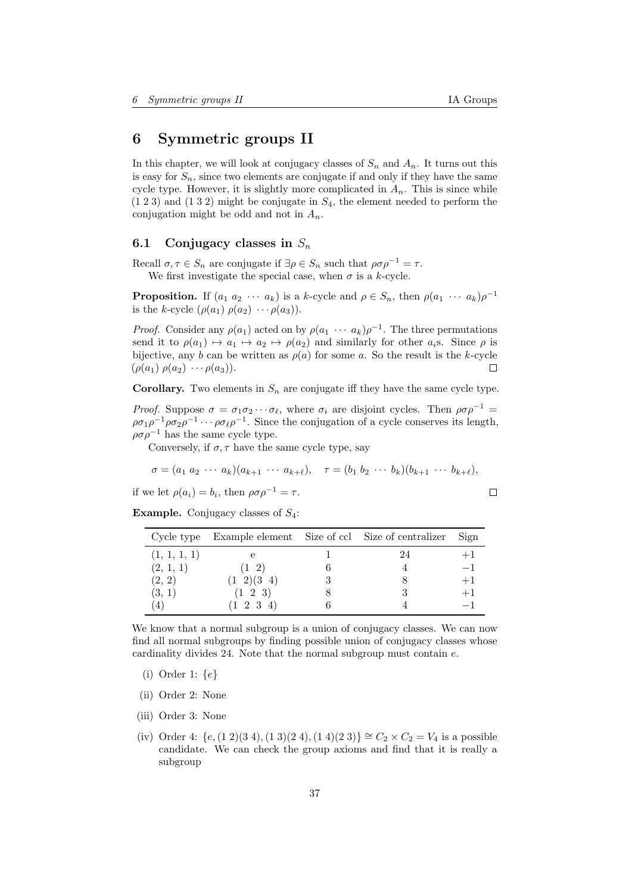# <span id="page-36-0"></span>6 Symmetric groups II

In this chapter, we will look at conjugacy classes of  $S_n$  and  $A_n$ . It turns out this is easy for  $S_n$ , since two elements are conjugate if and only if they have the same cycle type. However, it is slightly more complicated in  $A_n$ . This is since while  $(1 2 3)$  and  $(1 3 2)$  might be conjugate in  $S_4$ , the element needed to perform the conjugation might be odd and not in  $A_n$ .

# <span id="page-36-1"></span>6.1 Conjugacy classes in  $S_n$

Recall  $\sigma, \tau \in S_n$  are conjugate if  $\exists \rho \in S_n$  such that  $\rho \sigma \rho^{-1} = \tau$ . We first investigate the special case, when  $\sigma$  is a k-cycle.

**Proposition.** If  $(a_1 \ a_2 \ \cdots \ a_k)$  is a k-cycle and  $\rho \in S_n$ , then  $\rho(a_1 \ \cdots \ a_k)\rho^{-1}$ is the k-cycle  $(\rho(a_1) \rho(a_2) \cdots \rho(a_3))$ .

*Proof.* Consider any  $\rho(a_1)$  acted on by  $\rho(a_1 \cdots a_k) \rho^{-1}$ . The three permutations send it to  $\rho(a_1) \mapsto a_1 \mapsto a_2 \mapsto \rho(a_2)$  and similarly for other  $a_i$ s. Since  $\rho$  is bijective, any b can be written as  $\rho(a)$  for some a. So the result is the k-cycle  $(\rho(a_1) \rho(a_2) \cdots \rho(a_3)).$  $\Box$ 

**Corollary.** Two elements in  $S_n$  are conjugate iff they have the same cycle type.

*Proof.* Suppose  $\sigma = \sigma_1 \sigma_2 \cdots \sigma_\ell$ , where  $\sigma_i$  are disjoint cycles. Then  $\rho \sigma \rho^{-1} =$  $\rho\sigma_1\rho^{-1}\rho\sigma_2\rho^{-1}\cdots\rho\sigma_\ell\rho^{-1}$ . Since the conjugation of a cycle conserves its length,  $\rho \sigma \rho^{-1}$  has the same cycle type.

Conversely, if  $\sigma$ ,  $\tau$  have the same cycle type, say

$$
\sigma = (a_1 \ a_2 \ \cdots \ a_k)(a_{k+1} \ \cdots \ a_{k+\ell}), \quad \tau = (b_1 \ b_2 \ \cdots \ b_k)(b_{k+1} \ \cdots \ b_{k+\ell}),
$$

if we let  $\rho(a_i) = b_i$ , then  $\rho \sigma \rho^{-1} = \tau$ .

**Example.** Conjugacy classes of  $S_4$ :

|              | Cycle type Example element Size of ccl Size of centralizer |    | Sign |
|--------------|------------------------------------------------------------|----|------|
| (1, 1, 1, 1) |                                                            | 24 | $+1$ |
| (2, 1, 1)    | $(1\ 2)$                                                   |    |      |
| (2, 2)       | $(1\ 2)(3\ 4)$                                             |    | $+1$ |
| (3, 1)       | $(1\ 2\ 3)$                                                |    | $+1$ |
| (4)          | $(1\ 2\ 3\ 4)$                                             |    |      |

We know that a normal subgroup is a union of conjugacy classes. We can now find all normal subgroups by finding possible union of conjugacy classes whose cardinality divides 24. Note that the normal subgroup must contain  $e$ .

- (i) Order 1:  $\{e\}$
- (ii) Order 2: None
- (iii) Order 3: None
- (iv) Order 4:  $\{e,(1\ 2)(3\ 4),(1\ 3)(2\ 4),(1\ 4)(2\ 3)\}\cong C_2 \times C_2 = V_4$  is a possible candidate. We can check the group axioms and find that it is really a subgroup

 $\Box$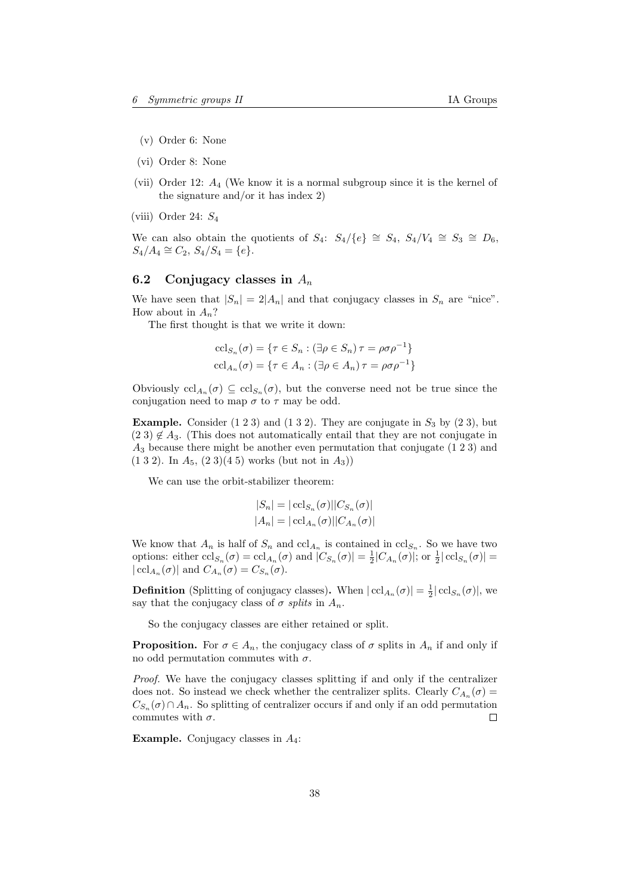- (v) Order 6: None
- (vi) Order 8: None
- (vii) Order 12: A<sup>4</sup> (We know it is a normal subgroup since it is the kernel of the signature and/or it has index 2)
- (viii) Order 24:  $S_4$

We can also obtain the quotients of  $S_4$ :  $S_4/\lbrace e \rbrace \cong S_4$ ,  $S_4/V_4 \cong S_3 \cong D_6$ ,  $S_4/A_4 \cong C_2$ ,  $S_4/S_4 = \{e\}.$ 

# <span id="page-37-0"></span>6.2 Conjugacy classes in  $A_n$

We have seen that  $|S_n| = 2|A_n|$  and that conjugacy classes in  $S_n$  are "nice". How about in  $A_n$ ?

The first thought is that we write it down:

$$
\operatorname{ccl}_{S_n}(\sigma) = \{ \tau \in S_n : (\exists \rho \in S_n) \tau = \rho \sigma \rho^{-1} \}
$$

$$
\operatorname{ccl}_{A_n}(\sigma) = \{ \tau \in A_n : (\exists \rho \in A_n) \tau = \rho \sigma \rho^{-1} \}
$$

Obviously  $\text{ccl}_{A_n}(\sigma) \subseteq \text{ccl}_{S_n}(\sigma)$ , but the converse need not be true since the conjugation need to map  $\sigma$  to  $\tau$  may be odd.

**Example.** Consider  $(1\ 2\ 3)$  and  $(1\ 3\ 2)$ . They are conjugate in  $S_3$  by  $(2\ 3)$ , but  $(2 3) \notin A_3$ . (This does not automatically entail that they are not conjugate in  $A_3$  because there might be another even permutation that conjugate  $(1\ 2\ 3)$  and  $(1 3 2)$ . In  $A_5$ ,  $(2 3)(4 5)$  works (but not in  $A_3$ ))

We can use the orbit-stabilizer theorem:

$$
|S_n| = |\operatorname{ccl}_{S_n}(\sigma)||C_{S_n}(\sigma)|
$$
  

$$
|A_n| = |\operatorname{ccl}_{A_n}(\sigma)||C_{A_n}(\sigma)|
$$

We know that  $A_n$  is half of  $S_n$  and  $\operatorname{ccl}_{A_n}$  is contained in  $\operatorname{ccl}_{S_n}$ . So we have two options: either  $\operatorname{ccl}_{S_n}(\sigma) = \operatorname{ccl}_{A_n}(\sigma)$  and  $|C_{S_n}(\sigma)| = \frac{1}{2}|C_{A_n}(\sigma)|$ ; or  $\frac{1}{2}|\operatorname{ccl}_{S_n}(\sigma)| =$  $| \operatorname{ccl}_{A_n}(\sigma) |$  and  $C_{A_n}(\sigma) = C_{S_n}(\sigma)$ .

**Definition** (Splitting of conjugacy classes). When  $| \operatorname{ccl}_{A_n}(\sigma) | = \frac{1}{2} | \operatorname{ccl}_{S_n}(\sigma) |$ , we say that the conjugacy class of  $\sigma$  splits in  $A_n$ .

So the conjugacy classes are either retained or split.

**Proposition.** For  $\sigma \in A_n$ , the conjugacy class of  $\sigma$  splits in  $A_n$  if and only if no odd permutation commutes with  $\sigma$ .

Proof. We have the conjugacy classes splitting if and only if the centralizer does not. So instead we check whether the centralizer splits. Clearly  $C_{A_n}(\sigma) =$  $C_{S_n}(\sigma) \cap A_n$ . So splitting of centralizer occurs if and only if an odd permutation commutes with  $\sigma$ .  $\Box$ 

**Example.** Conjugacy classes in  $A_4$ :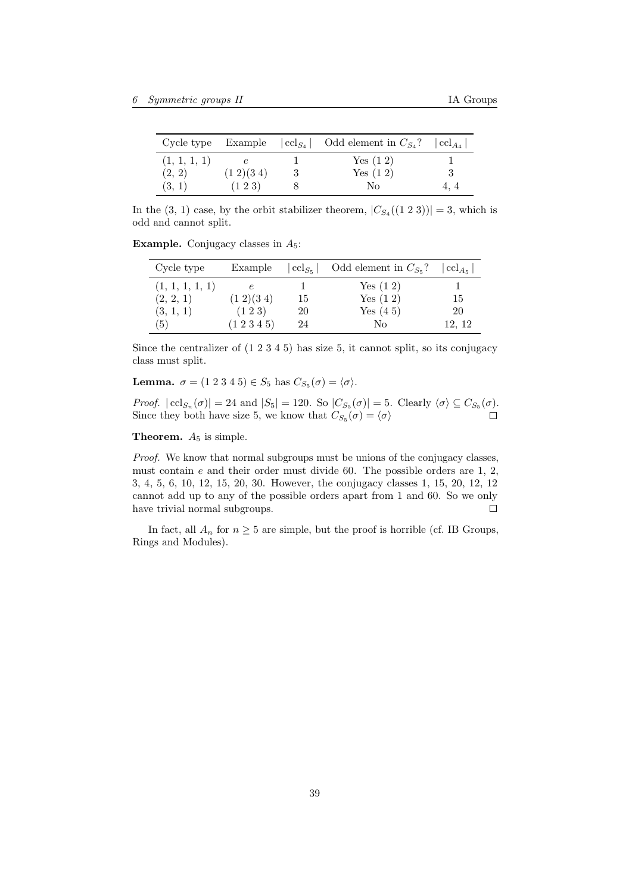|              |                | Cycle type Example $ cd_{S_4} $ Odd element in $C_{S_4}$ ? | $  \operatorname{ccl}_{A_4}  $ |
|--------------|----------------|------------------------------------------------------------|--------------------------------|
| (1, 1, 1, 1) |                | Yes $(1\ 2)$                                               |                                |
| (2, 2)       | $(1\ 2)(3\ 4)$ | Yes $(1\ 2)$                                               |                                |
| (3, 1)       | $(1\;2\;3)$    | No                                                         | 4.4                            |

In the  $(3, 1)$  case, by the orbit stabilizer theorem,  $|C_{S_4}((1 2 3))|=3$ , which is odd and cannot split.

**Example.** Conjugacy classes in  $A_5$ :

| Cycle type      | Example           | $ {\rm ccl}_{S_5} $ | Odd element in $C_{S_5}$ ? | $  \operatorname{ccl}_{A_{\kappa}}$ |
|-----------------|-------------------|---------------------|----------------------------|-------------------------------------|
| (1, 1, 1, 1, 1) | $\epsilon$        |                     | Yes $(1\ 2)$               |                                     |
| (2, 2, 1)       | $(1\ 2)(3\ 4)$    | 15                  | Yes $(1\ 2)$               | 15                                  |
| (3, 1, 1)       | $(1\;2\;3)$       | 20                  | Yes $(4\ 5)$               | 20                                  |
| (5)             | $(1\;2\;3\;4\;5)$ | 24                  | No                         | 12, 12                              |

Since the centralizer of (1 2 3 4 5) has size 5, it cannot split, so its conjugacy class must split.

**Lemma.**  $\sigma = (1\ 2\ 3\ 4\ 5) \in S_5$  has  $C_{S_5}(\sigma) = \langle \sigma \rangle$ .

*Proof.*  $| \operatorname{ccl}_{S_n}(\sigma) | = 24$  and  $|S_5| = 120$ . So  $|C_{S_5}(\sigma)| = 5$ . Clearly  $\langle \sigma \rangle \subseteq C_{S_5}(\sigma)$ . Since they both have size 5, we know that  $C_{S_5}(\sigma) = \langle \sigma \rangle$  $(\sigma) = \langle \sigma \rangle$ 

**Theorem.**  $A_5$  is simple.

Proof. We know that normal subgroups must be unions of the conjugacy classes, must contain  $e$  and their order must divide 60. The possible orders are 1, 2, 3, 4, 5, 6, 10, 12, 15, 20, 30. However, the conjugacy classes 1, 15, 20, 12, 12 cannot add up to any of the possible orders apart from 1 and 60. So we only have trivial normal subgroups.  $\Box$ 

In fact, all  $A_n$  for  $n \geq 5$  are simple, but the proof is horrible (cf. IB Groups, Rings and Modules).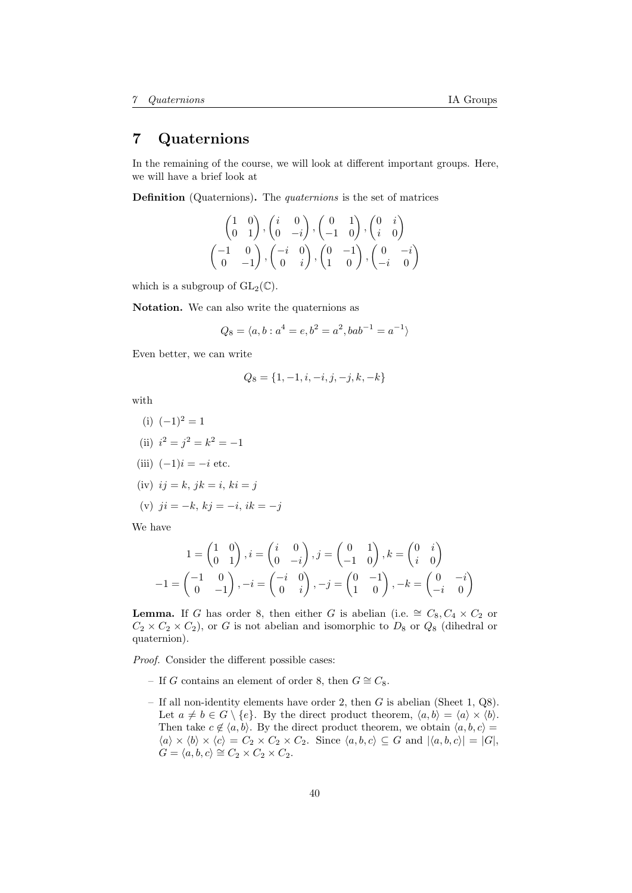# <span id="page-39-0"></span>7 Quaternions

In the remaining of the course, we will look at different important groups. Here, we will have a brief look at

Definition (Quaternions). The quaternions is the set of matrices

$$
\begin{pmatrix} 1 & 0 \ 0 & 1 \end{pmatrix}, \begin{pmatrix} i & 0 \ 0 & -i \end{pmatrix}, \begin{pmatrix} 0 & 1 \ -1 & 0 \end{pmatrix}, \begin{pmatrix} 0 & i \ i & 0 \end{pmatrix}
$$

$$
\begin{pmatrix} -1 & 0 \ 0 & -1 \end{pmatrix}, \begin{pmatrix} -i & 0 \ 0 & i \end{pmatrix}, \begin{pmatrix} 0 & -1 \ 1 & 0 \end{pmatrix}, \begin{pmatrix} 0 & -i \ -i & 0 \end{pmatrix}
$$

which is a subgroup of  $GL_2(\mathbb{C})$ .

Notation. We can also write the quaternions as

$$
Q_8 = \langle a, b : a^4 = e, b^2 = a^2, bab^{-1} = a^{-1} \rangle
$$

Even better, we can write

$$
Q_8 = \{1, -1, i, -i, j, -j, k, -k\}
$$

with

(i)  $(-1)^2 = 1$ (ii)  $i^2 = j^2 = k^2 = -1$ (iii)  $(-1)i = -i$  etc. (iv)  $ij = k$ ,  $jk = i$ ,  $ki = j$ (v)  $ji = -k, ki = -i, ik = -j$ We have

$$
1 = \begin{pmatrix} 1 & 0 \\ 0 & 1 \end{pmatrix}, i = \begin{pmatrix} i & 0 \\ 0 & -i \end{pmatrix}, j = \begin{pmatrix} 0 & 1 \\ -1 & 0 \end{pmatrix}, k = \begin{pmatrix} 0 & i \\ i & 0 \end{pmatrix}
$$

$$
-1 = \begin{pmatrix} -1 & 0 \\ 0 & -1 \end{pmatrix}, -i = \begin{pmatrix} -i & 0 \\ 0 & i \end{pmatrix}, -j = \begin{pmatrix} 0 & -1 \\ 1 & 0 \end{pmatrix}, -k = \begin{pmatrix} 0 & -i \\ -i & 0 \end{pmatrix}
$$

**Lemma.** If G has order 8, then either G is abelian (i.e.  $\cong C_8, C_4 \times C_2$  or  $C_2 \times C_2 \times C_2$ ), or G is not abelian and isomorphic to  $D_8$  or  $Q_8$  (dihedral or quaternion).

Proof. Consider the different possible cases:

- If G contains an element of order 8, then  $G \cong C_8$ .
- If all non-identity elements have order 2, then  $G$  is abelian (Sheet 1, Q8). Let  $a \neq b \in G \setminus \{e\}$ . By the direct product theorem,  $\langle a, b \rangle = \langle a \rangle \times \langle b \rangle$ . Then take  $c \notin \langle a, b \rangle$ . By the direct product theorem, we obtain  $\langle a, b, c \rangle =$  $\langle a \rangle \times \langle b \rangle \times \langle c \rangle = C_2 \times C_2 \times C_2$ . Since  $\langle a, b, c \rangle \subseteq G$  and  $|\langle a, b, c \rangle| = |G|$ ,  $G = \langle a, b, c \rangle \cong C_2 \times C_2 \times C_2.$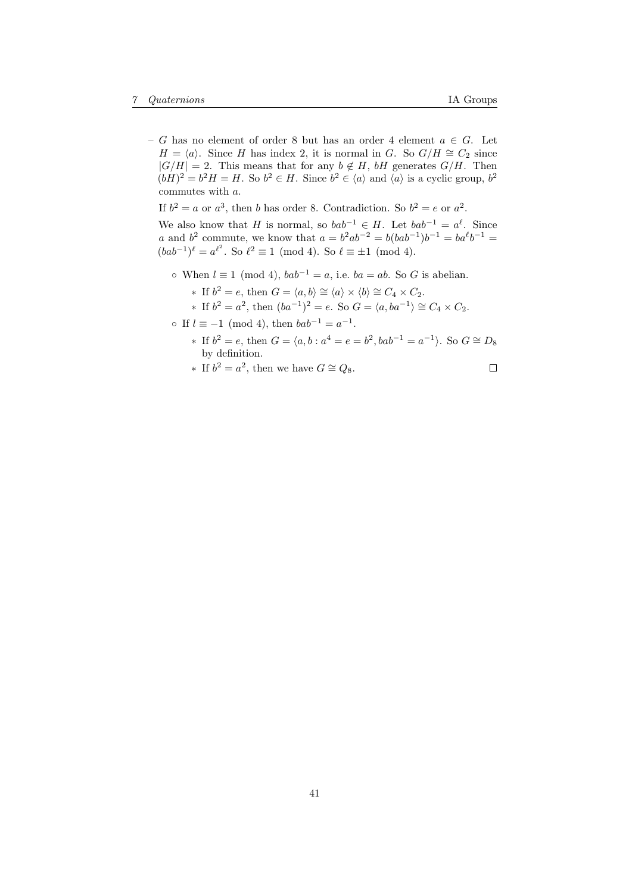– G has no element of order 8 but has an order 4 element a ∈ G. Let  $H = \langle a \rangle$ . Since H has index 2, it is normal in G. So  $G/H \cong C_2$  since  $|G/H| = 2$ . This means that for any  $b \notin H$ , bH generates  $G/H$ . Then  $(bH)^2 = b^2H = H$ . So  $b^2 \in H$ . Since  $b^2 \in \langle a \rangle$  and  $\langle a \rangle$  is a cyclic group,  $b^2$ commutes with a.

If  $b^2 = a$  or  $a^3$ , then b has order 8. Contradiction. So  $b^2 = e$  or  $a^2$ .

We also know that H is normal, so  $bab^{-1} \in H$ . Let  $bab^{-1} = a^{\ell}$ . Since *a* and *b*<sup>2</sup> commute, we know that  $a = b^2ab^{-2} = b(bab^{-1})b^{-1} = ba^{\ell}b^{-1}$  $(bab^{-1})^{\ell} = a^{\ell^2}$ . So  $\ell^2 \equiv 1 \pmod{4}$ . So  $\ell \equiv \pm 1 \pmod{4}$ .

- ∘ When  $l \equiv 1 \pmod{4}$ ,  $bab^{-1} = a$ , i.e.  $ba = ab$ . So G is abelian.
	- ∗ If  $b^2 = e$ , then  $G = \langle a, b \rangle \cong \langle a \rangle \times \langle b \rangle \cong C_4 \times C_2$ .
	- ∗ If  $b^2 = a^2$ , then  $(ba^{-1})^2 = e$ . So  $G = \langle a, ba^{-1} \rangle \cong C_4 \times C_2$ .
- $\circ$  If  $l \equiv -1 \pmod{4}$ , then  $bab^{-1} = a^{-1}$ .
	- ∗ If  $b^2 = e$ , then  $G = \langle a, b : a^4 = e = b^2, bab^{-1} = a^{-1} \rangle$ . So  $G \cong D_8$ by definition.
	- ∗ If  $b^2 = a^2$ , then we have  $G \cong Q_8$ .  $\Box$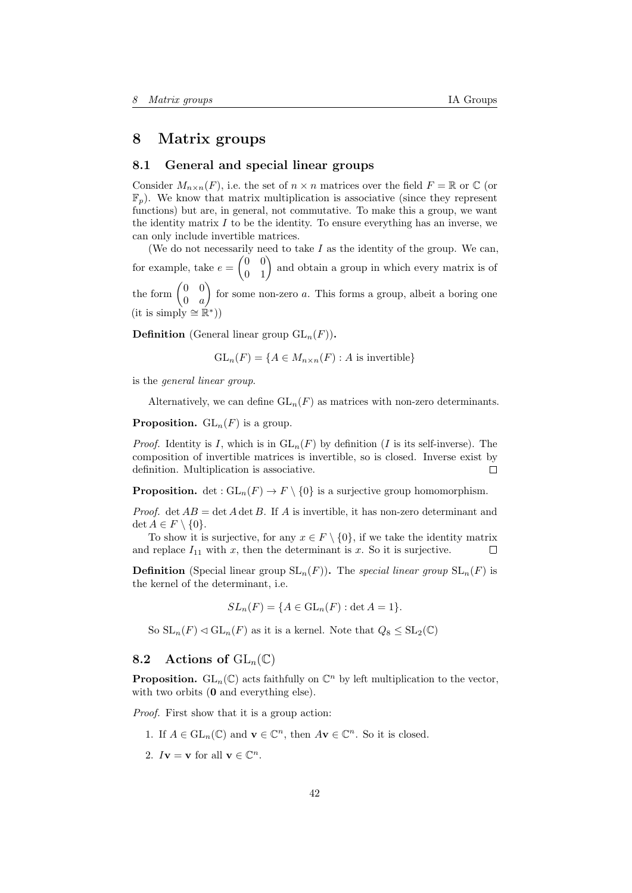# <span id="page-41-0"></span>8 Matrix groups

# <span id="page-41-1"></span>8.1 General and special linear groups

Consider  $M_{n\times n}(F)$ , i.e. the set of  $n \times n$  matrices over the field  $F = \mathbb{R}$  or  $\mathbb{C}$  (or  $\mathbb{F}_n$ ). We know that matrix multiplication is associative (since they represent functions) but are, in general, not commutative. To make this a group, we want the identity matrix  $I$  to be the identity. To ensure everything has an inverse, we can only include invertible matrices.

(We do not necessarily need to take  $I$  as the identity of the group. We can, for example, take  $e = \begin{pmatrix} 0 & 0 \\ 0 & 1 \end{pmatrix}$  and obtain a group in which every matrix is of the form  $\begin{pmatrix} 0 & 0 \\ 0 & 0 \end{pmatrix}$  $0 \quad a$ for some non-zero  $a$ . This forms a group, albeit a boring one  $(\text{it is simply} \cong \mathbb{R}^*)$ 

**Definition** (General linear group  $GL_n(F)$ ).

$$
GL_n(F) = \{ A \in M_{n \times n}(F) : A \text{ is invertible} \}
$$

is the general linear group.

Alternatively, we can define  $GL_n(F)$  as matrices with non-zero determinants.

**Proposition.**  $GL_n(F)$  is a group.

*Proof.* Identity is I, which is in  $GL_n(F)$  by definition (I is its self-inverse). The composition of invertible matrices is invertible, so is closed. Inverse exist by definition. Multiplication is associative.  $\Box$ 

**Proposition.** det :  $GL_n(F) \to F \setminus \{0\}$  is a surjective group homomorphism.

*Proof.* det  $AB = \det A \det B$ . If A is invertible, it has non-zero determinant and det  $A \in F \setminus \{0\}.$ 

To show it is surjective, for any  $x \in F \setminus \{0\}$ , if we take the identity matrix and replace  $I_{11}$  with x, then the determinant is x. So it is surjective.  $\Box$ 

**Definition** (Special linear group  $SL_n(F)$ ). The special linear group  $SL_n(F)$  is the kernel of the determinant, i.e.

$$
SL_n(F) = \{ A \in GL_n(F) : \det A = 1 \}
$$

So  $SL_n(F) \triangleleft GL_n(F)$  as it is a kernel. Note that  $Q_8 \le SL_2(\mathbb{C})$ 

# <span id="page-41-2"></span>8.2 Actions of  $\text{GL}_n(\mathbb{C})$

**Proposition.**  $\text{GL}_n(\mathbb{C})$  acts faithfully on  $\mathbb{C}^n$  by left multiplication to the vector, with two orbits  $(0 \text{ and everything else}).$ 

Proof. First show that it is a group action:

- 1. If  $A \in GL_n(\mathbb{C})$  and  $\mathbf{v} \in \mathbb{C}^n$ , then  $A\mathbf{v} \in \mathbb{C}^n$ . So it is closed.
- 2.  $I\mathbf{v} = \mathbf{v}$  for all  $\mathbf{v} \in \mathbb{C}^n$ .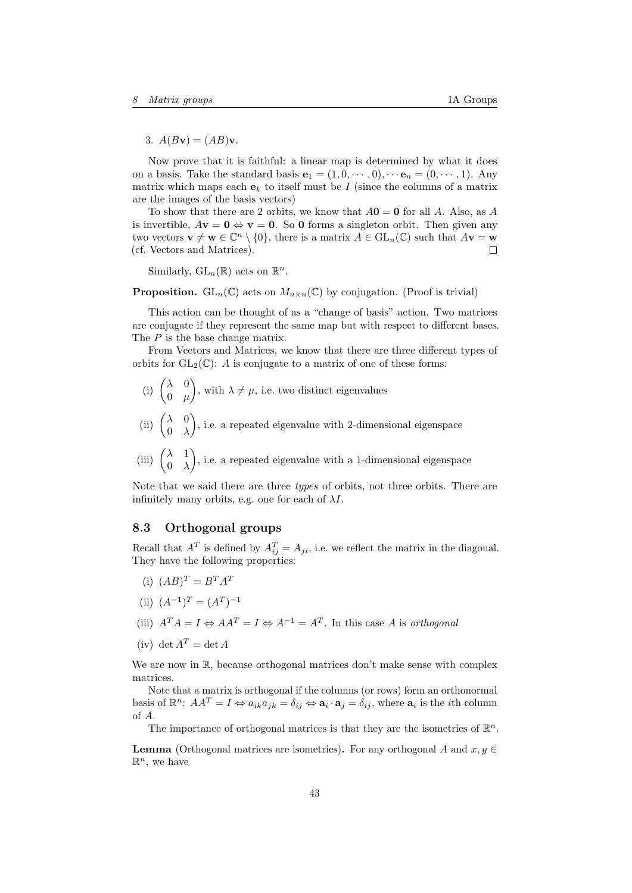3.  $A(Bv) = (AB)v$ .

Now prove that it is faithful: a linear map is determined by what it does on a basis. Take the standard basis  $\mathbf{e}_1 = (1, 0, \dots, 0), \dots \mathbf{e}_n = (0, \dots, 1)$ . Any matrix which maps each  $e_k$  to itself must be I (since the columns of a matrix are the images of the basis vectors)

To show that there are 2 orbits, we know that  $A0 = 0$  for all A. Also, as A is invertible,  $A\mathbf{v} = \mathbf{0} \Leftrightarrow \mathbf{v} = \mathbf{0}$ . So  $\mathbf{0}$  forms a singleton orbit. Then given any two vectors  $\mathbf{v} \neq \mathbf{w} \in \mathbb{C}^n \setminus \{0\}$ , there is a matrix  $A \in GL_n(\mathbb{C})$  such that  $A\mathbf{v} = \mathbf{w}$ (cf. Vectors and Matrices).  $\Box$ 

Similarly,  $GL_n(\mathbb{R})$  acts on  $\mathbb{R}^n$ .

**Proposition.** GL<sub>n</sub>( $\mathbb{C}$ ) acts on  $M_{n\times n}(\mathbb{C})$  by conjugation. (Proof is trivial)

This action can be thought of as a "change of basis" action. Two matrices are conjugate if they represent the same map but with respect to different bases. The P is the base change matrix.

From Vectors and Matrices, we know that there are three different types of orbits for  $GL_2(\mathbb{C})$ : A is conjugate to a matrix of one of these forms:

- (i)  $\begin{pmatrix} \lambda & 0 \\ 0 & \lambda \end{pmatrix}$  $0 \mu$ ), with  $\lambda \neq \mu$ , i.e. two distinct eigenvalues
- (ii)  $\begin{pmatrix} \lambda & 0 \\ 0 & \lambda \end{pmatrix}$  $0 \lambda$ ), i.e. a repeated eigenvalue with 2-dimensional eigenspace
- (iii)  $\begin{pmatrix} \lambda & 1 \\ 0 & \lambda \end{pmatrix}$  $0 \lambda$ ), i.e. a repeated eigenvalue with a 1-dimensional eigenspace

Note that we said there are three types of orbits, not three orbits. There are infinitely many orbits, e.g. one for each of  $\lambda I$ .

# <span id="page-42-0"></span>8.3 Orthogonal groups

Recall that  $A^T$  is defined by  $A_{ij}^T = A_{ji}$ , i.e. we reflect the matrix in the diagonal. They have the following properties:

- (i)  $(AB)^T = B^T A^T$
- (ii)  $(A^{-1})^T = (A^T)^{-1}$
- (iii)  $A^T A = I \Leftrightarrow AA^T = I \Leftrightarrow A^{-1} = A^T$ . In this case A is orthogonal
- (iv) det  $A^T = \det A$

We are now in  $\mathbb{R}$ , because orthogonal matrices don't make sense with complex matrices.

Note that a matrix is orthogonal if the columns (or rows) form an orthonormal basis of  $\mathbb{R}^n$ :  $AA^T = I \Leftrightarrow a_{ik}a_{jk} = \delta_{ij} \Leftrightarrow \mathbf{a}_i \cdot \mathbf{a}_j = \delta_{ij}$ , where  $\mathbf{a}_i$  is the *i*th column of A.

The importance of orthogonal matrices is that they are the isometries of  $\mathbb{R}^n$ .

**Lemma** (Orthogonal matrices are isometries). For any orthogonal A and  $x, y \in$  $\mathbb{R}^n$ , we have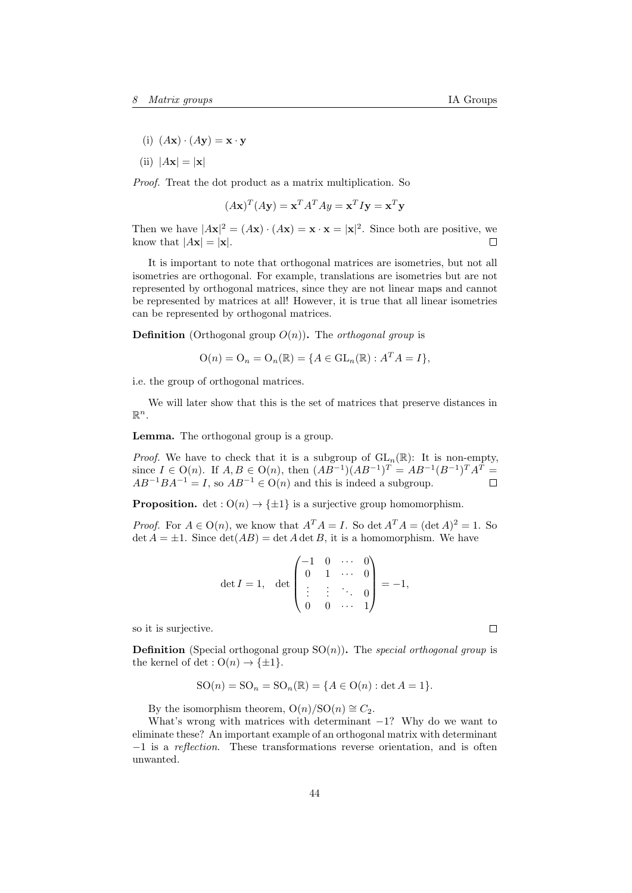- (i)  $(A\mathbf{x}) \cdot (A\mathbf{y}) = \mathbf{x} \cdot \mathbf{y}$
- (ii)  $|A\mathbf{x}| = |\mathbf{x}|$

Proof. Treat the dot product as a matrix multiplication. So

$$
(A\mathbf{x})^T (A\mathbf{y}) = \mathbf{x}^T A^T A \mathbf{y} = \mathbf{x}^T I \mathbf{y} = \mathbf{x}^T \mathbf{y}
$$

Then we have  $|A\mathbf{x}|^2 = (A\mathbf{x}) \cdot (A\mathbf{x}) = \mathbf{x} \cdot \mathbf{x} = |\mathbf{x}|^2$ . Since both are positive, we know that  $|A\mathbf{x}| = |\mathbf{x}|$ .  $\Box$ 

It is important to note that orthogonal matrices are isometries, but not all isometries are orthogonal. For example, translations are isometries but are not represented by orthogonal matrices, since they are not linear maps and cannot be represented by matrices at all! However, it is true that all linear isometries can be represented by orthogonal matrices.

**Definition** (Orthogonal group  $O(n)$ ). The *orthogonal group* is

$$
\mathcal{O}(n) = \mathcal{O}_n = \mathcal{O}_n(\mathbb{R}) = \{ A \in \mathrm{GL}_n(\mathbb{R}) : A^T A = I \},
$$

i.e. the group of orthogonal matrices.

We will later show that this is the set of matrices that preserve distances in  $\mathbb{R}^n$ .

Lemma. The orthogonal group is a group.

*Proof.* We have to check that it is a subgroup of  $GL_n(\mathbb{R})$ : It is non-empty, since  $I \in O(n)$ . If  $A, B \in O(n)$ , then  $(AB^{-1})(AB^{-1})^T = AB^{-1}(B^{-1})^T A^T =$  $AB^{-1}BA^{-1} = I$ , so  $AB^{-1} \in O(n)$  and this is indeed a subgroup.  $\Box$ 

**Proposition.** det :  $O(n) \rightarrow {\pm 1}$  is a surjective group homomorphism.

*Proof.* For  $A \in O(n)$ , we know that  $A^T A = I$ . So det  $A^T A = (\det A)^2 = 1$ . So  $\det A = \pm 1$ . Since  $\det(AB) = \det A \det B$ , it is a homomorphism. We have

$$
\det I = 1, \quad \det \begin{pmatrix} -1 & 0 & \cdots & 0 \\ 0 & 1 & \cdots & 0 \\ \vdots & \vdots & \ddots & 0 \\ 0 & 0 & \cdots & 1 \end{pmatrix} = -1,
$$

so it is surjective.

**Definition** (Special orthogonal group  $SO(n)$ ). The special orthogonal group is the kernel of det :  $O(n) \rightarrow {\pm 1}$ .

$$
SO(n) = SO_n = SO_n(\mathbb{R}) = \{A \in O(n) : \det A = 1\}.
$$

By the isomorphism theorem,  $O(n)/SO(n) \cong C_2$ .

What's wrong with matrices with determinant  $-1$ ? Why do we want to eliminate these? An important example of an orthogonal matrix with determinant −1 is a reflection. These transformations reverse orientation, and is often unwanted.

 $\Box$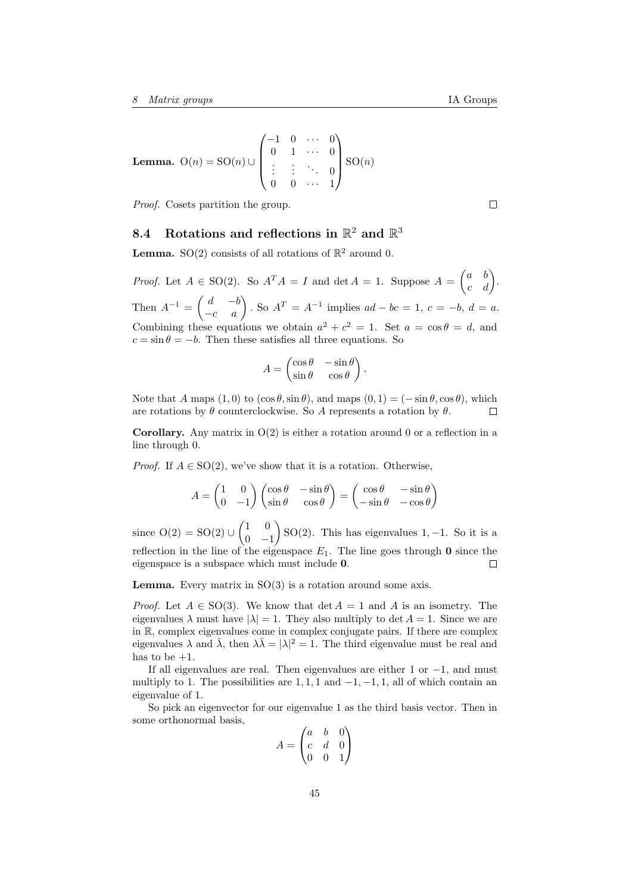**Lemma.** 
$$
O(n) = SO(n) \cup \begin{pmatrix} -1 & 0 & \cdots & 0 \\ 0 & 1 & \cdots & 0 \\ \vdots & \vdots & \ddots & 0 \\ 0 & 0 & \cdots & 1 \end{pmatrix} SO(n)
$$

Proof. Cosets partition the group.

# <span id="page-44-0"></span>8.4 Rotations and reflections in  $\mathbb{R}^2$  and  $\mathbb{R}^3$

**Lemma.** SO(2) consists of all rotations of  $\mathbb{R}^2$  around 0.

*Proof.* Let  $A \in SO(2)$ . So  $A^T A = I$  and  $\det A = 1$ . Suppose  $A = \begin{pmatrix} a & b \\ c & d \end{pmatrix}$ . Then  $A^{-1} = \begin{pmatrix} d & -b \\ -c & a \end{pmatrix}$ . So  $A^{T} = A^{-1}$  implies  $ad - bc = 1$ ,  $c = -b$ ,  $d = a$ . Combining these equations we obtain  $a^2 + c^2 = 1$ . Set  $a = \cos \theta = d$ , and  $c = \sin \theta = -b$ . Then these satisfies all three equations. So

$$
A = \begin{pmatrix} \cos \theta & -\sin \theta \\ \sin \theta & \cos \theta \end{pmatrix}.
$$

Note that A maps  $(1,0)$  to  $(\cos \theta, \sin \theta)$ , and maps  $(0, 1) = (-\sin \theta, \cos \theta)$ , which are rotations by  $\theta$  counterclockwise. So A represents a rotation by  $\theta$ . П

**Corollary.** Any matrix in  $O(2)$  is either a rotation around 0 or a reflection in a line through 0.

*Proof.* If  $A \in SO(2)$ , we've show that it is a rotation. Otherwise,

$$
A = \begin{pmatrix} 1 & 0 \\ 0 & -1 \end{pmatrix} \begin{pmatrix} \cos \theta & -\sin \theta \\ \sin \theta & \cos \theta \end{pmatrix} = \begin{pmatrix} \cos \theta & -\sin \theta \\ -\sin \theta & -\cos \theta \end{pmatrix}
$$

since  $O(2) = SO(2) \cup {1 \choose 0}$  $\log(2)$ . This has eigenvalues 1, -1. So it is a  $0 -1$ reflection in the line of the eigenspace  $E_1$ . The line goes through 0 since the eigenspace is a subspace which must include 0.  $\Box$ 

**Lemma.** Every matrix in  $SO(3)$  is a rotation around some axis.

*Proof.* Let  $A \in SO(3)$ . We know that  $\det A = 1$  and A is an isometry. The eigenvalues  $\lambda$  must have  $|\lambda| = 1$ . They also multiply to det  $A = 1$ . Since we are in R, complex eigenvalues come in complex conjugate pairs. If there are complex eigenvalues  $\lambda$  and  $\bar{\lambda}$ , then  $\lambda \bar{\lambda} = |\lambda|^2 = 1$ . The third eigenvalue must be real and has to be  $+1$ .

If all eigenvalues are real. Then eigenvalues are either 1 or  $-1$ , and must multiply to 1. The possibilities are 1, 1, 1 and  $-1, -1, 1$ , all of which contain an eigenvalue of 1.

So pick an eigenvector for our eigenvalue 1 as the third basis vector. Then in some orthonormal basis,

$$
A = \begin{pmatrix} a & b & 0 \\ c & d & 0 \\ 0 & 0 & 1 \end{pmatrix}
$$

 $\Box$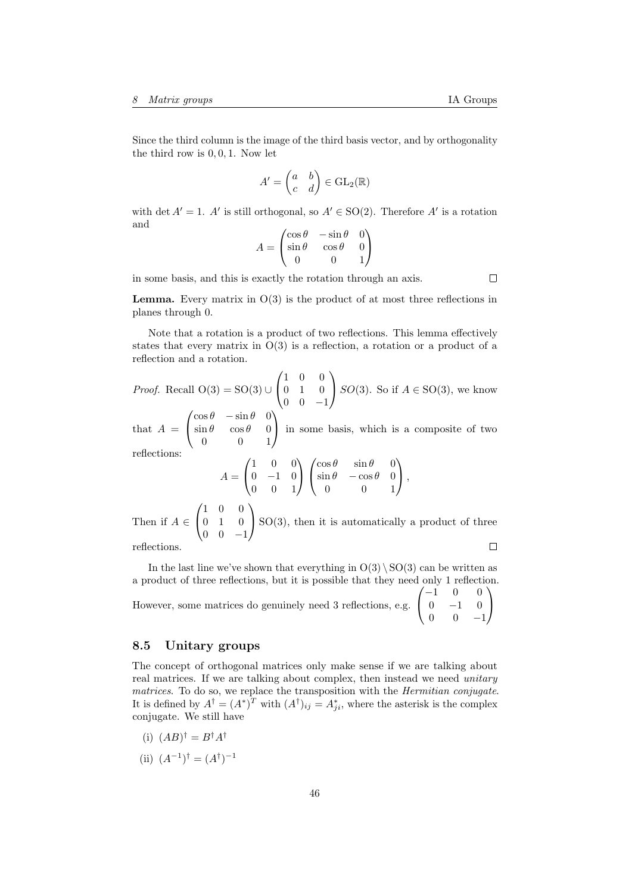Since the third column is the image of the third basis vector, and by orthogonality the third row is 0, 0, 1. Now let

$$
A' = \begin{pmatrix} a & b \\ c & d \end{pmatrix} \in \text{GL}_2(\mathbb{R})
$$

with det  $A' = 1$ . A' is still orthogonal, so  $A' \in SO(2)$ . Therefore A' is a rotation and

$$
A = \begin{pmatrix} \cos \theta & -\sin \theta & 0 \\ \sin \theta & \cos \theta & 0 \\ 0 & 0 & 1 \end{pmatrix}
$$

in some basis, and this is exactly the rotation through an axis.

 $\Box$ 

**Lemma.** Every matrix in  $O(3)$  is the product of at most three reflections in planes through 0.

Note that a rotation is a product of two reflections. This lemma effectively states that every matrix in  $O(3)$  is a reflection, a rotation or a product of a reflection and a rotation.

*Proof.* Recall 
$$
O(3) = SO(3) \cup \begin{pmatrix} 1 & 0 & 0 \\ 0 & 1 & 0 \\ 0 & 0 & -1 \end{pmatrix} SO(3)
$$
. So if  $A \in SO(3)$ , we know  $\cos \theta = \sin \theta$ 

that  $A =$  $\mathcal{L}$  $\sin \theta$   $\cos \theta$  0 0 0 1 in some basis, which is a composite of two reflections:

$$
A = \begin{pmatrix} 1 & 0 & 0 \\ 0 & -1 & 0 \\ 0 & 0 & 1 \end{pmatrix} \begin{pmatrix} \cos \theta & \sin \theta & 0 \\ \sin \theta & -\cos \theta & 0 \\ 0 & 0 & 1 \end{pmatrix},
$$
  
Then if  $A \in \begin{pmatrix} 1 & 0 & 0 \\ 0 & 1 & 0 \\ 0 & 0 & -1 \end{pmatrix}$  SO(3), then it is automatically a product of three  
reflections.

reflections.

In the last line we've shown that everything in  $O(3) \setminus SO(3)$  can be written as a product of three reflections, but it is possible that they need only 1 reflection. However, some matrices do genuinely need 3 reflections, e.g.  $\sqrt{ }$  $\mathcal{L}$  $-1$  0 0  $0 \t -1 \t 0$ 0 0 −1  $\setminus$  $\overline{1}$ 

# <span id="page-45-0"></span>8.5 Unitary groups

The concept of orthogonal matrices only make sense if we are talking about real matrices. If we are talking about complex, then instead we need *unitary* matrices. To do so, we replace the transposition with the Hermitian conjugate. It is defined by  $A^{\dagger} = (A^*)^T$  with  $(A^{\dagger})_{ij} = A^*_{ji}$ , where the asterisk is the complex conjugate. We still have

- (i)  $(AB)^{\dagger} = B^{\dagger}A^{\dagger}$
- (ii)  $(A^{-1})^{\dagger} = (A^{\dagger})^{-1}$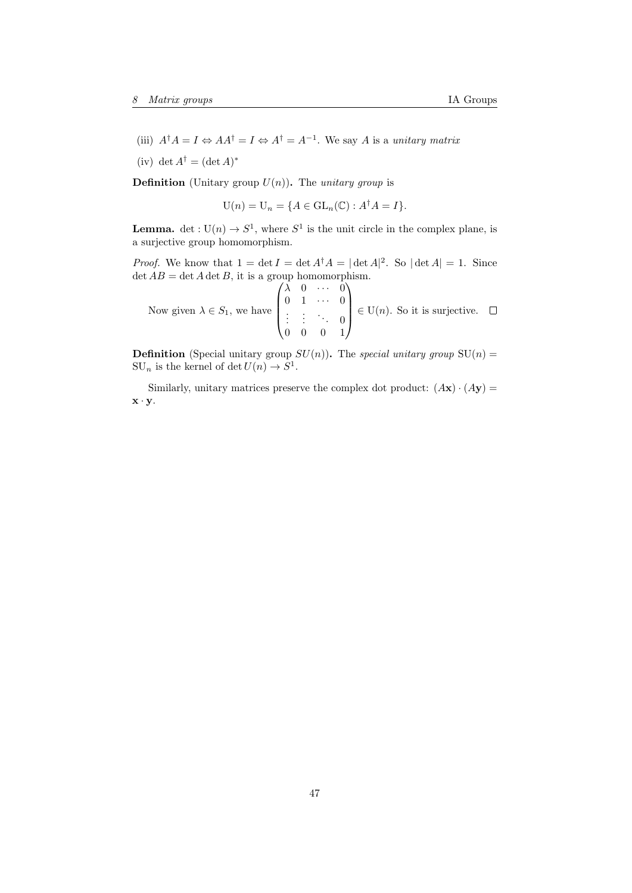- (iii)  $A^{\dagger}A = I \Leftrightarrow AA^{\dagger} = I \Leftrightarrow A^{\dagger} = A^{-1}$ . We say A is a unitary matrix
- (iv) det  $A^{\dagger} = (\det A)^*$

**Definition** (Unitary group  $U(n)$ ). The *unitary group* is

$$
U(n) = U_n = \{ A \in GL_n(\mathbb{C}) : A^{\dagger} A = I \}.
$$

**Lemma.** det :  $U(n) \rightarrow S^1$ , where  $S^1$  is the unit circle in the complex plane, is a surjective group homomorphism.

*Proof.* We know that  $1 = \det I = \det A^{\dagger} A = |\det A|^2$ . So  $|\det A| = 1$ . Since  $\det AB = \det A \det B$ , it is a group homomorphism.

Now given  $\lambda \in S_1$ , we have  $\sqrt{ }$  $\overline{\phantom{a}}$  $\lambda$  0  $\cdots$  0  $0 \quad 1 \quad \cdots \quad 0$  $\vdots$  :  $\ddots$  0 0 0 0 1  $\setminus$  $\in$  U(*n*). So it is surjective.

**Definition** (Special unitary group  $SU(n)$ ). The special unitary group  $SU(n)$  =  $SU_n$  is the kernel of det  $U(n) \to S^1$ .

Similarly, unitary matrices preserve the complex dot product:  $(Ax) \cdot (Ay) =$  $\mathbf{x} \cdot \mathbf{y}$ .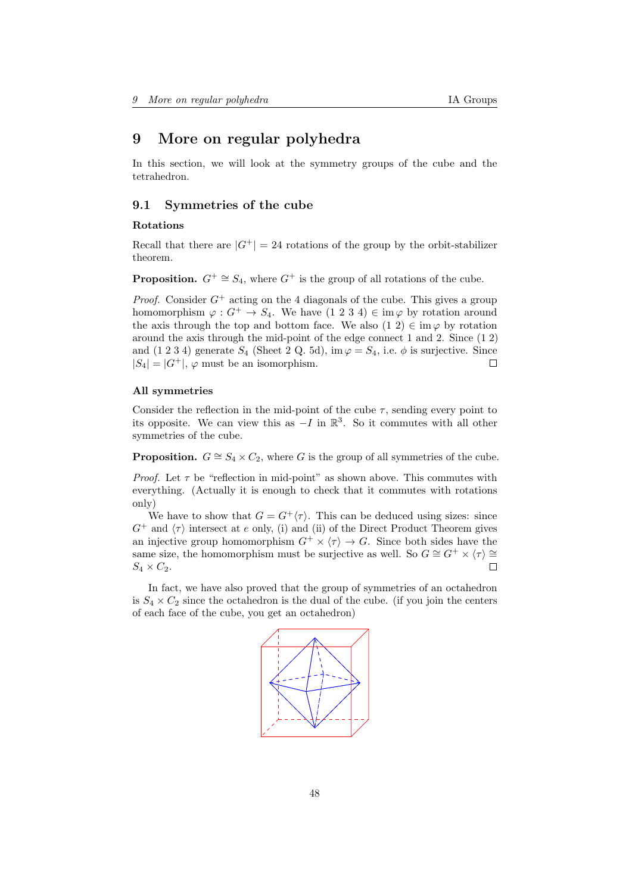# <span id="page-47-0"></span>9 More on regular polyhedra

In this section, we will look at the symmetry groups of the cube and the tetrahedron.

### <span id="page-47-1"></span>9.1 Symmetries of the cube

### Rotations

Recall that there are  $|G^+| = 24$  rotations of the group by the orbit-stabilizer theorem.

**Proposition.**  $G^+ \cong S_4$ , where  $G^+$  is the group of all rotations of the cube.

*Proof.* Consider  $G^+$  acting on the 4 diagonals of the cube. This gives a group homomorphism  $\varphi: G^+ \to S_4$ . We have  $(1\ 2\ 3\ 4) \in \text{im}\,\varphi$  by rotation around the axis through the top and bottom face. We also  $(1\ 2) \in \text{im}\,\varphi$  by rotation around the axis through the mid-point of the edge connect 1 and 2. Since (1 2) and (1 2 3 4) generate  $S_4$  (Sheet 2 Q. 5d), im  $\varphi = S_4$ , i.e.  $\phi$  is surjective. Since  $|S_4| = |G^+|$ ,  $\varphi$  must be an isomorphism.  $\Box$ 

### All symmetries

Consider the reflection in the mid-point of the cube  $\tau$ , sending every point to its opposite. We can view this as  $-I$  in  $\mathbb{R}^3$ . So it commutes with all other symmetries of the cube.

**Proposition.**  $G \cong S_4 \times C_2$ , where G is the group of all symmetries of the cube.

*Proof.* Let  $\tau$  be "reflection in mid-point" as shown above. This commutes with everything. (Actually it is enough to check that it commutes with rotations only)

We have to show that  $G = G^{\dagger} \langle \tau \rangle$ . This can be deduced using sizes: since  $G^+$  and  $\langle \tau \rangle$  intersect at e only, (i) and (ii) of the Direct Product Theorem gives an injective group homomorphism  $G^+ \times \langle \tau \rangle \to G$ . Since both sides have the same size, the homomorphism must be surjective as well. So  $G \cong G^+ \times \langle \tau \rangle \cong$  $S_4 \times C_2$ .  $\Box$ 

In fact, we have also proved that the group of symmetries of an octahedron is  $S_4 \times C_2$  since the octahedron is the dual of the cube. (if you join the centers of each face of the cube, you get an octahedron)

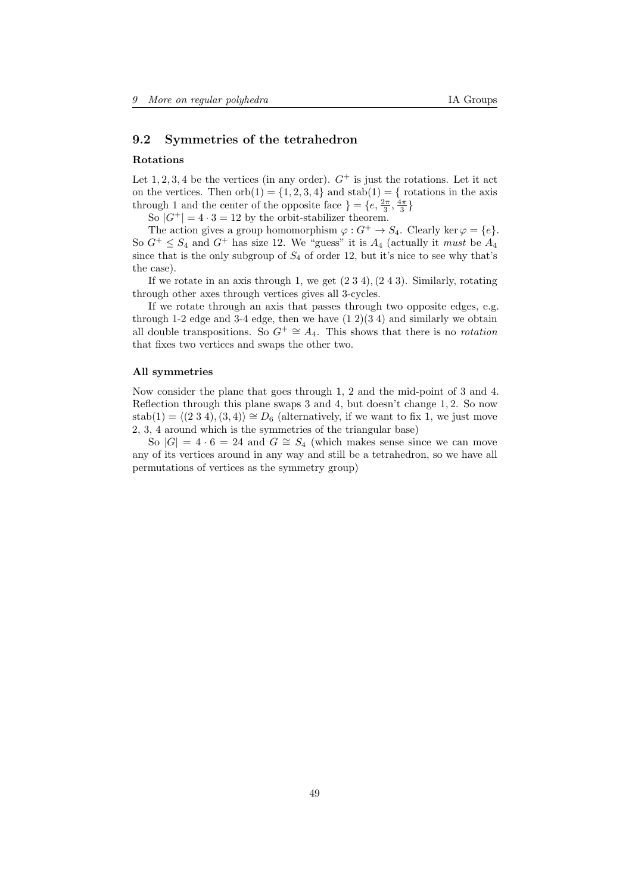# <span id="page-48-0"></span>9.2 Symmetries of the tetrahedron

#### Rotations

Let  $1, 2, 3, 4$  be the vertices (in any order).  $G^+$  is just the rotations. Let it act on the vertices. Then  $orb(1) = \{1, 2, 3, 4\}$  and  $stab(1) = \{$  rotations in the axis through 1 and the center of the opposite face  $\} = \{e, \frac{2\pi}{3}, \frac{4\pi}{3}\}$ 

So  $|G^+| = 4 \cdot 3 = 12$  by the orbit-stabilizer theorem.

The action gives a group homomorphism  $\varphi: G^+ \to S_4$ . Clearly ker  $\varphi = \{e\}.$ So  $G^+ \leq S_4$  and  $G^+$  has size 12. We "guess" it is  $A_4$  (actually it must be  $A_4$ ) since that is the only subgroup of  $S_4$  of order 12, but it's nice to see why that's the case).

If we rotate in an axis through 1, we get  $(2\ 3\ 4), (2\ 4\ 3)$ . Similarly, rotating through other axes through vertices gives all 3-cycles.

If we rotate through an axis that passes through two opposite edges, e.g. through 1-2 edge and 3-4 edge, then we have  $(1\ 2)(3\ 4)$  and similarly we obtain all double transpositions. So  $G^+ \cong A_4$ . This shows that there is no *rotation* that fixes two vertices and swaps the other two.

### All symmetries

Now consider the plane that goes through 1, 2 and the mid-point of 3 and 4. Reflection through this plane swaps 3 and 4, but doesn't change 1, 2. So now stab(1) =  $\langle$ (2 3 4),(3, 4)) ≅  $D_6$  (alternatively, if we want to fix 1, we just move 2, 3, 4 around which is the symmetries of the triangular base)

So  $|G| = 4 \cdot 6 = 24$  and  $G \cong S_4$  (which makes sense since we can move any of its vertices around in any way and still be a tetrahedron, so we have all permutations of vertices as the symmetry group)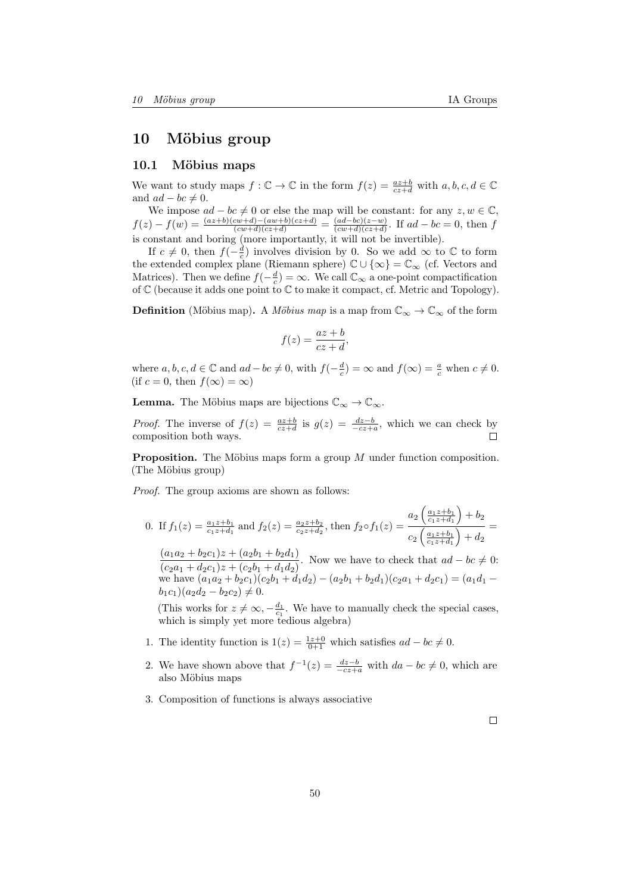# <span id="page-49-0"></span>10 Möbius group

### <span id="page-49-1"></span>10.1 Möbius maps

We want to study maps  $f: \mathbb{C} \to \mathbb{C}$  in the form  $f(z) = \frac{az+b}{cz+d}$  with  $a, b, c, d \in \mathbb{C}$ and  $ad - bc \neq 0$ .

We impose  $ad - bc \neq 0$  or else the map will be constant: for any  $z, w \in \mathbb{C}$ ,  $f(z) - f(w) = \frac{(az+b)(cw+d)-(aw+b)(cz+d)}{(cw+d)(cz+d)} = \frac{(ad-bc)(z-w)}{(cw+d)(cz+d)}$  $\frac{(aa-bc)(z-w)}{(cw+d)(cz+d)}$ . If  $ad-bc=0$ , then f is constant and boring (more importantly, it will not be invertible).

If  $c \neq 0$ , then  $f(-\frac{d}{c})$  involves division by 0. So we add  $\infty$  to  $\mathbb C$  to form the extended complex plane (Riemann sphere)  $\mathbb{C} \cup \{\infty\} = \mathbb{C}_{\infty}$  (cf. Vectors and Matrices). Then we define  $f(-\frac{d}{c}) = \infty$ . We call  $\mathbb{C}_{\infty}$  a one-point compactification of C (because it adds one point to C to make it compact, cf. Metric and Topology).

**Definition** (Möbius map). A *Möbius map* is a map from  $\mathbb{C}_{\infty} \to \mathbb{C}_{\infty}$  of the form

$$
f(z) = \frac{az+b}{cz+d},
$$

where  $a, b, c, d \in \mathbb{C}$  and  $ad - bc \neq 0$ , with  $f(-\frac{d}{c}) = \infty$  and  $f(\infty) = \frac{a}{c}$  when  $c \neq 0$ . (if  $c = 0$ , then  $f(\infty) = \infty$ )

**Lemma.** The Möbius maps are bijections  $\mathbb{C}_{\infty} \to \mathbb{C}_{\infty}$ .

*Proof.* The inverse of  $f(z) = \frac{az+b}{cz+d}$  is  $g(z) = \frac{dz-b}{-cz+a}$ , which we can check by composition both ways. □

**Proposition.** The Möbius maps form a group  $M$  under function composition. (The Möbius group)

Proof. The group axioms are shown as follows:

0. If 
$$
f_1(z) = \frac{a_1 z + b_1}{c_1 z + d_1}
$$
 and  $f_2(z) = \frac{a_2 z + b_2}{c_2 z + d_2}$ , then  $f_2 \circ f_1(z) = \frac{a_2 \left(\frac{a_1 z + b_1}{c_1 z + d_1}\right) + b_2}{c_2 \left(\frac{a_1 z + b_1}{c_1 z + d_1}\right) + d_2} =$ 

 $(a_1a_2 + b_2c_1)z + (a_2b_1 + b_2d_1)$  $\frac{(a_1a_2 + b_2c_1)z + (a_2b_1 + b_2a_1)}{(c_2a_1 + d_2c_1)z + (c_2b_1 + d_1d_2)}$ . Now we have to check that  $ad - bc \neq 0$ : we have  $(a_1a_2 + b_2c_1)(c_2b_1 + d_1d_2) - (a_2b_1 + b_2d_1)(c_2a_1 + d_2c_1) = (a_1d_1$  $b_1c_1)(a_2d_2-b_2c_2)\neq 0.$ 

(This works for  $z \neq \infty, -\frac{d_1}{c_1}$ . We have to manually check the special cases, which is simply yet more tedious algebra)

- 1. The identity function is  $1(z) = \frac{1z+0}{0+1}$  which satisfies  $ad bc \neq 0$ .
- 2. We have shown above that  $f^{-1}(z) = \frac{dz-b}{-cz+a}$  with  $da bc \neq 0$ , which are also Möbius maps
- 3. Composition of functions is always associative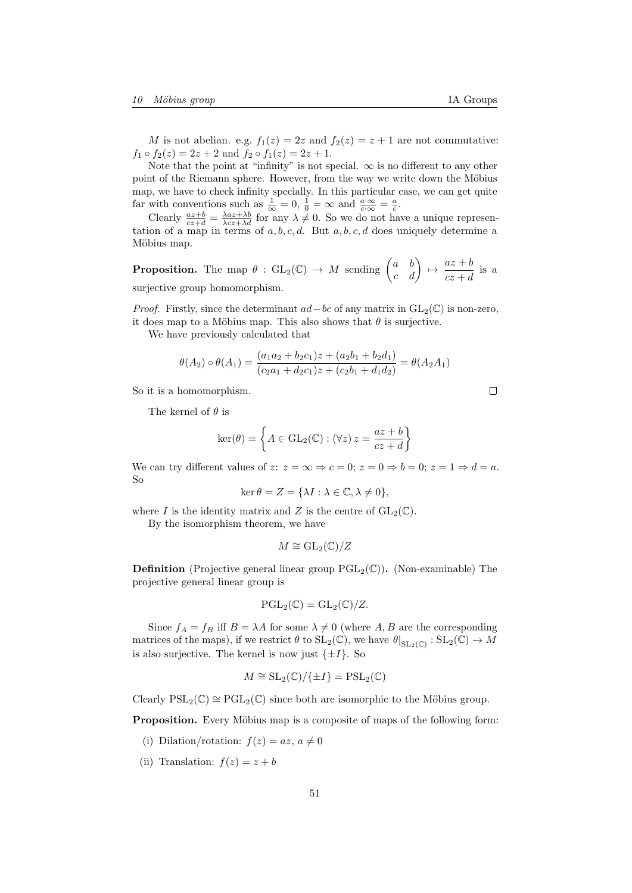M is not abelian. e.g.  $f_1(z) = 2z$  and  $f_2(z) = z + 1$  are not commutative:  $f_1 \circ f_2(z) = 2z + 2$  and  $f_2 \circ f_1(z) = 2z + 1$ .

Note that the point at "infinity" is not special.  $\infty$  is no different to any other point of the Riemann sphere. However, from the way we write down the Möbius map, we have to check infinity specially. In this particular case, we can get quite far with conventions such as  $\frac{1}{\infty} = 0$ ,  $\frac{1}{0} = \infty$  and  $\frac{a \cdot \infty}{c \cdot \infty} = \frac{a}{c}$ .

Clearly  $\frac{az+b}{cz+d} = \frac{\lambda az+\lambda b}{\lambda cz+\lambda d}$  for any  $\lambda \neq 0$ . So we do not have a unique representation of a map in terms of  $a, b, c, d$ . But  $a, b, c, d$  does uniquely determine a Möbius map.

**Proposition.** The map  $\theta$  :  $GL_2(\mathbb{C}) \to M$  sending  $\begin{pmatrix} a & b \\ c & d \end{pmatrix} \mapsto \frac{az+b}{cz+d}$  $\frac{az + b}{cz + d}$  is a surjective group homomorphism.

*Proof.* Firstly, since the determinant  $ad-bc$  of any matrix in  $GL_2(\mathbb{C})$  is non-zero, it does map to a Möbius map. This also shows that  $\theta$  is surjective.

We have previously calculated that

$$
\theta(A_2)\circ\theta(A_1) = \frac{(a_1a_2 + b_2c_1)z + (a_2b_1 + b_2d_1)}{(c_2a_1 + d_2c_1)z + (c_2b_1 + d_1d_2)} = \theta(A_2A_1)
$$

So it is a homomorphism.

The kernel of  $\theta$  is

$$
\ker(\theta) = \left\{ A \in GL_2(\mathbb{C}) : (\forall z) \, z = \frac{az+b}{cz+d} \right\}
$$

We can try different values of  $z: z = \infty \Rightarrow c = 0; z = 0 \Rightarrow b = 0; z = 1 \Rightarrow d = a$ . So

$$
\ker \theta = Z = \{ \lambda I : \lambda \in \mathbb{C}, \lambda \neq 0 \},
$$

where I is the identity matrix and Z is the centre of  $GL_2(\mathbb{C})$ .

By the isomorphism theorem, we have

$$
M \cong \mathrm{GL}_2(\mathbb{C})/Z
$$

**Definition** (Projective general linear group  $PGL_2(\mathbb{C})$ ). (Non-examinable) The projective general linear group is

$$
\operatorname{PGL}_2(\operatorname{\mathbb{C}})=\operatorname{GL}_2(\operatorname{\mathbb{C}})/Z.
$$

Since  $f_A = f_B$  iff  $B = \lambda A$  for some  $\lambda \neq 0$  (where A, B are the corresponding matrices of the maps), if we restrict  $\theta$  to  $SL_2(\mathbb{C})$ , we have  $\theta|_{SL_2(\mathbb{C})} : SL_2(\mathbb{C}) \to M$ is also surjective. The kernel is now just  $\{\pm I\}$ . So

$$
M \cong SL_2(\mathbb{C})/\{\pm I\} = PSL_2(\mathbb{C})
$$

Clearly  $PSL_2(\mathbb{C}) \cong \text{PGL}_2(\mathbb{C})$  since both are isomorphic to the Möbius group.

**Proposition.** Every Möbius map is a composite of maps of the following form:

- (i) Dilation/rotation:  $f(z) = az, a \neq 0$
- (ii) Translation:  $f(z) = z + b$

 $\Box$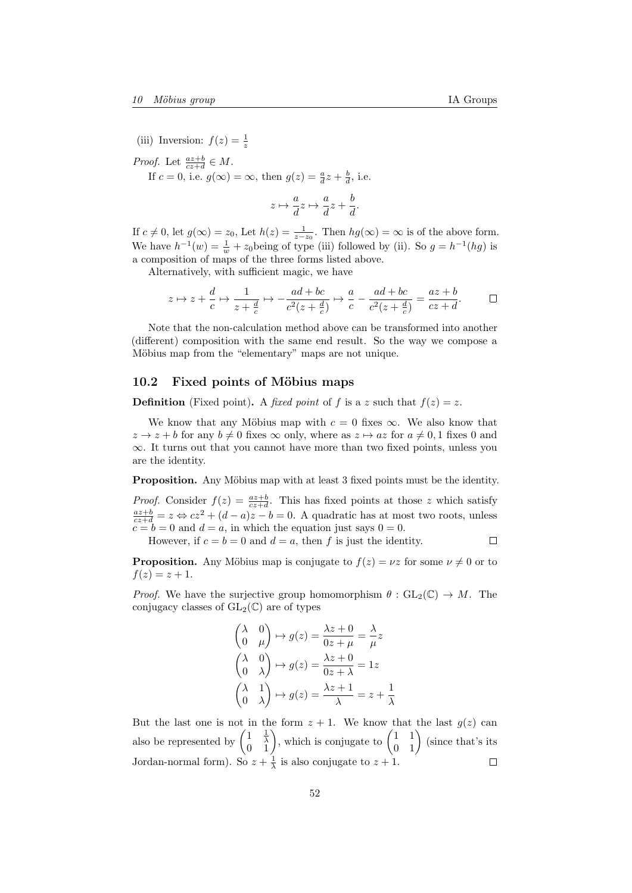(iii) Inversion:  $f(z) = \frac{1}{z}$ 

*Proof.* Let  $\frac{az+b}{cz+d} \in M$ . If  $c = 0$ , i.e.  $g(\infty) = \infty$ , then  $g(z) = \frac{a}{d}z + \frac{b}{d}$ , i.e.

$$
z \mapsto \frac{a}{d}z \mapsto \frac{a}{d}z + \frac{b}{d}.
$$

If  $c \neq 0$ , let  $g(\infty) = z_0$ , Let  $h(z) = \frac{1}{z-z_0}$ . Then  $hg(\infty) = \infty$  is of the above form. We have  $h^{-1}(w) = \frac{1}{w} + z_0$  being of type (iii) followed by (ii). So  $g = h^{-1}(hg)$  is a composition of maps of the three forms listed above.

Alternatively, with sufficient magic, we have

$$
z \mapsto z + \frac{d}{c} \mapsto \frac{1}{z + \frac{d}{c}} \mapsto -\frac{ad + bc}{c^2(z + \frac{d}{c})} \mapsto \frac{a}{c} - \frac{ad + bc}{c^2(z + \frac{d}{c})} = \frac{az + b}{cz + d}.
$$

Note that the non-calculation method above can be transformed into another (different) composition with the same end result. So the way we compose a Möbius map from the "elementary" maps are not unique.

### <span id="page-51-0"></span>10.2 Fixed points of Möbius maps

**Definition** (Fixed point). A fixed point of f is a z such that  $f(z) = z$ .

We know that any Möbius map with  $c = 0$  fixes  $\infty$ . We also know that  $z \to z + b$  for any  $b \neq 0$  fixes  $\infty$  only, where as  $z \mapsto az$  for  $a \neq 0, 1$  fixes 0 and  $\infty$ . It turns out that you cannot have more than two fixed points, unless you are the identity.

**Proposition.** Any Möbius map with at least 3 fixed points must be the identity.

*Proof.* Consider  $f(z) = \frac{az+b}{cz+d}$ . This has fixed points at those z which satisfy consider  $f(z) = \frac{cz+d}{cz+d}$ . This has fixed points at those z which satisfy  $\frac{az+b}{cz+d} = z \Leftrightarrow cz^2 + (d-a)z - b = 0$ . A quadratic has at most two roots, unless  $c = b = 0$  and  $d = a$ , in which the equation just says  $0 = 0$ .

However, if  $c = b = 0$  and  $d = a$ , then f is just the identity.  $\Box$ 

**Proposition.** Any Möbius map is conjugate to  $f(z) = \nu z$  for some  $\nu \neq 0$  or to  $f(z) = z + 1.$ 

*Proof.* We have the surjective group homomorphism  $\theta : GL_2(\mathbb{C}) \to M$ . The conjugacy classes of  $GL_2(\mathbb{C})$  are of types

$$
\begin{pmatrix}\n\lambda & 0 \\
0 & \mu\n\end{pmatrix} \mapsto g(z) = \frac{\lambda z + 0}{0z + \mu} = \frac{\lambda}{\mu} z
$$
\n
$$
\begin{pmatrix}\n\lambda & 0 \\
0 & \lambda\n\end{pmatrix} \mapsto g(z) = \frac{\lambda z + 0}{0z + \lambda} = 1z
$$
\n
$$
\begin{pmatrix}\n\lambda & 1 \\
0 & \lambda\n\end{pmatrix} \mapsto g(z) = \frac{\lambda z + 1}{\lambda} = z + \frac{1}{\lambda}
$$

But the last one is not in the form  $z + 1$ . We know that the last  $g(z)$  can also be represented by  $\begin{pmatrix} 1 & \frac{1}{\lambda} \\ 0 & 1 \end{pmatrix}$ , which is conjugate to  $\begin{pmatrix} 1 & 1 \\ 0 & 1 \end{pmatrix}$  (since that's its Jordan-normal form). So  $z + \frac{1}{\lambda}$  is also conjugate to  $z + 1$ .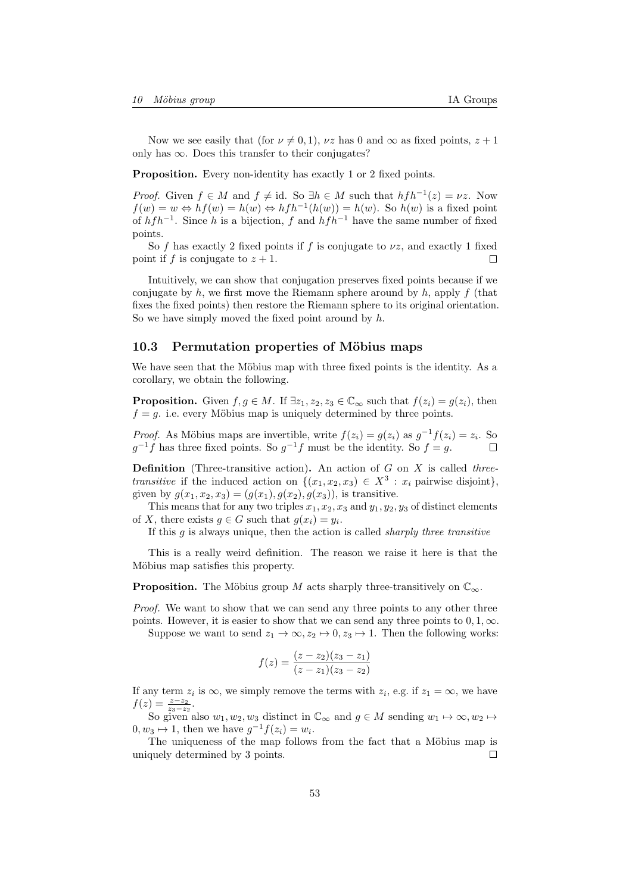Now we see easily that (for  $\nu \neq 0, 1$ ),  $\nu z$  has 0 and  $\infty$  as fixed points,  $z + 1$ only has  $\infty$ . Does this transfer to their conjugates?

Proposition. Every non-identity has exactly 1 or 2 fixed points.

*Proof.* Given  $f \in M$  and  $f \neq id$ . So  $\exists h \in M$  such that  $h f h^{-1}(z) = \nu z$ . Now  $f(w) = w \Leftrightarrow hf(w) = h(w) \Leftrightarrow hfh^{-1}(h(w)) = h(w)$ . So  $h(w)$  is a fixed point of  $h f h^{-1}$ . Since h is a bijection, f and  $h f h^{-1}$  have the same number of fixed points.

So f has exactly 2 fixed points if f is conjugate to  $\nu z$ , and exactly 1 fixed point if f is conjugate to  $z + 1$ .  $\Box$ 

Intuitively, we can show that conjugation preserves fixed points because if we conjugate by h, we first move the Riemann sphere around by h, apply f (that fixes the fixed points) then restore the Riemann sphere to its original orientation. So we have simply moved the fixed point around by  $h$ .

### <span id="page-52-0"></span>10.3 Permutation properties of Möbius maps

We have seen that the Möbius map with three fixed points is the identity. As a corollary, we obtain the following.

**Proposition.** Given  $f, g \in M$ . If  $\exists z_1, z_2, z_3 \in \mathbb{C}_{\infty}$  such that  $f(z_i) = g(z_i)$ , then  $f = g$ . i.e. every Möbius map is uniquely determined by three points.

*Proof.* As Möbius maps are invertible, write  $f(z_i) = g(z_i)$  as  $g^{-1}f(z_i) = z_i$ . So  $g^{-1}f$  has three fixed points. So  $g^{-1}f$  must be the identity. So  $f = g$ .  $\Box$ 

**Definition** (Three-transitive action). An action of  $G$  on  $X$  is called threetransitive if the induced action on  $\{(x_1, x_2, x_3) \in X^3 : x_i \text{ pairwise disjoint}\},\$ given by  $g(x_1, x_2, x_3) = (g(x_1), g(x_2), g(x_3))$ , is transitive.

This means that for any two triples  $x_1, x_2, x_3$  and  $y_1, y_2, y_3$  of distinct elements of X, there exists  $g \in G$  such that  $g(x_i) = y_i$ .

If this  $q$  is always unique, then the action is called *sharply three transitive* 

This is a really weird definition. The reason we raise it here is that the Möbius map satisfies this property.

**Proposition.** The Möbius group M acts sharply three-transitively on  $\mathbb{C}_{\infty}$ .

Proof. We want to show that we can send any three points to any other three points. However, it is easier to show that we can send any three points to  $0, 1, \infty$ .

Suppose we want to send  $z_1 \to \infty$ ,  $z_2 \mapsto 0$ ,  $z_3 \mapsto 1$ . Then the following works:

$$
f(z) = \frac{(z - z_2)(z_3 - z_1)}{(z - z_1)(z_3 - z_2)}
$$

If any term  $z_i$  is  $\infty$ , we simply remove the terms with  $z_i$ , e.g. if  $z_1 = \infty$ , we have  $f(z) = \frac{z - z_2}{z_3 - z_2}.$ 

So given also  $w_1, w_2, w_3$  distinct in  $\mathbb{C}_{\infty}$  and  $g \in M$  sending  $w_1 \mapsto \infty, w_2 \mapsto$  $0, w_3 \mapsto 1$ , then we have  $g^{-1}f(z_i) = w_i$ .

The uniqueness of the map follows from the fact that a Möbius map is uniquely determined by 3 points. П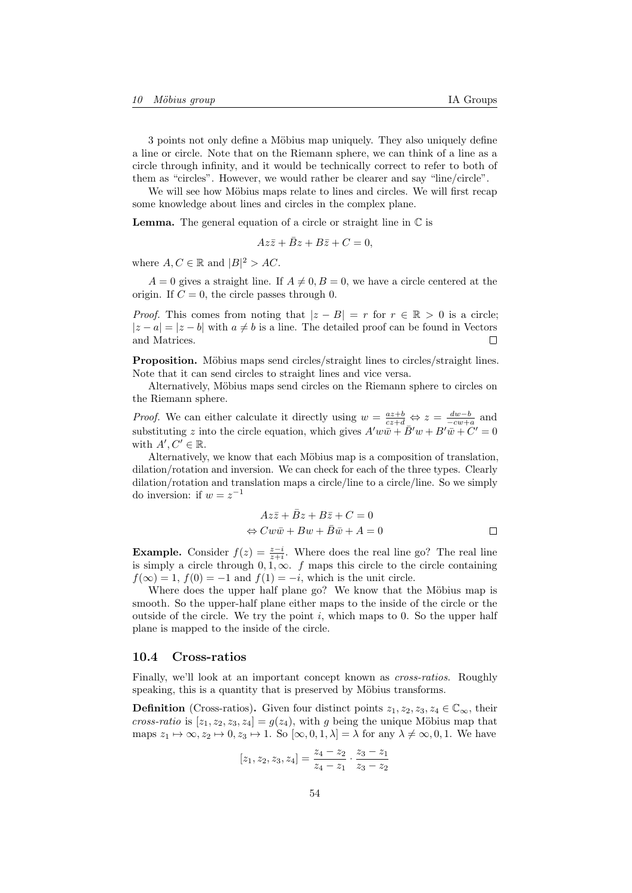3 points not only define a Möbius map uniquely. They also uniquely define a line or circle. Note that on the Riemann sphere, we can think of a line as a circle through infinity, and it would be technically correct to refer to both of them as "circles". However, we would rather be clearer and say "line/circle".

We will see how Möbius maps relate to lines and circles. We will first recap some knowledge about lines and circles in the complex plane.

**Lemma.** The general equation of a circle or straight line in  $\mathbb{C}$  is

$$
Az\bar{z} + \bar{B}z + B\bar{z} + C = 0,
$$

where  $A, C \in \mathbb{R}$  and  $|B|^2 > AC$ .

 $A = 0$  gives a straight line. If  $A \neq 0, B = 0$ , we have a circle centered at the origin. If  $C = 0$ , the circle passes through 0.

*Proof.* This comes from noting that  $|z - B| = r$  for  $r \in \mathbb{R} > 0$  is a circle;  $|z - a| = |z - b|$  with  $a \neq b$  is a line. The detailed proof can be found in Vectors and Matrices.  $\Box$ 

Proposition. Möbius maps send circles/straight lines to circles/straight lines. Note that it can send circles to straight lines and vice versa.

Alternatively, Möbius maps send circles on the Riemann sphere to circles on the Riemann sphere.

*Proof.* We can either calculate it directly using  $w = \frac{az+b}{cz+d} \Leftrightarrow z = \frac{dw-b}{-cw+a}$  and substituting z into the circle equation, which gives  $A'w\bar{w} + \bar{B}'w + B'\bar{w} + C' = 0$ with  $A', C' \in \mathbb{R}$ .

Alternatively, we know that each Möbius map is a composition of translation, dilation/rotation and inversion. We can check for each of the three types. Clearly dilation/rotation and translation maps a circle/line to a circle/line. So we simply do inversion: if  $w = z^{-1}$ 

$$
Az\overline{z} + \overline{B}z + B\overline{z} + C = 0
$$
  
\n
$$
\Leftrightarrow Cw\overline{w} + Bw + \overline{B}\overline{w} + A = 0
$$

**Example.** Consider  $f(z) = \frac{z-i}{z+i}$ . Where does the real line go? The real line is simply a circle through  $0, 1, \infty$ . f maps this circle to the circle containing  $f(\infty) = 1$ ,  $f(0) = -1$  and  $f(1) = -i$ , which is the unit circle.

Where does the upper half plane go? We know that the Möbius map is smooth. So the upper-half plane either maps to the inside of the circle or the outside of the circle. We try the point  $i$ , which maps to 0. So the upper half plane is mapped to the inside of the circle.

### <span id="page-53-0"></span>10.4 Cross-ratios

Finally, we'll look at an important concept known as cross-ratios. Roughly speaking, this is a quantity that is preserved by Möbius transforms.

**Definition** (Cross-ratios). Given four distinct points  $z_1, z_2, z_3, z_4 \in \mathbb{C}_{\infty}$ , their cross-ratio is  $[z_1, z_2, z_3, z_4] = g(z_4)$ , with g being the unique Möbius map that maps  $z_1 \mapsto \infty, z_2 \mapsto 0, z_3 \mapsto 1$ . So  $[\infty, 0, 1, \lambda] = \lambda$  for any  $\lambda \neq \infty, 0, 1$ . We have

$$
[z_1, z_2, z_3, z_4] = \frac{z_4 - z_2}{z_4 - z_1} \cdot \frac{z_3 - z_1}{z_3 - z_2}
$$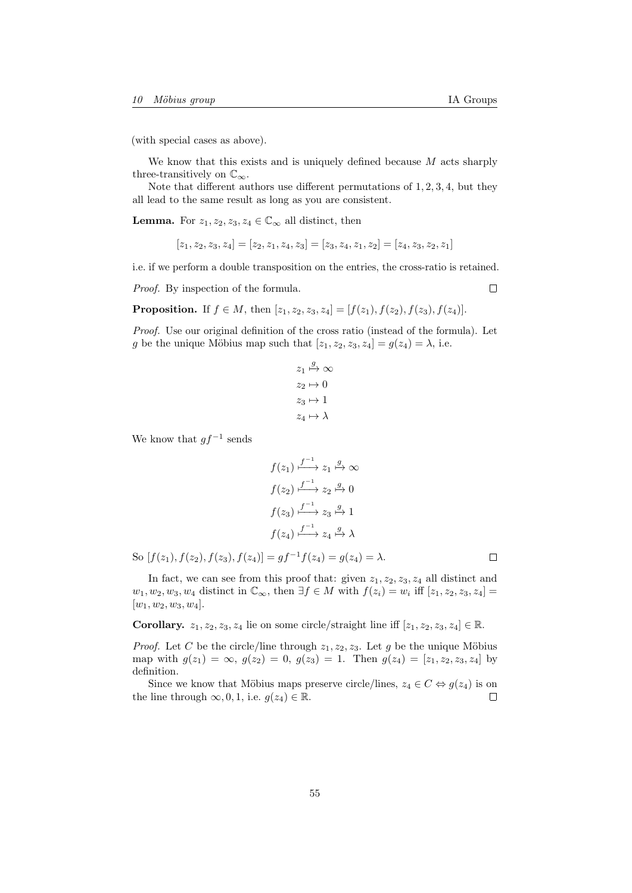(with special cases as above).

We know that this exists and is uniquely defined because  $M$  acts sharply three-transitively on  $\mathbb{C}_{\infty}$ .

Note that different authors use different permutations of 1, 2, 3, 4, but they all lead to the same result as long as you are consistent.

**Lemma.** For  $z_1, z_2, z_3, z_4 \in \mathbb{C}_{\infty}$  all distinct, then

$$
[z_1, z_2, z_3, z_4] = [z_2, z_1, z_4, z_3] = [z_3, z_4, z_1, z_2] = [z_4, z_3, z_2, z_1]
$$

i.e. if we perform a double transposition on the entries, the cross-ratio is retained.

Proof. By inspection of the formula.

**Proposition.** If  $f \in M$ , then  $[z_1, z_2, z_3, z_4] = [f(z_1), f(z_2), f(z_3), f(z_4)].$ 

Proof. Use our original definition of the cross ratio (instead of the formula). Let g be the unique Möbius map such that  $[z_1, z_2, z_3, z_4] = g(z_4) = \lambda$ , i.e.

$$
z_1 \stackrel{g}{\mapsto} \infty
$$
  
\n
$$
z_2 \mapsto 0
$$
  
\n
$$
z_3 \mapsto 1
$$
  
\n
$$
z_4 \mapsto \lambda
$$

We know that  $gf^{-1}$  sends

$$
f(z_1) \xrightarrow{f^{-1}} z_1 \xrightarrow{g} \infty
$$

$$
f(z_2) \xrightarrow{f^{-1}} z_2 \xrightarrow{g} 0
$$

$$
f(z_3) \xrightarrow{f^{-1}} z_3 \xrightarrow{g} 1
$$

$$
f(z_4) \xrightarrow{f^{-1}} z_4 \xrightarrow{g} \lambda
$$

So  $[f(z_1), f(z_2), f(z_3), f(z_4)] = gf^{-1}f(z_4) = g(z_4) = \lambda$ .

In fact, we can see from this proof that: given  $z_1, z_2, z_3, z_4$  all distinct and  $w_1, w_2, w_3, w_4$  distinct in  $\mathbb{C}_{\infty}$ , then  $\exists f \in M$  with  $f(z_i) = w_i$  iff  $[z_1, z_2, z_3, z_4] =$  $[w_1, w_2, w_3, w_4].$ 

Corollary.  $z_1, z_2, z_3, z_4$  lie on some circle/straight line iff  $[z_1, z_2, z_3, z_4] \in \mathbb{R}$ .

*Proof.* Let C be the circle/line through  $z_1, z_2, z_3$ . Let g be the unique Möbius map with  $g(z_1) = \infty$ ,  $g(z_2) = 0$ ,  $g(z_3) = 1$ . Then  $g(z_4) = [z_1, z_2, z_3, z_4]$  by definition.

Since we know that Möbius maps preserve circle/lines,  $z_4 \in C \Leftrightarrow g(z_4)$  is on the line through  $\infty, 0, 1$ , i.e.  $g(z_4) \in \mathbb{R}$ .  $\Box$ 

 $\Box$ 

 $\Box$